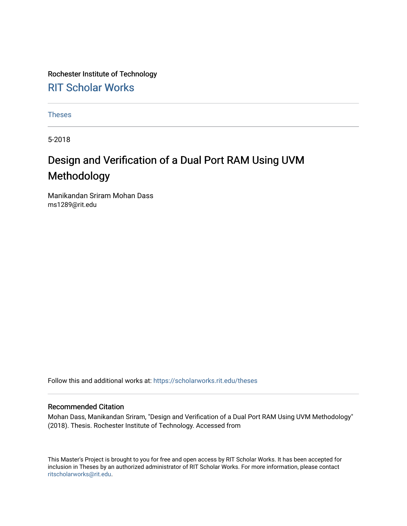Rochester Institute of Technology [RIT Scholar Works](https://scholarworks.rit.edu/)

[Theses](https://scholarworks.rit.edu/theses) 

5-2018

## Design and Verification of a Dual Port RAM Using UVM Methodology

Manikandan Sriram Mohan Dass ms1289@rit.edu

Follow this and additional works at: [https://scholarworks.rit.edu/theses](https://scholarworks.rit.edu/theses?utm_source=scholarworks.rit.edu%2Ftheses%2F9792&utm_medium=PDF&utm_campaign=PDFCoverPages) 

#### Recommended Citation

Mohan Dass, Manikandan Sriram, "Design and Verification of a Dual Port RAM Using UVM Methodology" (2018). Thesis. Rochester Institute of Technology. Accessed from

This Master's Project is brought to you for free and open access by RIT Scholar Works. It has been accepted for inclusion in Theses by an authorized administrator of RIT Scholar Works. For more information, please contact [ritscholarworks@rit.edu](mailto:ritscholarworks@rit.edu).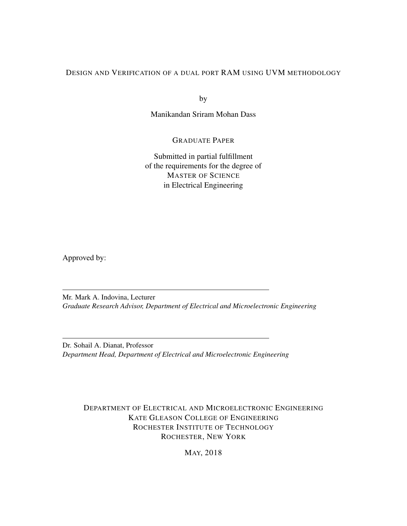#### DESIGN AND VERIFICATION OF A DUAL PORT RAM USING UVM METHODOLOGY

by

Manikandan Sriram Mohan Dass

GRADUATE PAPER

Submitted in partial fulfillment of the requirements for the degree of MASTER OF SCIENCE in Electrical Engineering

Approved by:

Mr. Mark A. Indovina, Lecturer *Graduate Research Advisor, Department of Electrical and Microelectronic Engineering*

Dr. Sohail A. Dianat, Professor *Department Head, Department of Electrical and Microelectronic Engineering*

DEPARTMENT OF ELECTRICAL AND MICROELECTRONIC ENGINEERING KATE GLEASON COLLEGE OF ENGINEERING ROCHESTER INSTITUTE OF TECHNOLOGY ROCHESTER, NEW YORK

MAY, 2018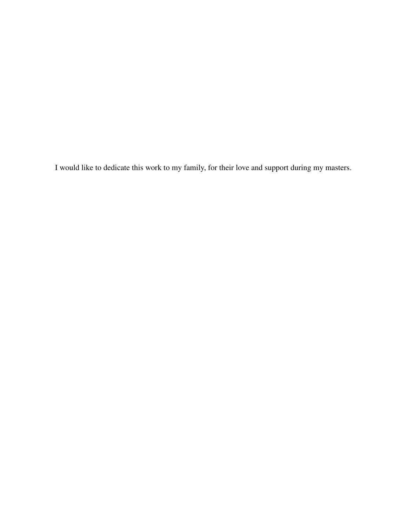I would like to dedicate this work to my family, for their love and support during my masters.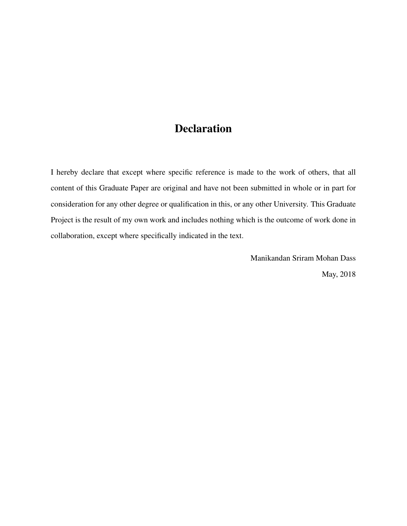## Declaration

I hereby declare that except where specific reference is made to the work of others, that all content of this Graduate Paper are original and have not been submitted in whole or in part for consideration for any other degree or qualification in this, or any other University. This Graduate Project is the result of my own work and includes nothing which is the outcome of work done in collaboration, except where specifically indicated in the text.

> Manikandan Sriram Mohan Dass May, 2018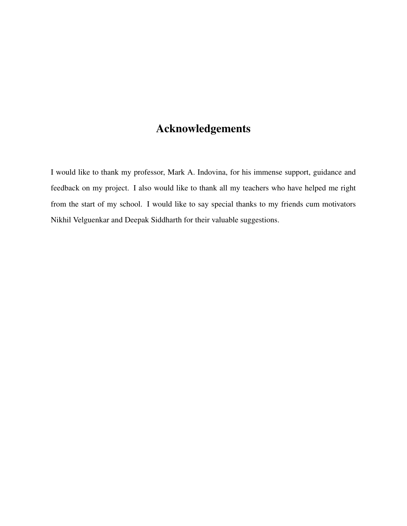## Acknowledgements

I would like to thank my professor, Mark A. Indovina, for his immense support, guidance and feedback on my project. I also would like to thank all my teachers who have helped me right from the start of my school. I would like to say special thanks to my friends cum motivators Nikhil Velguenkar and Deepak Siddharth for their valuable suggestions.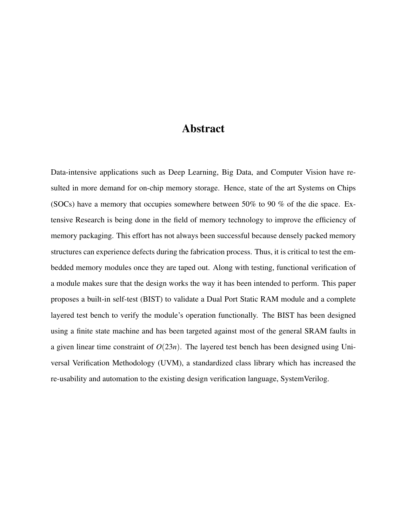### Abstract

Data-intensive applications such as Deep Learning, Big Data, and Computer Vision have resulted in more demand for on-chip memory storage. Hence, state of the art Systems on Chips (SOCs) have a memory that occupies somewhere between 50% to 90 % of the die space. Extensive Research is being done in the field of memory technology to improve the efficiency of memory packaging. This effort has not always been successful because densely packed memory structures can experience defects during the fabrication process. Thus, it is critical to test the embedded memory modules once they are taped out. Along with testing, functional verification of a module makes sure that the design works the way it has been intended to perform. This paper proposes a built-in self-test (BIST) to validate a Dual Port Static RAM module and a complete layered test bench to verify the module's operation functionally. The BIST has been designed using a finite state machine and has been targeted against most of the general SRAM faults in a given linear time constraint of *O*(23*n*). The layered test bench has been designed using Universal Verification Methodology (UVM), a standardized class library which has increased the re-usability and automation to the existing design verification language, SystemVerilog.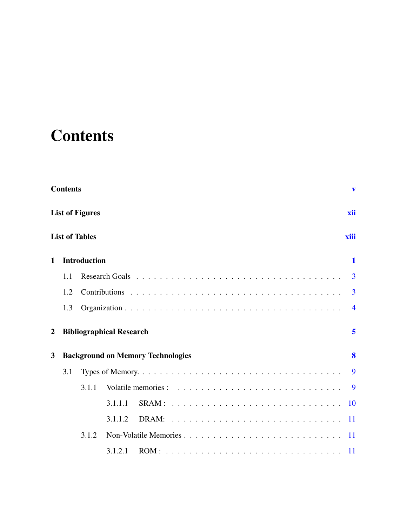# <span id="page-6-0"></span>**Contents**

|                | <b>Contents</b> |                        |                                          |  |  |  |  |  |  |  |  | V              |
|----------------|-----------------|------------------------|------------------------------------------|--|--|--|--|--|--|--|--|----------------|
|                |                 | <b>List of Figures</b> |                                          |  |  |  |  |  |  |  |  | xii            |
|                |                 | <b>List of Tables</b>  |                                          |  |  |  |  |  |  |  |  | xiii           |
| $\mathbf{1}$   |                 | <b>Introduction</b>    |                                          |  |  |  |  |  |  |  |  | $\mathbf{1}$   |
|                | 1.1             |                        |                                          |  |  |  |  |  |  |  |  | 3              |
|                | 1.2             |                        |                                          |  |  |  |  |  |  |  |  | 3              |
|                | 1.3             |                        |                                          |  |  |  |  |  |  |  |  | $\overline{4}$ |
| $\overline{2}$ |                 |                        | <b>Bibliographical Research</b>          |  |  |  |  |  |  |  |  | 5              |
| 3              |                 |                        | <b>Background on Memory Technologies</b> |  |  |  |  |  |  |  |  | 8              |
|                | 3.1             |                        |                                          |  |  |  |  |  |  |  |  | 9              |
|                |                 | 3.1.1                  |                                          |  |  |  |  |  |  |  |  | <b>9</b>       |
|                |                 |                        | 3.1.1.1                                  |  |  |  |  |  |  |  |  | 10             |
|                |                 |                        | 3.1.1.2                                  |  |  |  |  |  |  |  |  | 11             |
|                |                 | 3.1.2                  |                                          |  |  |  |  |  |  |  |  |                |
|                |                 |                        | 3.1.2.1                                  |  |  |  |  |  |  |  |  |                |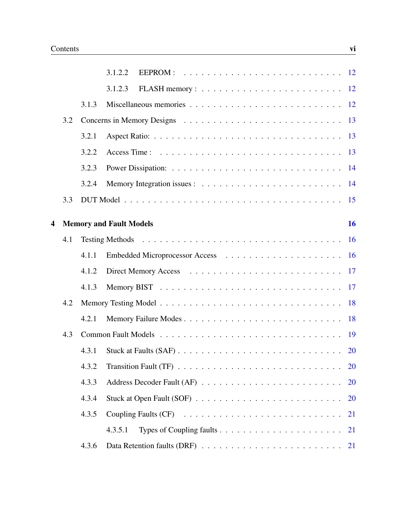|   |     |       | 3.1.2.2                                                                                             |
|---|-----|-------|-----------------------------------------------------------------------------------------------------|
|   |     |       | 3.1.2.3                                                                                             |
|   |     | 3.1.3 | Miscellaneous memories $\ldots \ldots \ldots \ldots \ldots \ldots \ldots \ldots \ldots 12$          |
|   | 3.2 |       |                                                                                                     |
|   |     | 3.2.1 | Aspect Ratio: $\ldots \ldots \ldots \ldots \ldots \ldots \ldots \ldots \ldots \ldots \ldots$        |
|   |     | 3.2.2 |                                                                                                     |
|   |     | 3.2.3 |                                                                                                     |
|   |     | 3.2.4 | <sup>14</sup>                                                                                       |
|   | 3.3 |       |                                                                                                     |
| 4 |     |       | 16<br><b>Memory and Fault Models</b>                                                                |
|   | 4.1 |       | <b>16</b>                                                                                           |
|   |     | 4.1.1 |                                                                                                     |
|   |     | 4.1.2 |                                                                                                     |
|   |     | 4.1.3 |                                                                                                     |
|   | 4.2 |       | 18                                                                                                  |
|   |     | 4.2.1 | 18                                                                                                  |
|   | 4.3 |       | <b>19</b>                                                                                           |
|   |     | 4.3.1 | <b>20</b>                                                                                           |
|   |     | 4.3.2 | Transition Fault (TF) $\ldots \ldots \ldots \ldots \ldots \ldots \ldots \ldots \ldots$<br><b>20</b> |
|   |     | 4.3.3 | <b>20</b>                                                                                           |
|   |     | 4.3.4 | 20                                                                                                  |
|   |     | 4.3.5 | Coupling Faults (CF)<br>21                                                                          |
|   |     |       | 4.3.5.1<br>21                                                                                       |
|   |     | 4.3.6 | <b>21</b>                                                                                           |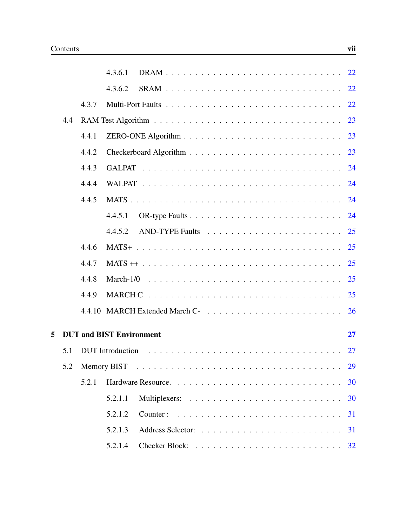|   |     |       | 22<br>4.3.6.1                                                                                         |
|---|-----|-------|-------------------------------------------------------------------------------------------------------|
|   |     |       | 22<br>4.3.6.2                                                                                         |
|   |     | 4.3.7 | 22                                                                                                    |
|   | 4.4 |       | 23                                                                                                    |
|   |     | 4.4.1 | 23                                                                                                    |
|   |     | 4.4.2 |                                                                                                       |
|   |     | 4.4.3 |                                                                                                       |
|   |     | 4.4.4 |                                                                                                       |
|   |     | 4.4.5 |                                                                                                       |
|   |     |       | 4.4.5.1                                                                                               |
|   |     |       | 4.4.5.2                                                                                               |
|   |     | 4.4.6 |                                                                                                       |
|   |     | 4.4.7 |                                                                                                       |
|   |     | 4.4.8 |                                                                                                       |
|   |     | 4.4.9 |                                                                                                       |
|   |     |       |                                                                                                       |
| 5 |     |       | <b>DUT and BIST Environment</b><br>27                                                                 |
|   | 5.1 |       | DUT Introduction $\ldots \ldots \ldots \ldots \ldots \ldots \ldots \ldots \ldots \ldots \ldots$<br>27 |
|   | 5.2 |       | 29                                                                                                    |
|   |     | 5.2.1 | 30                                                                                                    |
|   |     |       | 5.2.1.1<br>30                                                                                         |
|   |     |       | 5.2.1.2<br>31                                                                                         |
|   |     |       | 5.2.1.3<br>31                                                                                         |
|   |     |       | 5.2.1.4                                                                                               |
|   |     |       |                                                                                                       |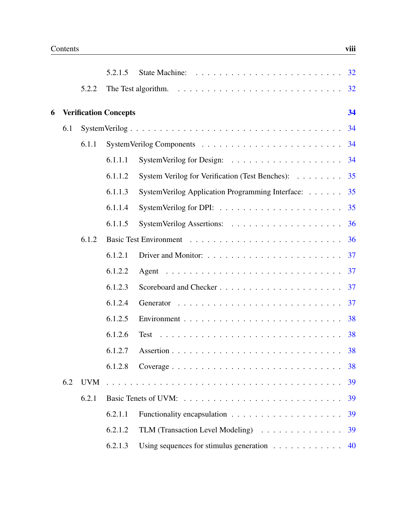|   |     |            | 5.2.1.5                      |                                                                                      |    |
|---|-----|------------|------------------------------|--------------------------------------------------------------------------------------|----|
|   |     | 5.2.2      |                              | The Test algorithm. $\ldots \ldots \ldots \ldots \ldots \ldots \ldots \ldots \ldots$ | 32 |
| 6 |     |            | <b>Verification Concepts</b> |                                                                                      | 34 |
|   | 6.1 |            |                              |                                                                                      | 34 |
|   |     | 6.1.1      |                              |                                                                                      | 34 |
|   |     |            | 6.1.1.1                      |                                                                                      | 34 |
|   |     |            | 6.1.1.2                      | System Verilog for Verification (Test Benches):                                      | 35 |
|   |     |            | 6.1.1.3                      | SystemVerilog Application Programming Interface:                                     | 35 |
|   |     |            | 6.1.1.4                      |                                                                                      | 35 |
|   |     |            | 6.1.1.5                      |                                                                                      | 36 |
|   |     | 6.1.2      |                              |                                                                                      | 36 |
|   |     |            | 6.1.2.1                      |                                                                                      | 37 |
|   |     |            | 6.1.2.2                      |                                                                                      | 37 |
|   |     |            | 6.1.2.3                      | Scoreboard and Checker                                                               | 37 |
|   |     |            | 6.1.2.4                      |                                                                                      | 37 |
|   |     |            | 6.1.2.5                      |                                                                                      | 38 |
|   |     |            | 6.1.2.6                      |                                                                                      |    |
|   |     |            | 6.1.2.7                      |                                                                                      |    |
|   |     |            | 6.1.2.8                      |                                                                                      | 38 |
|   | 6.2 | <b>UVM</b> |                              |                                                                                      | 39 |
|   |     | 6.2.1      |                              |                                                                                      | 39 |
|   |     |            | 6.2.1.1                      |                                                                                      | 39 |
|   |     |            | 6.2.1.2                      | TLM (Transaction Level Modeling)                                                     | 39 |
|   |     |            | 6.2.1.3                      | Using sequences for stimulus generation $\ldots \ldots \ldots \ldots$                | 40 |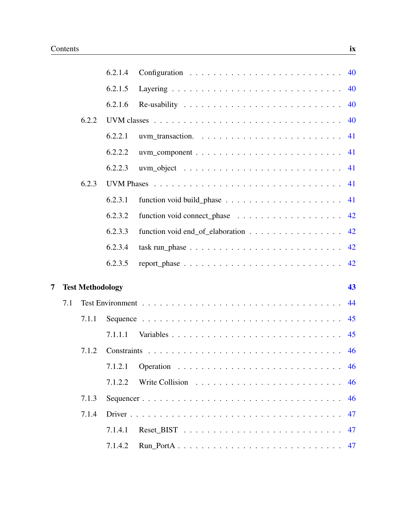|   |     |                         | 6.2.1.4 |                                                                               | 40 |
|---|-----|-------------------------|---------|-------------------------------------------------------------------------------|----|
|   |     |                         | 6.2.1.5 |                                                                               | 40 |
|   |     |                         | 6.2.1.6 |                                                                               | 40 |
|   |     | 6.2.2                   |         |                                                                               | 40 |
|   |     |                         | 6.2.2.1 |                                                                               | 41 |
|   |     |                         | 6.2.2.2 |                                                                               | 41 |
|   |     |                         | 6.2.2.3 |                                                                               | 41 |
|   |     | 6.2.3                   |         |                                                                               | 41 |
|   |     |                         | 6.2.3.1 | function void build_phase $\ldots \ldots \ldots \ldots \ldots \ldots$         | 41 |
|   |     |                         | 6.2.3.2 | function void connect_phase $\dots \dots \dots \dots \dots \dots$             | 42 |
|   |     |                         | 6.2.3.3 | function void end_of_elaboration                                              | 42 |
|   |     |                         | 6.2.3.4 | $task run\_phase \dots \dots \dots \dots \dots \dots \dots \dots \dots \dots$ | 42 |
|   |     |                         | 6.2.3.5 |                                                                               | 42 |
| 7 |     | <b>Test Methodology</b> |         |                                                                               | 43 |
|   | 7.1 |                         |         |                                                                               | 44 |
|   |     | 7.1.1                   |         |                                                                               | 45 |
|   |     |                         | 7.1.1.1 |                                                                               | 45 |
|   |     | 7.1.2                   |         |                                                                               | 46 |
|   |     |                         | 7.1.2.1 |                                                                               | 46 |
|   |     |                         | 7.1.2.2 |                                                                               | 46 |
|   |     | 7.1.3                   |         |                                                                               | 46 |
|   |     | 7.1.4                   |         |                                                                               | 47 |
|   |     |                         | 7.1.4.1 |                                                                               | 47 |
|   |     |                         | 7.1.4.2 |                                                                               | 47 |
|   |     |                         |         |                                                                               |    |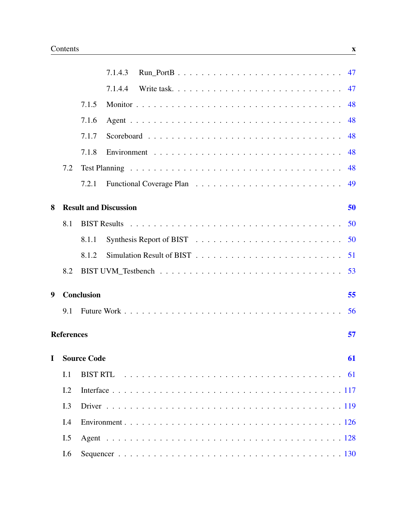|   |                   |                    | 7.1.4.3                                                                                        |            |  |  |  |  |  |  |  |  | 47 |
|---|-------------------|--------------------|------------------------------------------------------------------------------------------------|------------|--|--|--|--|--|--|--|--|----|
|   |                   |                    | 7.1.4.4                                                                                        | Write task |  |  |  |  |  |  |  |  | 47 |
|   |                   | 7.1.5              |                                                                                                |            |  |  |  |  |  |  |  |  | 48 |
|   |                   | 7.1.6              |                                                                                                |            |  |  |  |  |  |  |  |  | 48 |
|   |                   | 7.1.7              |                                                                                                |            |  |  |  |  |  |  |  |  | 48 |
|   |                   | 7.1.8              |                                                                                                |            |  |  |  |  |  |  |  |  | 48 |
|   | 7.2               |                    |                                                                                                |            |  |  |  |  |  |  |  |  | 48 |
|   |                   | 7.2.1              |                                                                                                |            |  |  |  |  |  |  |  |  | 49 |
| 8 |                   |                    | <b>Result and Discussion</b>                                                                   |            |  |  |  |  |  |  |  |  | 50 |
|   | 8.1               |                    |                                                                                                |            |  |  |  |  |  |  |  |  | 50 |
|   |                   | 8.1.1              |                                                                                                |            |  |  |  |  |  |  |  |  | 50 |
|   |                   | 8.1.2              |                                                                                                |            |  |  |  |  |  |  |  |  | 51 |
|   | 8.2               |                    |                                                                                                |            |  |  |  |  |  |  |  |  | 53 |
|   |                   |                    |                                                                                                |            |  |  |  |  |  |  |  |  |    |
| 9 |                   | <b>Conclusion</b>  |                                                                                                |            |  |  |  |  |  |  |  |  | 55 |
|   | 9.1               |                    |                                                                                                |            |  |  |  |  |  |  |  |  | 56 |
|   | <b>References</b> |                    |                                                                                                |            |  |  |  |  |  |  |  |  | 57 |
| L |                   | <b>Source Code</b> |                                                                                                |            |  |  |  |  |  |  |  |  | 61 |
|   | I.1               |                    | BIST RTL $\ldots \ldots \ldots \ldots \ldots \ldots \ldots \ldots \ldots \ldots \ldots \ldots$ |            |  |  |  |  |  |  |  |  |    |
|   | I.2               |                    |                                                                                                |            |  |  |  |  |  |  |  |  |    |
|   | I.3               |                    |                                                                                                |            |  |  |  |  |  |  |  |  |    |
|   | I.4               |                    |                                                                                                |            |  |  |  |  |  |  |  |  |    |
|   | I.5               |                    |                                                                                                |            |  |  |  |  |  |  |  |  |    |
|   | I.6               |                    |                                                                                                |            |  |  |  |  |  |  |  |  |    |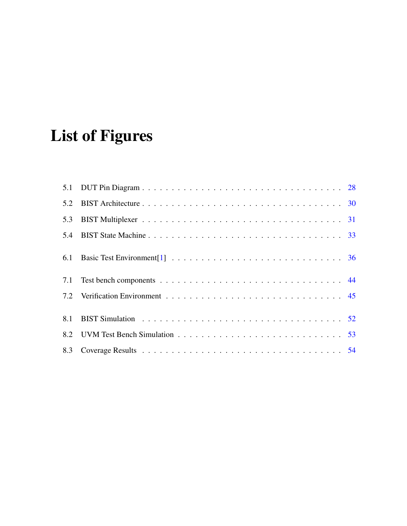# <span id="page-13-0"></span>List of Figures

| 5.2 |  |
|-----|--|
| 5.3 |  |
| 5.4 |  |
|     |  |
|     |  |
|     |  |
| 8.1 |  |
|     |  |
|     |  |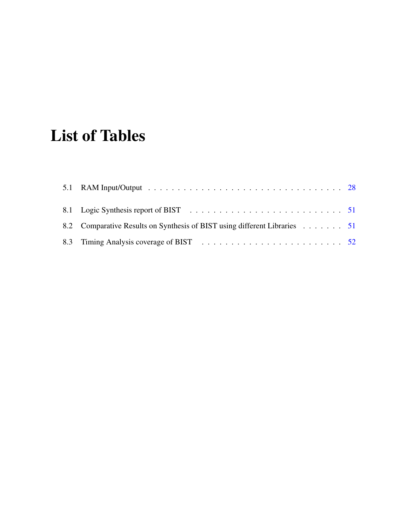# <span id="page-14-0"></span>List of Tables

| 8.2 Comparative Results on Synthesis of BIST using different Libraries 51 |  |
|---------------------------------------------------------------------------|--|
|                                                                           |  |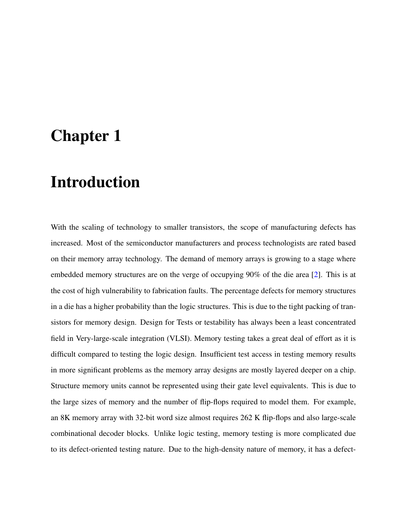## <span id="page-15-0"></span>Chapter 1

## Introduction

With the scaling of technology to smaller transistors, the scope of manufacturing defects has increased. Most of the semiconductor manufacturers and process technologists are rated based on their memory array technology. The demand of memory arrays is growing to a stage where embedded memory structures are on the verge of occupying 90% of the die area [\[2\]](#page-71-2). This is at the cost of high vulnerability to fabrication faults. The percentage defects for memory structures in a die has a higher probability than the logic structures. This is due to the tight packing of transistors for memory design. Design for Tests or testability has always been a least concentrated field in Very-large-scale integration (VLSI). Memory testing takes a great deal of effort as it is difficult compared to testing the logic design. Insufficient test access in testing memory results in more significant problems as the memory array designs are mostly layered deeper on a chip. Structure memory units cannot be represented using their gate level equivalents. This is due to the large sizes of memory and the number of flip-flops required to model them. For example, an 8K memory array with 32-bit word size almost requires 262 K flip-flops and also large-scale combinational decoder blocks. Unlike logic testing, memory testing is more complicated due to its defect-oriented testing nature. Due to the high-density nature of memory, it has a defect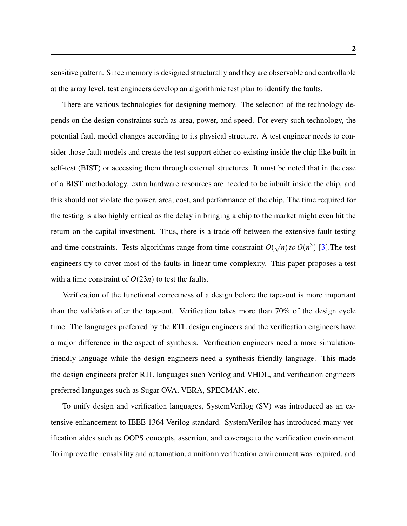sensitive pattern. Since memory is designed structurally and they are observable and controllable at the array level, test engineers develop an algorithmic test plan to identify the faults.

There are various technologies for designing memory. The selection of the technology depends on the design constraints such as area, power, and speed. For every such technology, the potential fault model changes according to its physical structure. A test engineer needs to consider those fault models and create the test support either co-existing inside the chip like built-in self-test (BIST) or accessing them through external structures. It must be noted that in the case of a BIST methodology, extra hardware resources are needed to be inbuilt inside the chip, and this should not violate the power, area, cost, and performance of the chip. The time required for the testing is also highly critical as the delay in bringing a chip to the market might even hit the return on the capital investment. Thus, there is a trade-off between the extensive fault testing and time constraints. Tests algorithms range from time constraint *O*( √  $\overline{n}$ ) *to O*( $n^3$ ) [\[3\]](#page-71-3). The test engineers try to cover most of the faults in linear time complexity. This paper proposes a test with a time constraint of  $O(23n)$  to test the faults.

Verification of the functional correctness of a design before the tape-out is more important than the validation after the tape-out. Verification takes more than 70% of the design cycle time. The languages preferred by the RTL design engineers and the verification engineers have a major difference in the aspect of synthesis. Verification engineers need a more simulationfriendly language while the design engineers need a synthesis friendly language. This made the design engineers prefer RTL languages such Verilog and VHDL, and verification engineers preferred languages such as Sugar OVA, VERA, SPECMAN, etc.

To unify design and verification languages, SystemVerilog (SV) was introduced as an extensive enhancement to IEEE 1364 Verilog standard. SystemVerilog has introduced many verification aides such as OOPS concepts, assertion, and coverage to the verification environment. To improve the reusability and automation, a uniform verification environment was required, and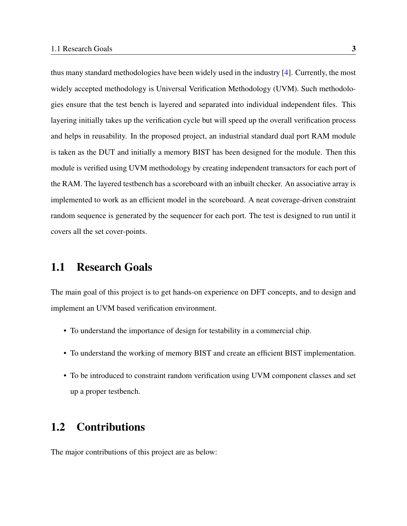thus many standard methodologies have been widely used in the industry [\[4\]](#page-71-4). Currently, the most widely accepted methodology is Universal Verification Methodology (UVM). Such methodologies ensure that the test bench is layered and separated into individual independent files. This layering initially takes up the verification cycle but will speed up the overall verification process and helps in reusability. In the proposed project, an industrial standard dual port RAM module is taken as the DUT and initially a memory BIST has been designed for the module. Then this module is verified using UVM methodology by creating independent transactors for each port of the RAM. The layered testbench has a scoreboard with an inbuilt checker. An associative array is implemented to work as an efficient model in the scoreboard. A neat coverage-driven constraint random sequence is generated by the sequencer for each port. The test is designed to run until it covers all the set cover-points.

### <span id="page-17-0"></span>1.1 Research Goals

The main goal of this project is to get hands-on experience on DFT concepts, and to design and implement an UVM based verification environment.

- To understand the importance of design for testability in a commercial chip.
- To understand the working of memory BIST and create an efficient BIST implementation.
- To be introduced to constraint random verification using UVM component classes and set up a proper testbench.

### <span id="page-17-1"></span>1.2 Contributions

The major contributions of this project are as below: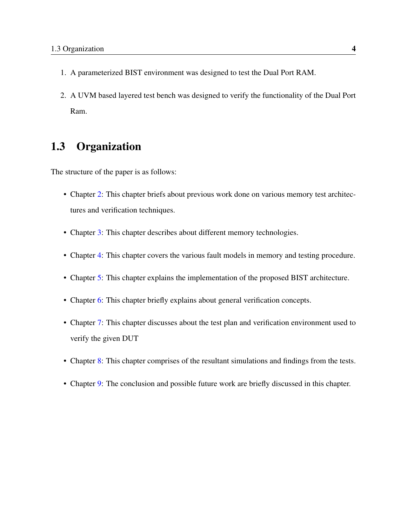- 1. A parameterized BIST environment was designed to test the Dual Port RAM.
- 2. A UVM based layered test bench was designed to verify the functionality of the Dual Port Ram.

### <span id="page-18-0"></span>1.3 Organization

The structure of the paper is as follows:

- Chapter [2:](#page-19-0) This chapter briefs about previous work done on various memory test architectures and verification techniques.
- Chapter [3:](#page-22-0) This chapter describes about different memory technologies.
- Chapter [4:](#page-30-0) This chapter covers the various fault models in memory and testing procedure.
- Chapter [5:](#page-41-0) This chapter explains the implementation of the proposed BIST architecture.
- Chapter [6:](#page-48-0) This chapter briefly explains about general verification concepts.
- Chapter [7:](#page-57-0) This chapter discusses about the test plan and verification environment used to verify the given DUT
- Chapter [8:](#page-64-0) This chapter comprises of the resultant simulations and findings from the tests.
- Chapter [9:](#page-69-0) The conclusion and possible future work are briefly discussed in this chapter.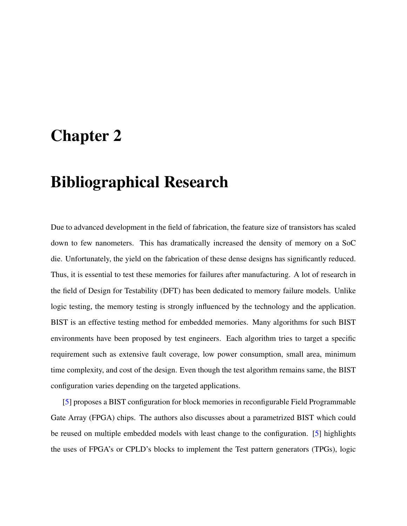## <span id="page-19-0"></span>Chapter 2

## Bibliographical Research

Due to advanced development in the field of fabrication, the feature size of transistors has scaled down to few nanometers. This has dramatically increased the density of memory on a SoC die. Unfortunately, the yield on the fabrication of these dense designs has significantly reduced. Thus, it is essential to test these memories for failures after manufacturing. A lot of research in the field of Design for Testability (DFT) has been dedicated to memory failure models. Unlike logic testing, the memory testing is strongly influenced by the technology and the application. BIST is an effective testing method for embedded memories. Many algorithms for such BIST environments have been proposed by test engineers. Each algorithm tries to target a specific requirement such as extensive fault coverage, low power consumption, small area, minimum time complexity, and cost of the design. Even though the test algorithm remains same, the BIST configuration varies depending on the targeted applications.

[\[5\]](#page-71-5) proposes a BIST configuration for block memories in reconfigurable Field Programmable Gate Array (FPGA) chips. The authors also discusses about a parametrized BIST which could be reused on multiple embedded models with least change to the configuration. [\[5\]](#page-71-5) highlights the uses of FPGA's or CPLD's blocks to implement the Test pattern generators (TPGs), logic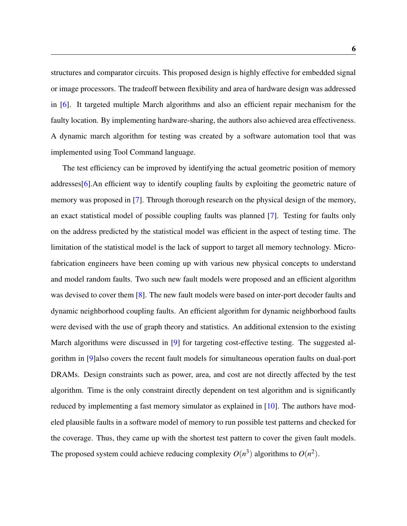structures and comparator circuits. This proposed design is highly effective for embedded signal or image processors. The tradeoff between flexibility and area of hardware design was addressed in [\[6\]](#page-71-6). It targeted multiple March algorithms and also an efficient repair mechanism for the faulty location. By implementing hardware-sharing, the authors also achieved area effectiveness. A dynamic march algorithm for testing was created by a software automation tool that was implemented using Tool Command language.

The test efficiency can be improved by identifying the actual geometric position of memory addresses[\[6\]](#page-71-6).An efficient way to identify coupling faults by exploiting the geometric nature of memory was proposed in [\[7\]](#page-71-7). Through thorough research on the physical design of the memory, an exact statistical model of possible coupling faults was planned [\[7\]](#page-71-7). Testing for faults only on the address predicted by the statistical model was efficient in the aspect of testing time. The limitation of the statistical model is the lack of support to target all memory technology. Microfabrication engineers have been coming up with various new physical concepts to understand and model random faults. Two such new fault models were proposed and an efficient algorithm was devised to cover them [\[8\]](#page-72-0). The new fault models were based on inter-port decoder faults and dynamic neighborhood coupling faults. An efficient algorithm for dynamic neighborhood faults were devised with the use of graph theory and statistics. An additional extension to the existing March algorithms were discussed in [\[9\]](#page-72-1) for targeting cost-effective testing. The suggested algorithm in [\[9\]](#page-72-1)also covers the recent fault models for simultaneous operation faults on dual-port DRAMs. Design constraints such as power, area, and cost are not directly affected by the test algorithm. Time is the only constraint directly dependent on test algorithm and is significantly reduced by implementing a fast memory simulator as explained in [\[10\]](#page-72-2). The authors have modeled plausible faults in a software model of memory to run possible test patterns and checked for the coverage. Thus, they came up with the shortest test pattern to cover the given fault models. The proposed system could achieve reducing complexity  $O(n^3)$  algorithms to  $O(n^2)$ .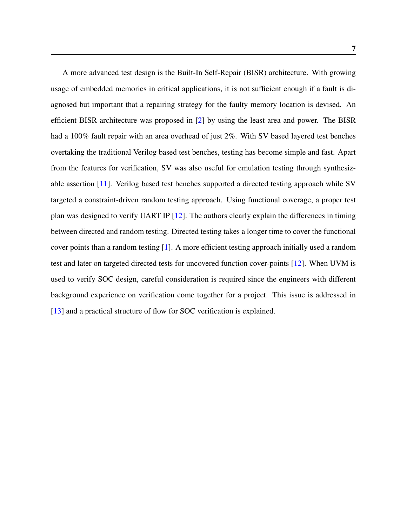A more advanced test design is the Built-In Self-Repair (BISR) architecture. With growing usage of embedded memories in critical applications, it is not sufficient enough if a fault is diagnosed but important that a repairing strategy for the faulty memory location is devised. An efficient BISR architecture was proposed in [\[2\]](#page-71-2) by using the least area and power. The BISR had a 100% fault repair with an area overhead of just 2%. With SV based layered test benches overtaking the traditional Verilog based test benches, testing has become simple and fast. Apart from the features for verification, SV was also useful for emulation testing through synthesizable assertion [\[11\]](#page-72-3). Verilog based test benches supported a directed testing approach while SV targeted a constraint-driven random testing approach. Using functional coverage, a proper test plan was designed to verify UART IP [\[12\]](#page-72-4). The authors clearly explain the differences in timing between directed and random testing. Directed testing takes a longer time to cover the functional cover points than a random testing [\[1\]](#page-71-1). A more efficient testing approach initially used a random test and later on targeted directed tests for uncovered function cover-points [\[12\]](#page-72-4). When UVM is used to verify SOC design, careful consideration is required since the engineers with different background experience on verification come together for a project. This issue is addressed in [\[13\]](#page-72-5) and a practical structure of flow for SOC verification is explained.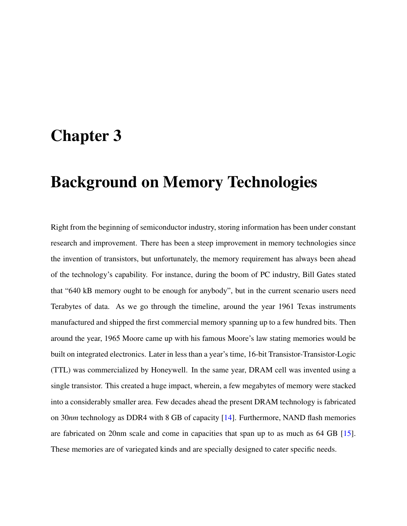## <span id="page-22-0"></span>Chapter 3

## Background on Memory Technologies

Right from the beginning of semiconductor industry, storing information has been under constant research and improvement. There has been a steep improvement in memory technologies since the invention of transistors, but unfortunately, the memory requirement has always been ahead of the technology's capability. For instance, during the boom of PC industry, Bill Gates stated that "640 kB memory ought to be enough for anybody", but in the current scenario users need Terabytes of data. As we go through the timeline, around the year 1961 Texas instruments manufactured and shipped the first commercial memory spanning up to a few hundred bits. Then around the year, 1965 Moore came up with his famous Moore's law stating memories would be built on integrated electronics. Later in less than a year's time, 16-bit Transistor-Transistor-Logic (TTL) was commercialized by Honeywell. In the same year, DRAM cell was invented using a single transistor. This created a huge impact, wherein, a few megabytes of memory were stacked into a considerably smaller area. Few decades ahead the present DRAM technology is fabricated on 30*nm* technology as DDR4 with 8 GB of capacity [\[14\]](#page-72-6). Furthermore, NAND flash memories are fabricated on 20nm scale and come in capacities that span up to as much as 64 GB [\[15\]](#page-72-7). These memories are of variegated kinds and are specially designed to cater specific needs.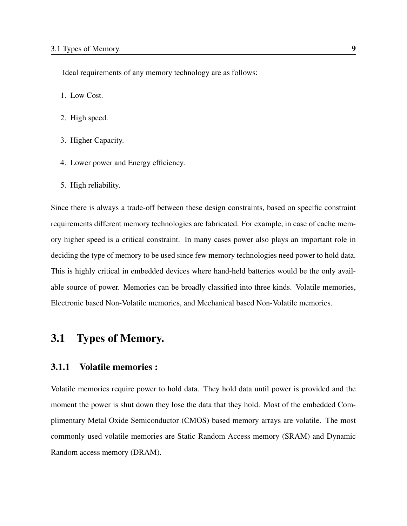Ideal requirements of any memory technology are as follows:

- 1. Low Cost.
- 2. High speed.
- 3. Higher Capacity.
- 4. Lower power and Energy efficiency.
- 5. High reliability.

Since there is always a trade-off between these design constraints, based on specific constraint requirements different memory technologies are fabricated. For example, in case of cache memory higher speed is a critical constraint. In many cases power also plays an important role in deciding the type of memory to be used since few memory technologies need power to hold data. This is highly critical in embedded devices where hand-held batteries would be the only available source of power. Memories can be broadly classified into three kinds. Volatile memories, Electronic based Non-Volatile memories, and Mechanical based Non-Volatile memories.

### <span id="page-23-0"></span>3.1 Types of Memory.

#### <span id="page-23-1"></span>3.1.1 Volatile memories :

Volatile memories require power to hold data. They hold data until power is provided and the moment the power is shut down they lose the data that they hold. Most of the embedded Complimentary Metal Oxide Semiconductor (CMOS) based memory arrays are volatile. The most commonly used volatile memories are Static Random Access memory (SRAM) and Dynamic Random access memory (DRAM).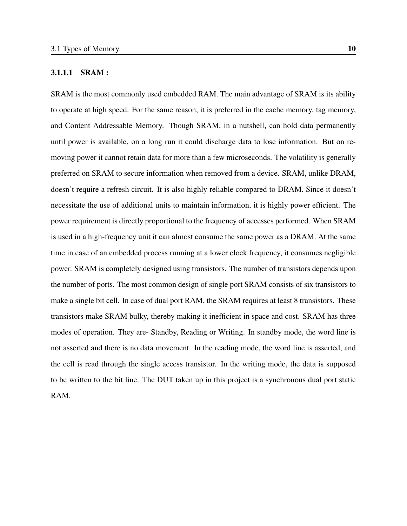#### <span id="page-24-0"></span>3.1.1.1 SRAM :

SRAM is the most commonly used embedded RAM. The main advantage of SRAM is its ability to operate at high speed. For the same reason, it is preferred in the cache memory, tag memory, and Content Addressable Memory. Though SRAM, in a nutshell, can hold data permanently until power is available, on a long run it could discharge data to lose information. But on removing power it cannot retain data for more than a few microseconds. The volatility is generally preferred on SRAM to secure information when removed from a device. SRAM, unlike DRAM, doesn't require a refresh circuit. It is also highly reliable compared to DRAM. Since it doesn't necessitate the use of additional units to maintain information, it is highly power efficient. The power requirement is directly proportional to the frequency of accesses performed. When SRAM is used in a high-frequency unit it can almost consume the same power as a DRAM. At the same time in case of an embedded process running at a lower clock frequency, it consumes negligible power. SRAM is completely designed using transistors. The number of transistors depends upon the number of ports. The most common design of single port SRAM consists of six transistors to make a single bit cell. In case of dual port RAM, the SRAM requires at least 8 transistors. These transistors make SRAM bulky, thereby making it inefficient in space and cost. SRAM has three modes of operation. They are- Standby, Reading or Writing. In standby mode, the word line is not asserted and there is no data movement. In the reading mode, the word line is asserted, and the cell is read through the single access transistor. In the writing mode, the data is supposed to be written to the bit line. The DUT taken up in this project is a synchronous dual port static RAM.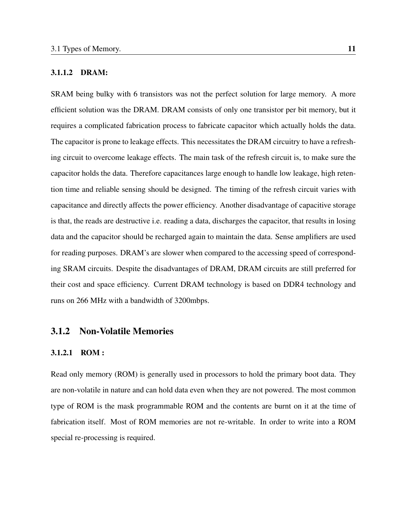#### <span id="page-25-0"></span>3.1.1.2 DRAM:

SRAM being bulky with 6 transistors was not the perfect solution for large memory. A more efficient solution was the DRAM. DRAM consists of only one transistor per bit memory, but it requires a complicated fabrication process to fabricate capacitor which actually holds the data. The capacitor is prone to leakage effects. This necessitates the DRAM circuitry to have a refreshing circuit to overcome leakage effects. The main task of the refresh circuit is, to make sure the capacitor holds the data. Therefore capacitances large enough to handle low leakage, high retention time and reliable sensing should be designed. The timing of the refresh circuit varies with capacitance and directly affects the power efficiency. Another disadvantage of capacitive storage is that, the reads are destructive i.e. reading a data, discharges the capacitor, that results in losing data and the capacitor should be recharged again to maintain the data. Sense amplifiers are used for reading purposes. DRAM's are slower when compared to the accessing speed of corresponding SRAM circuits. Despite the disadvantages of DRAM, DRAM circuits are still preferred for their cost and space efficiency. Current DRAM technology is based on DDR4 technology and runs on 266 MHz with a bandwidth of 3200mbps.

#### <span id="page-25-1"></span>3.1.2 Non-Volatile Memories

#### <span id="page-25-2"></span>3.1.2.1 ROM :

Read only memory (ROM) is generally used in processors to hold the primary boot data. They are non-volatile in nature and can hold data even when they are not powered. The most common type of ROM is the mask programmable ROM and the contents are burnt on it at the time of fabrication itself. Most of ROM memories are not re-writable. In order to write into a ROM special re-processing is required.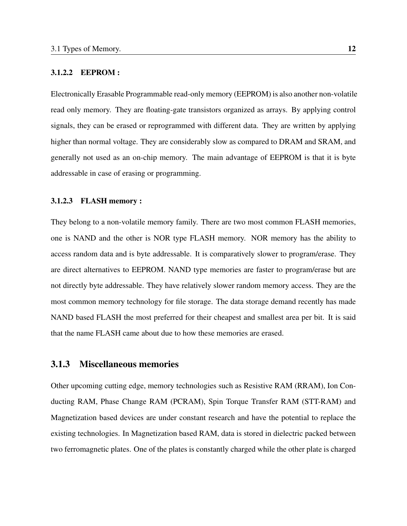#### <span id="page-26-0"></span>3.1.2.2 EEPROM :

Electronically Erasable Programmable read-only memory (EEPROM) is also another non-volatile read only memory. They are floating-gate transistors organized as arrays. By applying control signals, they can be erased or reprogrammed with different data. They are written by applying higher than normal voltage. They are considerably slow as compared to DRAM and SRAM, and generally not used as an on-chip memory. The main advantage of EEPROM is that it is byte addressable in case of erasing or programming.

#### <span id="page-26-1"></span>3.1.2.3 FLASH memory :

They belong to a non-volatile memory family. There are two most common FLASH memories, one is NAND and the other is NOR type FLASH memory. NOR memory has the ability to access random data and is byte addressable. It is comparatively slower to program/erase. They are direct alternatives to EEPROM. NAND type memories are faster to program/erase but are not directly byte addressable. They have relatively slower random memory access. They are the most common memory technology for file storage. The data storage demand recently has made NAND based FLASH the most preferred for their cheapest and smallest area per bit. It is said that the name FLASH came about due to how these memories are erased.

#### <span id="page-26-2"></span>3.1.3 Miscellaneous memories

Other upcoming cutting edge, memory technologies such as Resistive RAM (RRAM), Ion Conducting RAM, Phase Change RAM (PCRAM), Spin Torque Transfer RAM (STT-RAM) and Magnetization based devices are under constant research and have the potential to replace the existing technologies. In Magnetization based RAM, data is stored in dielectric packed between two ferromagnetic plates. One of the plates is constantly charged while the other plate is charged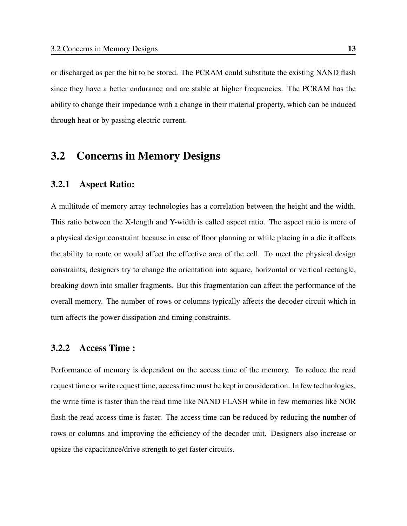or discharged as per the bit to be stored. The PCRAM could substitute the existing NAND flash since they have a better endurance and are stable at higher frequencies. The PCRAM has the ability to change their impedance with a change in their material property, which can be induced through heat or by passing electric current.

### <span id="page-27-0"></span>3.2 Concerns in Memory Designs

#### <span id="page-27-1"></span>3.2.1 Aspect Ratio:

A multitude of memory array technologies has a correlation between the height and the width. This ratio between the X-length and Y-width is called aspect ratio. The aspect ratio is more of a physical design constraint because in case of floor planning or while placing in a die it affects the ability to route or would affect the effective area of the cell. To meet the physical design constraints, designers try to change the orientation into square, horizontal or vertical rectangle, breaking down into smaller fragments. But this fragmentation can affect the performance of the overall memory. The number of rows or columns typically affects the decoder circuit which in turn affects the power dissipation and timing constraints.

#### <span id="page-27-2"></span>3.2.2 Access Time :

Performance of memory is dependent on the access time of the memory. To reduce the read request time or write request time, access time must be kept in consideration. In few technologies, the write time is faster than the read time like NAND FLASH while in few memories like NOR flash the read access time is faster. The access time can be reduced by reducing the number of rows or columns and improving the efficiency of the decoder unit. Designers also increase or upsize the capacitance/drive strength to get faster circuits.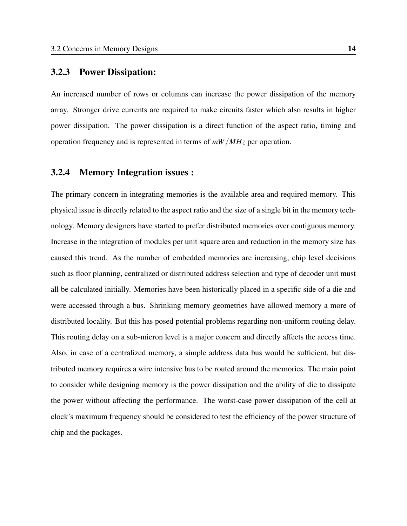#### <span id="page-28-0"></span>3.2.3 Power Dissipation:

An increased number of rows or columns can increase the power dissipation of the memory array. Stronger drive currents are required to make circuits faster which also results in higher power dissipation. The power dissipation is a direct function of the aspect ratio, timing and operation frequency and is represented in terms of *mW*/*MHz* per operation.

#### <span id="page-28-1"></span>3.2.4 Memory Integration issues :

The primary concern in integrating memories is the available area and required memory. This physical issue is directly related to the aspect ratio and the size of a single bit in the memory technology. Memory designers have started to prefer distributed memories over contiguous memory. Increase in the integration of modules per unit square area and reduction in the memory size has caused this trend. As the number of embedded memories are increasing, chip level decisions such as floor planning, centralized or distributed address selection and type of decoder unit must all be calculated initially. Memories have been historically placed in a specific side of a die and were accessed through a bus. Shrinking memory geometries have allowed memory a more of distributed locality. But this has posed potential problems regarding non-uniform routing delay. This routing delay on a sub-micron level is a major concern and directly affects the access time. Also, in case of a centralized memory, a simple address data bus would be sufficient, but distributed memory requires a wire intensive bus to be routed around the memories. The main point to consider while designing memory is the power dissipation and the ability of die to dissipate the power without affecting the performance. The worst-case power dissipation of the cell at clock's maximum frequency should be considered to test the efficiency of the power structure of chip and the packages.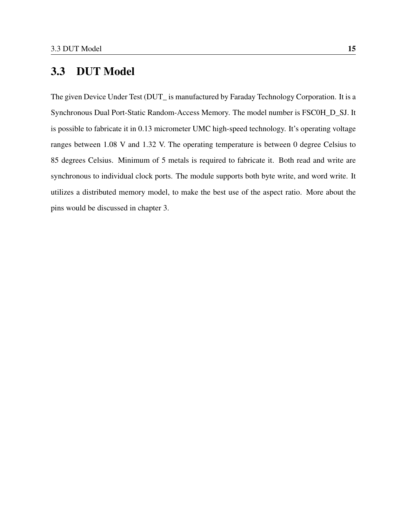## <span id="page-29-0"></span>3.3 DUT Model

The given Device Under Test (DUT\_ is manufactured by Faraday Technology Corporation. It is a Synchronous Dual Port-Static Random-Access Memory. The model number is FSC0H\_D\_SJ. It is possible to fabricate it in 0.13 micrometer UMC high-speed technology. It's operating voltage ranges between 1.08 V and 1.32 V. The operating temperature is between 0 degree Celsius to 85 degrees Celsius. Minimum of 5 metals is required to fabricate it. Both read and write are synchronous to individual clock ports. The module supports both byte write, and word write. It utilizes a distributed memory model, to make the best use of the aspect ratio. More about the pins would be discussed in chapter 3.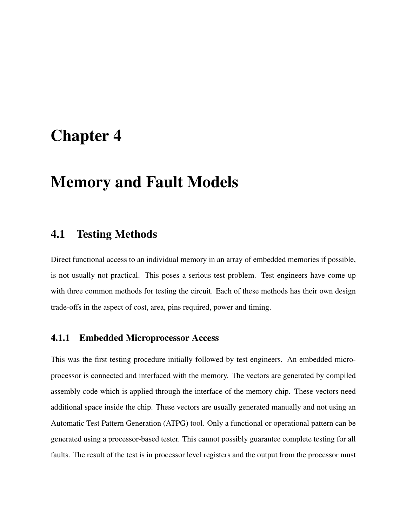## <span id="page-30-0"></span>Chapter 4

## Memory and Fault Models

### <span id="page-30-1"></span>4.1 Testing Methods

Direct functional access to an individual memory in an array of embedded memories if possible, is not usually not practical. This poses a serious test problem. Test engineers have come up with three common methods for testing the circuit. Each of these methods has their own design trade-offs in the aspect of cost, area, pins required, power and timing.

#### <span id="page-30-2"></span>4.1.1 Embedded Microprocessor Access

This was the first testing procedure initially followed by test engineers. An embedded microprocessor is connected and interfaced with the memory. The vectors are generated by compiled assembly code which is applied through the interface of the memory chip. These vectors need additional space inside the chip. These vectors are usually generated manually and not using an Automatic Test Pattern Generation (ATPG) tool. Only a functional or operational pattern can be generated using a processor-based tester. This cannot possibly guarantee complete testing for all faults. The result of the test is in processor level registers and the output from the processor must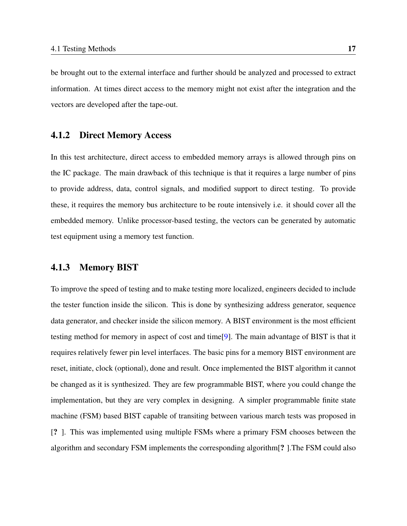be brought out to the external interface and further should be analyzed and processed to extract information. At times direct access to the memory might not exist after the integration and the vectors are developed after the tape-out.

#### <span id="page-31-0"></span>4.1.2 Direct Memory Access

In this test architecture, direct access to embedded memory arrays is allowed through pins on the IC package. The main drawback of this technique is that it requires a large number of pins to provide address, data, control signals, and modified support to direct testing. To provide these, it requires the memory bus architecture to be route intensively i.e. it should cover all the embedded memory. Unlike processor-based testing, the vectors can be generated by automatic test equipment using a memory test function.

#### <span id="page-31-1"></span>4.1.3 Memory BIST

To improve the speed of testing and to make testing more localized, engineers decided to include the tester function inside the silicon. This is done by synthesizing address generator, sequence data generator, and checker inside the silicon memory. A BIST environment is the most efficient testing method for memory in aspect of cost and time[\[9\]](#page-72-1). The main advantage of BIST is that it requires relatively fewer pin level interfaces. The basic pins for a memory BIST environment are reset, initiate, clock (optional), done and result. Once implemented the BIST algorithm it cannot be changed as it is synthesized. They are few programmable BIST, where you could change the implementation, but they are very complex in designing. A simpler programmable finite state machine (FSM) based BIST capable of transiting between various march tests was proposed in [? ]. This was implemented using multiple FSMs where a primary FSM chooses between the algorithm and secondary FSM implements the corresponding algorithm[? ].The FSM could also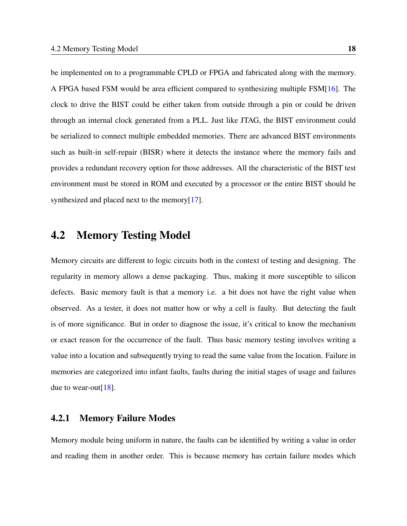be implemented on to a programmable CPLD or FPGA and fabricated along with the memory. A FPGA based FSM would be area efficient compared to synthesizing multiple FSM[\[16\]](#page-73-0). The clock to drive the BIST could be either taken from outside through a pin or could be driven through an internal clock generated from a PLL. Just like JTAG, the BIST environment could be serialized to connect multiple embedded memories. There are advanced BIST environments such as built-in self-repair (BISR) where it detects the instance where the memory fails and provides a redundant recovery option for those addresses. All the characteristic of the BIST test environment must be stored in ROM and executed by a processor or the entire BIST should be synthesized and placed next to the memory[\[17\]](#page-73-1).

### <span id="page-32-0"></span>4.2 Memory Testing Model

Memory circuits are different to logic circuits both in the context of testing and designing. The regularity in memory allows a dense packaging. Thus, making it more susceptible to silicon defects. Basic memory fault is that a memory i.e. a bit does not have the right value when observed. As a tester, it does not matter how or why a cell is faulty. But detecting the fault is of more significance. But in order to diagnose the issue, it's critical to know the mechanism or exact reason for the occurrence of the fault. Thus basic memory testing involves writing a value into a location and subsequently trying to read the same value from the location. Failure in memories are categorized into infant faults, faults during the initial stages of usage and failures due to wear-out[\[18\]](#page-73-2).

#### <span id="page-32-1"></span>4.2.1 Memory Failure Modes

Memory module being uniform in nature, the faults can be identified by writing a value in order and reading them in another order. This is because memory has certain failure modes which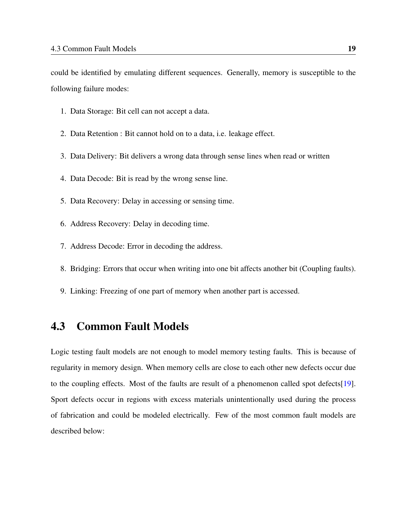could be identified by emulating different sequences. Generally, memory is susceptible to the following failure modes:

- 1. Data Storage: Bit cell can not accept a data.
- 2. Data Retention : Bit cannot hold on to a data, i.e. leakage effect.
- 3. Data Delivery: Bit delivers a wrong data through sense lines when read or written
- 4. Data Decode: Bit is read by the wrong sense line.
- 5. Data Recovery: Delay in accessing or sensing time.
- 6. Address Recovery: Delay in decoding time.
- 7. Address Decode: Error in decoding the address.
- 8. Bridging: Errors that occur when writing into one bit affects another bit (Coupling faults).
- 9. Linking: Freezing of one part of memory when another part is accessed.

### <span id="page-33-0"></span>4.3 Common Fault Models

Logic testing fault models are not enough to model memory testing faults. This is because of regularity in memory design. When memory cells are close to each other new defects occur due to the coupling effects. Most of the faults are result of a phenomenon called spot defects[\[19\]](#page-73-3). Sport defects occur in regions with excess materials unintentionally used during the process of fabrication and could be modeled electrically. Few of the most common fault models are described below: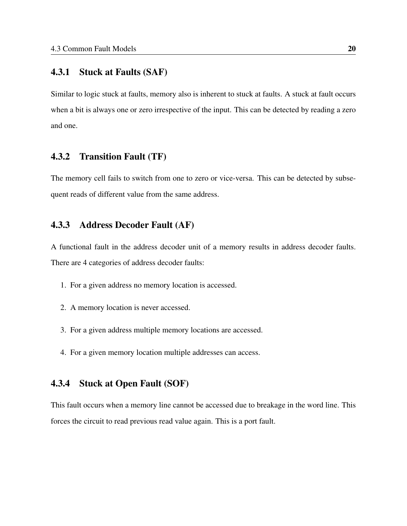#### <span id="page-34-0"></span>4.3.1 Stuck at Faults (SAF)

Similar to logic stuck at faults, memory also is inherent to stuck at faults. A stuck at fault occurs when a bit is always one or zero irrespective of the input. This can be detected by reading a zero and one.

#### <span id="page-34-1"></span>4.3.2 Transition Fault (TF)

The memory cell fails to switch from one to zero or vice-versa. This can be detected by subsequent reads of different value from the same address.

#### <span id="page-34-2"></span>4.3.3 Address Decoder Fault (AF)

A functional fault in the address decoder unit of a memory results in address decoder faults. There are 4 categories of address decoder faults:

- 1. For a given address no memory location is accessed.
- 2. A memory location is never accessed.
- 3. For a given address multiple memory locations are accessed.
- 4. For a given memory location multiple addresses can access.

#### <span id="page-34-3"></span>4.3.4 Stuck at Open Fault (SOF)

This fault occurs when a memory line cannot be accessed due to breakage in the word line. This forces the circuit to read previous read value again. This is a port fault.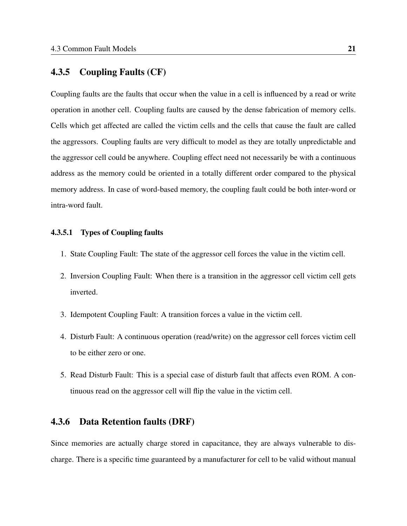#### <span id="page-35-0"></span>4.3.5 Coupling Faults (CF)

Coupling faults are the faults that occur when the value in a cell is influenced by a read or write operation in another cell. Coupling faults are caused by the dense fabrication of memory cells. Cells which get affected are called the victim cells and the cells that cause the fault are called the aggressors. Coupling faults are very difficult to model as they are totally unpredictable and the aggressor cell could be anywhere. Coupling effect need not necessarily be with a continuous address as the memory could be oriented in a totally different order compared to the physical memory address. In case of word-based memory, the coupling fault could be both inter-word or intra-word fault.

#### <span id="page-35-1"></span>4.3.5.1 Types of Coupling faults

- 1. State Coupling Fault: The state of the aggressor cell forces the value in the victim cell.
- 2. Inversion Coupling Fault: When there is a transition in the aggressor cell victim cell gets inverted.
- 3. Idempotent Coupling Fault: A transition forces a value in the victim cell.
- 4. Disturb Fault: A continuous operation (read/write) on the aggressor cell forces victim cell to be either zero or one.
- 5. Read Disturb Fault: This is a special case of disturb fault that affects even ROM. A continuous read on the aggressor cell will flip the value in the victim cell.

#### <span id="page-35-2"></span>4.3.6 Data Retention faults (DRF)

Since memories are actually charge stored in capacitance, they are always vulnerable to discharge. There is a specific time guaranteed by a manufacturer for cell to be valid without manual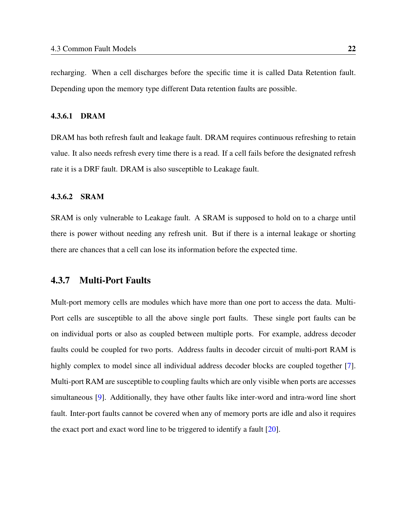recharging. When a cell discharges before the specific time it is called Data Retention fault. Depending upon the memory type different Data retention faults are possible.

#### 4.3.6.1 DRAM

DRAM has both refresh fault and leakage fault. DRAM requires continuous refreshing to retain value. It also needs refresh every time there is a read. If a cell fails before the designated refresh rate it is a DRF fault. DRAM is also susceptible to Leakage fault.

#### 4.3.6.2 SRAM

SRAM is only vulnerable to Leakage fault. A SRAM is supposed to hold on to a charge until there is power without needing any refresh unit. But if there is a internal leakage or shorting there are chances that a cell can lose its information before the expected time.

### 4.3.7 Multi-Port Faults

Mult-port memory cells are modules which have more than one port to access the data. Multi-Port cells are susceptible to all the above single port faults. These single port faults can be on individual ports or also as coupled between multiple ports. For example, address decoder faults could be coupled for two ports. Address faults in decoder circuit of multi-port RAM is highly complex to model since all individual address decoder blocks are coupled together [\[7\]](#page-71-0). Multi-port RAM are susceptible to coupling faults which are only visible when ports are accesses simultaneous [\[9\]](#page-72-0). Additionally, they have other faults like inter-word and intra-word line short fault. Inter-port faults cannot be covered when any of memory ports are idle and also it requires the exact port and exact word line to be triggered to identify a fault  $[20]$ .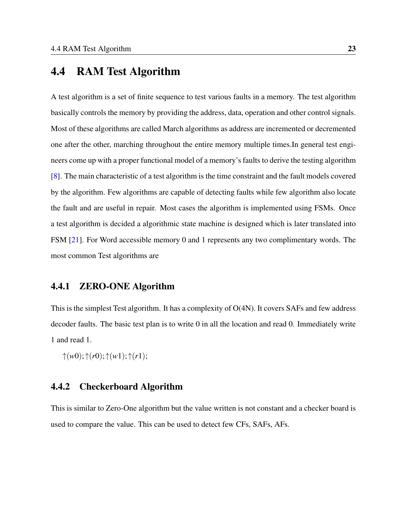## 4.4 RAM Test Algorithm

A test algorithm is a set of finite sequence to test various faults in a memory. The test algorithm basically controls the memory by providing the address, data, operation and other control signals. Most of these algorithms are called March algorithms as address are incremented or decremented one after the other, marching throughout the entire memory multiple times.In general test engineers come up with a proper functional model of a memory's faults to derive the testing algorithm [\[8\]](#page-72-1). The main characteristic of a test algorithm is the time constraint and the fault models covered by the algorithm. Few algorithms are capable of detecting faults while few algorithm also locate the fault and are useful in repair. Most cases the algorithm is implemented using FSMs. Once a test algorithm is decided a algorithmic state machine is designed which is later translated into FSM [\[21\]](#page-73-1). For Word accessible memory 0 and 1 represents any two complimentary words. The most common Test algorithms are

### 4.4.1 ZERO-ONE Algorithm

This is the simplest Test algorithm. It has a complexity of O(4N). It covers SAFs and few address decoder faults. The basic test plan is to write 0 in all the location and read 0. Immediately write 1 and read 1.

↑(*w*0);↑(*r*0);↑(*w*1);↑(*r*1);

## 4.4.2 Checkerboard Algorithm

This is similar to Zero-One algorithm but the value written is not constant and a checker board is used to compare the value. This can be used to detect few CFs, SAFs, AFs.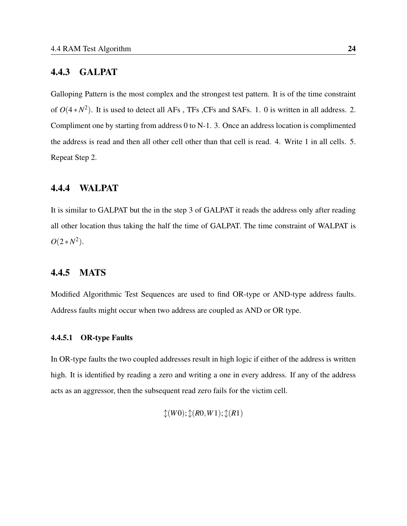#### 4.4.3 GALPAT

Galloping Pattern is the most complex and the strongest test pattern. It is of the time constraint of  $O(4*N^2)$ . It is used to detect all AFs, TFs, CFs and SAFs. 1. 0 is written in all address. 2. Compliment one by starting from address 0 to N-1. 3. Once an address location is complimented the address is read and then all other cell other than that cell is read. 4. Write 1 in all cells. 5. Repeat Step 2.

## 4.4.4 WALPAT

It is similar to GALPAT but the in the step 3 of GALPAT it reads the address only after reading all other location thus taking the half the time of GALPAT. The time constraint of WALPAT is  $O(2*N^2)$ .

## 4.4.5 MATS

Modified Algorithmic Test Sequences are used to find OR-type or AND-type address faults. Address faults might occur when two address are coupled as AND or OR type.

#### 4.4.5.1 OR-type Faults

In OR-type faults the two coupled addresses result in high logic if either of the address is written high. It is identified by reading a zero and writing a one in every address. If any of the address acts as an aggressor, then the subsequent read zero fails for the victim cell.

$$
\mathcal{L}(W0); \mathcal{L}(R0, W1); \mathcal{L}(R1)
$$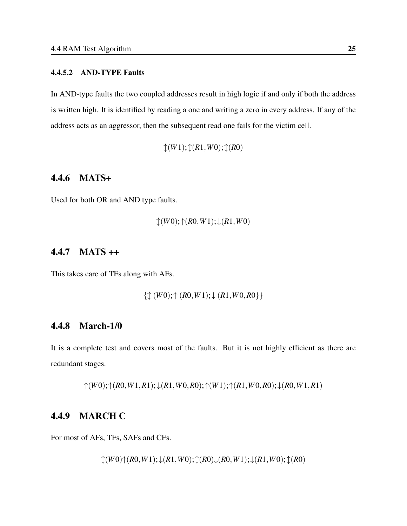#### 4.4.5.2 AND-TYPE Faults

In AND-type faults the two coupled addresses result in high logic if and only if both the address is written high. It is identified by reading a one and writing a zero in every address. If any of the address acts as an aggressor, then the subsequent read one fails for the victim cell.

↕(*W*1);↕(*R*1,*W*0);↕(*R*0)

## 4.4.6 MATS+

Used for both OR and AND type faults.

$$
\mathcal{L}(W0); \mathcal{L}(R0, W1); \mathcal{L}(R1, W0)
$$

## 4.4.7 MATS ++

This takes care of TFs along with AFs.

{↕ (*W*0);↑ (*R*0,*W*1);↓ (*R*1,*W*0,*R*0}}

## 4.4.8 March-1/0

It is a complete test and covers most of the faults. But it is not highly efficient as there are redundant stages.

↑(*W*0);↑(*R*0,*W*1,*R*1);↓(*R*1,*W*0,*R*0);↑(*W*1);↑(*R*1,*W*0,*R*0);↓(*R*0,*W*1,*R*1)

## 4.4.9 MARCH C

For most of AFs, TFs, SAFs and CFs.

↕(*W*0)↑(*R*0,*W*1);↓(*R*1,*W*0);↕(*R*0)↓(*R*0,*W*1);↓(*R*1,*W*0);↕(*R*0)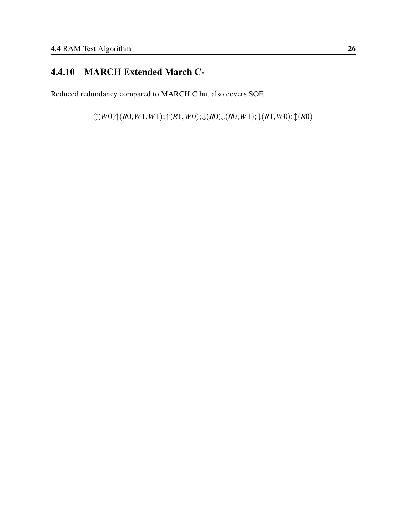# 4.4.10 MARCH Extended March C-

Reduced redundancy compared to MARCH C but also covers SOF.

↕(*W*0)↑(*R*0,*W*1,*W*1);↑(*R*1,*W*0);↓(*R*0)↓(*R*0,*W*1);↓(*R*1,*W*0);↕(*R*0)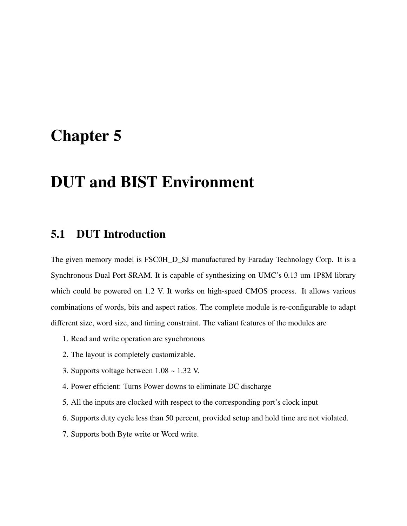# Chapter 5

# DUT and BIST Environment

## 5.1 DUT Introduction

The given memory model is FSC0H\_D\_SJ manufactured by Faraday Technology Corp. It is a Synchronous Dual Port SRAM. It is capable of synthesizing on UMC's 0.13 um 1P8M library which could be powered on 1.2 V. It works on high-speed CMOS process. It allows various combinations of words, bits and aspect ratios. The complete module is re-configurable to adapt different size, word size, and timing constraint. The valiant features of the modules are

- 1. Read and write operation are synchronous
- 2. The layout is completely customizable.
- 3. Supports voltage between 1.08 ~ 1.32 V.
- 4. Power efficient: Turns Power downs to eliminate DC discharge
- 5. All the inputs are clocked with respect to the corresponding port's clock input
- 6. Supports duty cycle less than 50 percent, provided setup and hold time are not violated.
- 7. Supports both Byte write or Word write.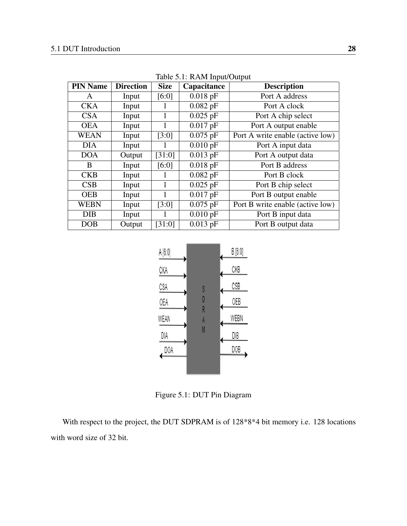| <b>PIN Name</b> | <b>Direction</b> | <b>Size</b> | Capacitance | <b>Description</b>               |
|-----------------|------------------|-------------|-------------|----------------------------------|
| A               | Input            | [6:0]       | $0.018$ pF  | Port A address                   |
| <b>CKA</b>      | Input            |             | $0.082$ pF  | Port A clock                     |
| <b>CSA</b>      | Input            | 1           | $0.025$ pF  | Port A chip select               |
| <b>OEA</b>      | Input            | 1           | $0.017$ pF  | Port A output enable             |
| WEAN            | Input            | [3:0]       | $0.075$ pF  | Port A write enable (active low) |
| <b>DIA</b>      | Input            |             | $0.010$ pF  | Port A input data                |
| <b>DOA</b>      | Output           | [31:0]      | $0.013$ pF  | Port A output data               |
| B               | Input            | [6:0]       | $0.018$ pF  | Port B address                   |
| <b>CKB</b>      | Input            |             | $0.082$ pF  | Port B clock                     |
| CSB             | Input            | 1           | $0.025$ pF  | Port B chip select               |
| <b>OEB</b>      | Input            | 1           | $0.017$ pF  | Port B output enable             |
| <b>WEBN</b>     | Input            | [3:0]       | $0.075$ pF  | Port B write enable (active low) |
| <b>DIB</b>      | Input            | L           | $0.010$ pF  | Port B input data                |
| <b>DOB</b>      | Output           | [31:0]      | $0.013$ pF  | Port B output data               |

Table 5.1: RAM Input/Output



Figure 5.1: DUT Pin Diagram

With respect to the project, the DUT SDPRAM is of 128\*8\*4 bit memory i.e. 128 locations with word size of 32 bit.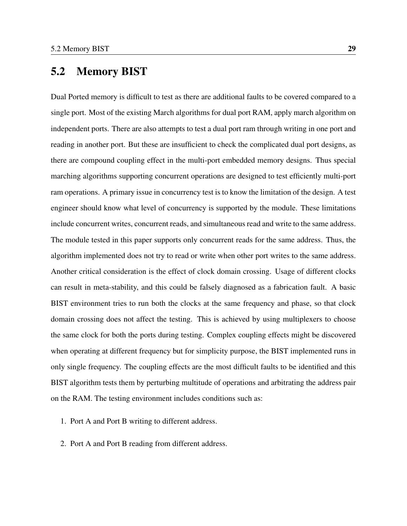## 5.2 Memory BIST

Dual Ported memory is difficult to test as there are additional faults to be covered compared to a single port. Most of the existing March algorithms for dual port RAM, apply march algorithm on independent ports. There are also attempts to test a dual port ram through writing in one port and reading in another port. But these are insufficient to check the complicated dual port designs, as there are compound coupling effect in the multi-port embedded memory designs. Thus special marching algorithms supporting concurrent operations are designed to test efficiently multi-port ram operations. A primary issue in concurrency test is to know the limitation of the design. A test engineer should know what level of concurrency is supported by the module. These limitations include concurrent writes, concurrent reads, and simultaneous read and write to the same address. The module tested in this paper supports only concurrent reads for the same address. Thus, the algorithm implemented does not try to read or write when other port writes to the same address. Another critical consideration is the effect of clock domain crossing. Usage of different clocks can result in meta-stability, and this could be falsely diagnosed as a fabrication fault. A basic BIST environment tries to run both the clocks at the same frequency and phase, so that clock domain crossing does not affect the testing. This is achieved by using multiplexers to choose the same clock for both the ports during testing. Complex coupling effects might be discovered when operating at different frequency but for simplicity purpose, the BIST implemented runs in only single frequency. The coupling effects are the most difficult faults to be identified and this BIST algorithm tests them by perturbing multitude of operations and arbitrating the address pair on the RAM. The testing environment includes conditions such as:

- 1. Port A and Port B writing to different address.
- 2. Port A and Port B reading from different address.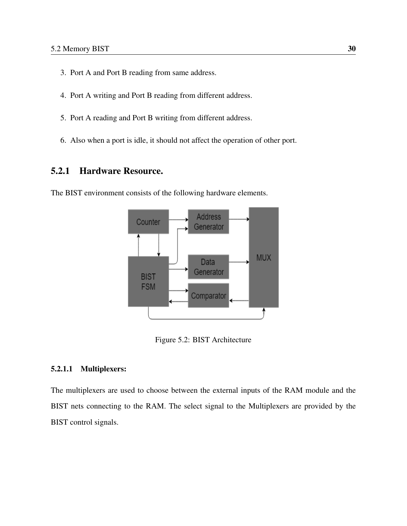- 3. Port A and Port B reading from same address.
- 4. Port A writing and Port B reading from different address.
- 5. Port A reading and Port B writing from different address.
- 6. Also when a port is idle, it should not affect the operation of other port.

## 5.2.1 Hardware Resource.

The BIST environment consists of the following hardware elements.



Figure 5.2: BIST Architecture

#### 5.2.1.1 Multiplexers:

The multiplexers are used to choose between the external inputs of the RAM module and the BIST nets connecting to the RAM. The select signal to the Multiplexers are provided by the BIST control signals.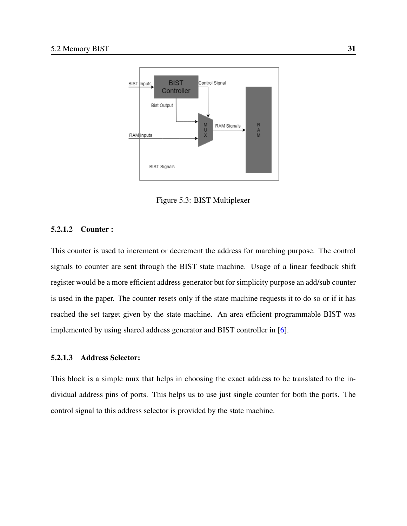

Figure 5.3: BIST Multiplexer

#### 5.2.1.2 Counter :

This counter is used to increment or decrement the address for marching purpose. The control signals to counter are sent through the BIST state machine. Usage of a linear feedback shift register would be a more efficient address generator but for simplicity purpose an add/sub counter is used in the paper. The counter resets only if the state machine requests it to do so or if it has reached the set target given by the state machine. An area efficient programmable BIST was implemented by using shared address generator and BIST controller in [\[6\]](#page-71-1).

#### 5.2.1.3 Address Selector:

This block is a simple mux that helps in choosing the exact address to be translated to the individual address pins of ports. This helps us to use just single counter for both the ports. The control signal to this address selector is provided by the state machine.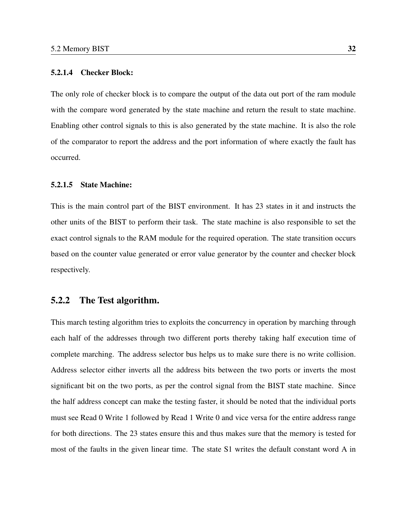#### 5.2.1.4 Checker Block:

The only role of checker block is to compare the output of the data out port of the ram module with the compare word generated by the state machine and return the result to state machine. Enabling other control signals to this is also generated by the state machine. It is also the role of the comparator to report the address and the port information of where exactly the fault has occurred.

#### 5.2.1.5 State Machine:

This is the main control part of the BIST environment. It has 23 states in it and instructs the other units of the BIST to perform their task. The state machine is also responsible to set the exact control signals to the RAM module for the required operation. The state transition occurs based on the counter value generated or error value generator by the counter and checker block respectively.

### 5.2.2 The Test algorithm.

This march testing algorithm tries to exploits the concurrency in operation by marching through each half of the addresses through two different ports thereby taking half execution time of complete marching. The address selector bus helps us to make sure there is no write collision. Address selector either inverts all the address bits between the two ports or inverts the most significant bit on the two ports, as per the control signal from the BIST state machine. Since the half address concept can make the testing faster, it should be noted that the individual ports must see Read 0 Write 1 followed by Read 1 Write 0 and vice versa for the entire address range for both directions. The 23 states ensure this and thus makes sure that the memory is tested for most of the faults in the given linear time. The state S1 writes the default constant word A in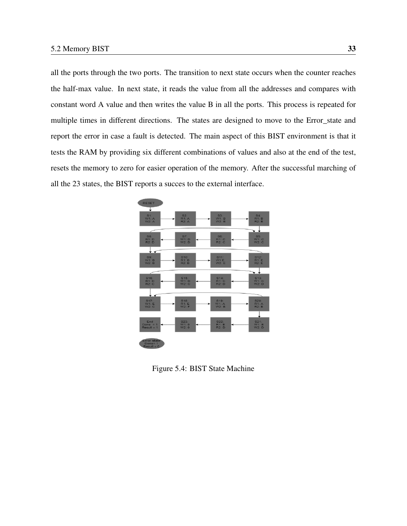all the ports through the two ports. The transition to next state occurs when the counter reaches the half-max value. In next state, it reads the value from all the addresses and compares with constant word A value and then writes the value B in all the ports. This process is repeated for multiple times in different directions. The states are designed to move to the Error\_state and report the error in case a fault is detected. The main aspect of this BIST environment is that it tests the RAM by providing six different combinations of values and also at the end of the test, resets the memory to zero for easier operation of the memory. After the successful marching of all the 23 states, the BIST reports a succes to the external interface.



Figure 5.4: BIST State Machine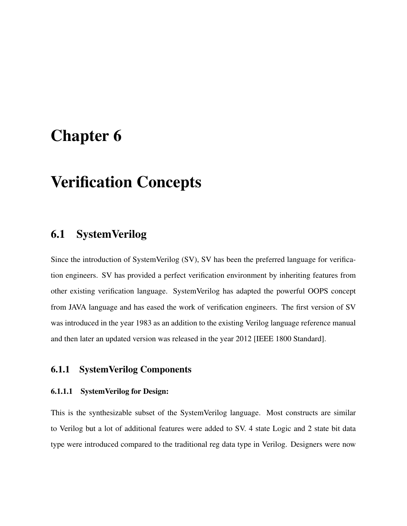# Chapter 6

# Verification Concepts

## 6.1 SystemVerilog

Since the introduction of SystemVerilog (SV), SV has been the preferred language for verification engineers. SV has provided a perfect verification environment by inheriting features from other existing verification language. SystemVerilog has adapted the powerful OOPS concept from JAVA language and has eased the work of verification engineers. The first version of SV was introduced in the year 1983 as an addition to the existing Verilog language reference manual and then later an updated version was released in the year 2012 [IEEE 1800 Standard].

## 6.1.1 SystemVerilog Components

#### 6.1.1.1 SystemVerilog for Design:

This is the synthesizable subset of the SystemVerilog language. Most constructs are similar to Verilog but a lot of additional features were added to SV. 4 state Logic and 2 state bit data type were introduced compared to the traditional reg data type in Verilog. Designers were now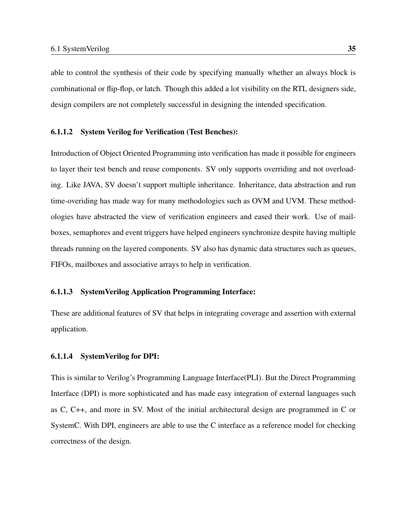able to control the synthesis of their code by specifying manually whether an always block is combinational or flip-flop, or latch. Though this added a lot visibility on the RTL designers side, design compilers are not completely successful in designing the intended specification.

#### 6.1.1.2 System Verilog for Verification (Test Benches):

Introduction of Object Oriented Programming into verification has made it possible for engineers to layer their test bench and reuse components. SV only supports overriding and not overloading. Like JAVA, SV doesn't support multiple inheritance. Inheritance, data abstraction and run time-overiding has made way for many methodologies such as OVM and UVM. These methodologies have abstracted the view of verification engineers and eased their work. Use of mailboxes, semaphores and event triggers have helped engineers synchronize despite having multiple threads running on the layered components. SV also has dynamic data structures such as queues, FIFOs, mailboxes and associative arrays to help in verification.

#### 6.1.1.3 SystemVerilog Application Programming Interface:

These are additional features of SV that helps in integrating coverage and assertion with external application.

#### 6.1.1.4 SystemVerilog for DPI:

This is similar to Verilog's Programming Language Interface(PLI). But the Direct Programming Interface (DPI) is more sophisticated and has made easy integration of external languages such as C, C++, and more in SV. Most of the initial architectural design are programmed in C or SystemC. With DPI, engineers are able to use the C interface as a reference model for checking correctness of the design.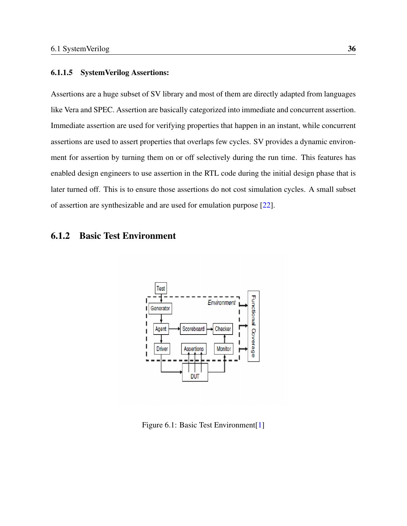#### 6.1.1.5 SystemVerilog Assertions:

Assertions are a huge subset of SV library and most of them are directly adapted from languages like Vera and SPEC. Assertion are basically categorized into immediate and concurrent assertion. Immediate assertion are used for verifying properties that happen in an instant, while concurrent assertions are used to assert properties that overlaps few cycles. SV provides a dynamic environment for assertion by turning them on or off selectively during the run time. This features has enabled design engineers to use assertion in the RTL code during the initial design phase that is later turned off. This is to ensure those assertions do not cost simulation cycles. A small subset of assertion are synthesizable and are used for emulation purpose [\[22\]](#page-73-2).

## 6.1.2 Basic Test Environment



Figure 6.1: Basic Test Environment<sup>[\[1\]](#page-71-2)</sup>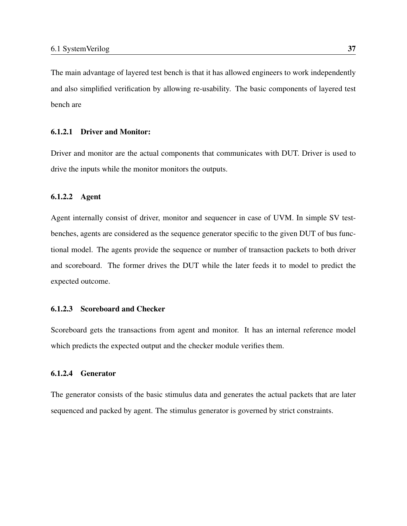The main advantage of layered test bench is that it has allowed engineers to work independently and also simplified verification by allowing re-usability. The basic components of layered test bench are

### 6.1.2.1 Driver and Monitor:

Driver and monitor are the actual components that communicates with DUT. Driver is used to drive the inputs while the monitor monitors the outputs.

#### 6.1.2.2 Agent

Agent internally consist of driver, monitor and sequencer in case of UVM. In simple SV testbenches, agents are considered as the sequence generator specific to the given DUT of bus functional model. The agents provide the sequence or number of transaction packets to both driver and scoreboard. The former drives the DUT while the later feeds it to model to predict the expected outcome.

#### 6.1.2.3 Scoreboard and Checker

Scoreboard gets the transactions from agent and monitor. It has an internal reference model which predicts the expected output and the checker module verifies them.

#### 6.1.2.4 Generator

The generator consists of the basic stimulus data and generates the actual packets that are later sequenced and packed by agent. The stimulus generator is governed by strict constraints.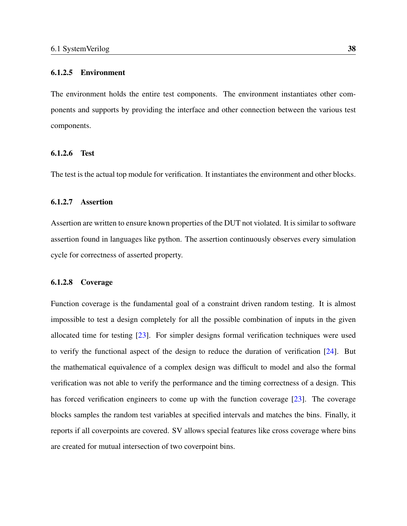#### 6.1.2.5 Environment

The environment holds the entire test components. The environment instantiates other components and supports by providing the interface and other connection between the various test components.

#### 6.1.2.6 Test

The test is the actual top module for verification. It instantiates the environment and other blocks.

#### 6.1.2.7 Assertion

Assertion are written to ensure known properties of the DUT not violated. It is similar to software assertion found in languages like python. The assertion continuously observes every simulation cycle for correctness of asserted property.

#### 6.1.2.8 Coverage

Function coverage is the fundamental goal of a constraint driven random testing. It is almost impossible to test a design completely for all the possible combination of inputs in the given allocated time for testing [\[23\]](#page-74-0). For simpler designs formal verification techniques were used to verify the functional aspect of the design to reduce the duration of verification [\[24\]](#page-74-1). But the mathematical equivalence of a complex design was difficult to model and also the formal verification was not able to verify the performance and the timing correctness of a design. This has forced verification engineers to come up with the function coverage [\[23\]](#page-74-0). The coverage blocks samples the random test variables at specified intervals and matches the bins. Finally, it reports if all coverpoints are covered. SV allows special features like cross coverage where bins are created for mutual intersection of two coverpoint bins.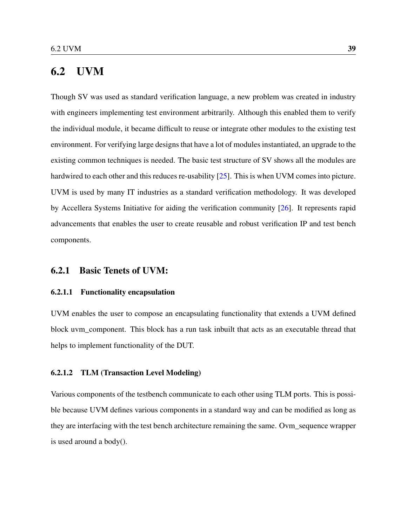## 6.2 UVM

Though SV was used as standard verification language, a new problem was created in industry with engineers implementing test environment arbitrarily. Although this enabled them to verify the individual module, it became difficult to reuse or integrate other modules to the existing test environment. For verifying large designs that have a lot of modules instantiated, an upgrade to the existing common techniques is needed. The basic test structure of SV shows all the modules are hardwired to each other and this reduces re-usability [\[25\]](#page-74-2). This is when UVM comes into picture. UVM is used by many IT industries as a standard verification methodology. It was developed by Accellera Systems Initiative for aiding the verification community [\[26\]](#page-74-3). It represents rapid advancements that enables the user to create reusable and robust verification IP and test bench components.

#### 6.2.1 Basic Tenets of UVM:

#### 6.2.1.1 Functionality encapsulation

UVM enables the user to compose an encapsulating functionality that extends a UVM defined block uvm\_component. This block has a run task inbuilt that acts as an executable thread that helps to implement functionality of the DUT.

#### 6.2.1.2 TLM (Transaction Level Modeling)

Various components of the testbench communicate to each other using TLM ports. This is possible because UVM defines various components in a standard way and can be modified as long as they are interfacing with the test bench architecture remaining the same. Ovm\_sequence wrapper is used around a body().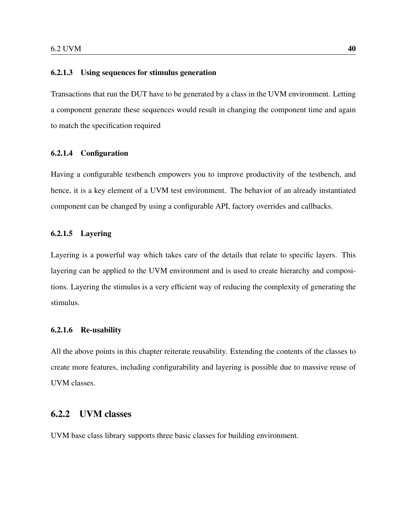#### 6.2.1.3 Using sequences for stimulus generation

Transactions that run the DUT have to be generated by a class in the UVM environment. Letting a component generate these sequences would result in changing the component time and again to match the specification required

#### 6.2.1.4 Configuration

Having a configurable testbench empowers you to improve productivity of the testbench, and hence, it is a key element of a UVM test environment. The behavior of an already instantiated component can be changed by using a configurable API, factory overrides and callbacks.

#### 6.2.1.5 Layering

Layering is a powerful way which takes care of the details that relate to specific layers. This layering can be applied to the UVM environment and is used to create hierarchy and compositions. Layering the stimulus is a very efficient way of reducing the complexity of generating the stimulus.

#### 6.2.1.6 Re-usability

All the above points in this chapter reiterate reusability. Extending the contents of the classes to create more features, including configurability and layering is possible due to massive reuse of UVM classes.

## 6.2.2 UVM classes

UVM base class library supports three basic classes for building environment.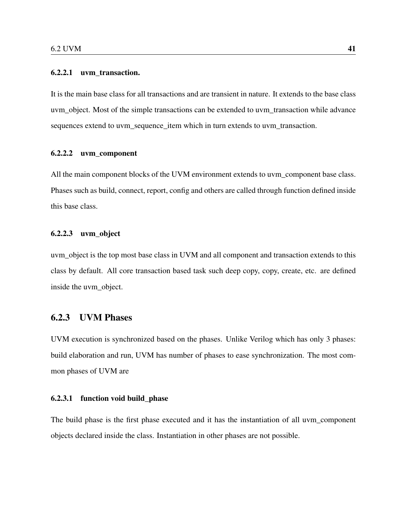#### 6.2.2.1 uvm\_transaction.

It is the main base class for all transactions and are transient in nature. It extends to the base class uvm\_object. Most of the simple transactions can be extended to uvm\_transaction while advance sequences extend to uvm\_sequence\_item which in turn extends to uvm\_transaction.

#### 6.2.2.2 uvm\_component

All the main component blocks of the UVM environment extends to uvm\_component base class. Phases such as build, connect, report, config and others are called through function defined inside this base class.

#### 6.2.2.3 uvm\_object

uvm\_object is the top most base class in UVM and all component and transaction extends to this class by default. All core transaction based task such deep copy, copy, create, etc. are defined inside the uvm\_object.

## 6.2.3 UVM Phases

UVM execution is synchronized based on the phases. Unlike Verilog which has only 3 phases: build elaboration and run, UVM has number of phases to ease synchronization. The most common phases of UVM are

#### 6.2.3.1 function void build\_phase

The build phase is the first phase executed and it has the instantiation of all uvm\_component objects declared inside the class. Instantiation in other phases are not possible.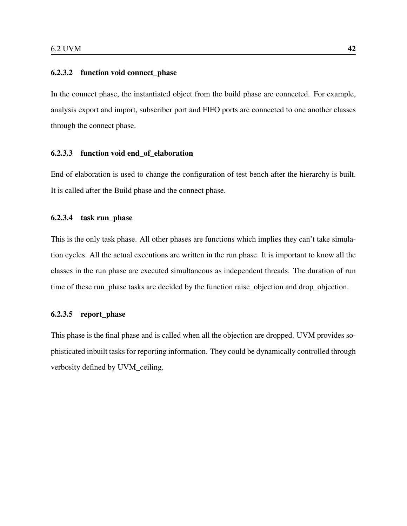#### 6.2.3.2 function void connect\_phase

In the connect phase, the instantiated object from the build phase are connected. For example, analysis export and import, subscriber port and FIFO ports are connected to one another classes through the connect phase.

#### 6.2.3.3 function void end\_of\_elaboration

End of elaboration is used to change the configuration of test bench after the hierarchy is built. It is called after the Build phase and the connect phase.

#### 6.2.3.4 task run\_phase

This is the only task phase. All other phases are functions which implies they can't take simulation cycles. All the actual executions are written in the run phase. It is important to know all the classes in the run phase are executed simultaneous as independent threads. The duration of run time of these run\_phase tasks are decided by the function raise\_objection and drop\_objection.

#### 6.2.3.5 report\_phase

This phase is the final phase and is called when all the objection are dropped. UVM provides sophisticated inbuilt tasks for reporting information. They could be dynamically controlled through verbosity defined by UVM\_ceiling.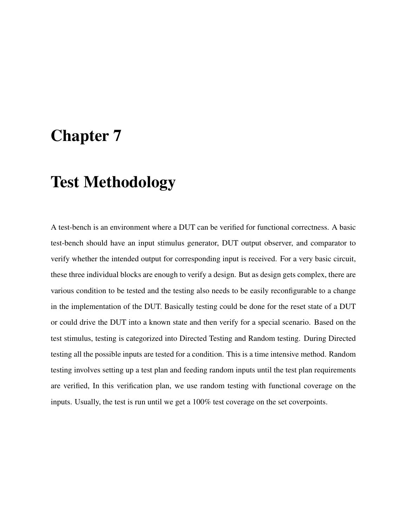# Chapter 7

# Test Methodology

A test-bench is an environment where a DUT can be verified for functional correctness. A basic test-bench should have an input stimulus generator, DUT output observer, and comparator to verify whether the intended output for corresponding input is received. For a very basic circuit, these three individual blocks are enough to verify a design. But as design gets complex, there are various condition to be tested and the testing also needs to be easily reconfigurable to a change in the implementation of the DUT. Basically testing could be done for the reset state of a DUT or could drive the DUT into a known state and then verify for a special scenario. Based on the test stimulus, testing is categorized into Directed Testing and Random testing. During Directed testing all the possible inputs are tested for a condition. This is a time intensive method. Random testing involves setting up a test plan and feeding random inputs until the test plan requirements are verified, In this verification plan, we use random testing with functional coverage on the inputs. Usually, the test is run until we get a 100% test coverage on the set coverpoints.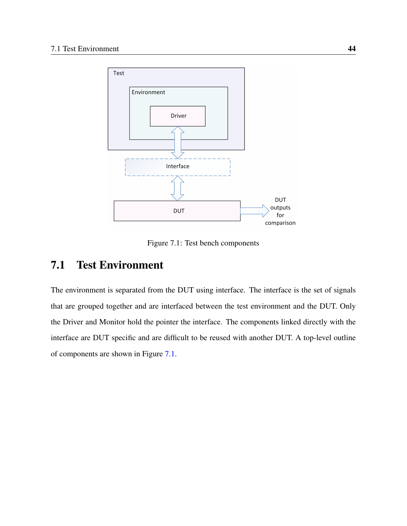

Figure 7.1: Test bench components

## <span id="page-58-0"></span>7.1 Test Environment

The environment is separated from the DUT using interface. The interface is the set of signals that are grouped together and are interfaced between the test environment and the DUT. Only the Driver and Monitor hold the pointer the interface. The components linked directly with the interface are DUT specific and are difficult to be reused with another DUT. A top-level outline of components are shown in Figure [7.1.](#page-58-0)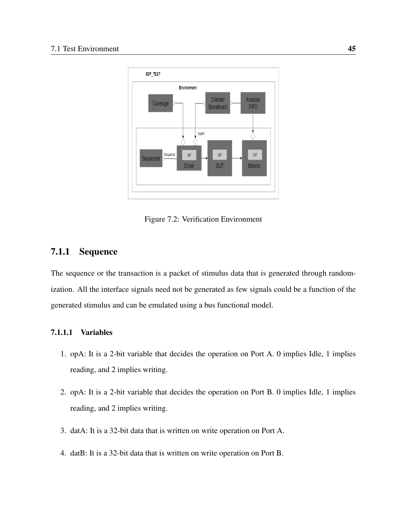

Figure 7.2: Verification Environment

## 7.1.1 Sequence

The sequence or the transaction is a packet of stimulus data that is generated through randomization. All the interface signals need not be generated as few signals could be a function of the generated stimulus and can be emulated using a bus functional model.

### 7.1.1.1 Variables

- 1. opA: It is a 2-bit variable that decides the operation on Port A. 0 implies Idle, 1 implies reading, and 2 implies writing.
- 2. opA: It is a 2-bit variable that decides the operation on Port B. 0 implies Idle, 1 implies reading, and 2 implies writing.
- 3. datA: It is a 32-bit data that is written on write operation on Port A.
- 4. datB: It is a 32-bit data that is written on write operation on Port B.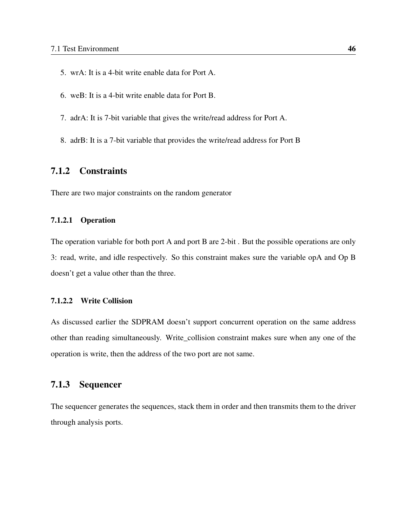- 5. wrA: It is a 4-bit write enable data for Port A.
- 6. weB: It is a 4-bit write enable data for Port B.
- 7. adrA: It is 7-bit variable that gives the write/read address for Port A.
- 8. adrB: It is a 7-bit variable that provides the write/read address for Port B

## 7.1.2 Constraints

There are two major constraints on the random generator

#### 7.1.2.1 Operation

The operation variable for both port A and port B are 2-bit . But the possible operations are only 3: read, write, and idle respectively. So this constraint makes sure the variable opA and Op B doesn't get a value other than the three.

### 7.1.2.2 Write Collision

As discussed earlier the SDPRAM doesn't support concurrent operation on the same address other than reading simultaneously. Write\_collision constraint makes sure when any one of the operation is write, then the address of the two port are not same.

## 7.1.3 Sequencer

The sequencer generates the sequences, stack them in order and then transmits them to the driver through analysis ports.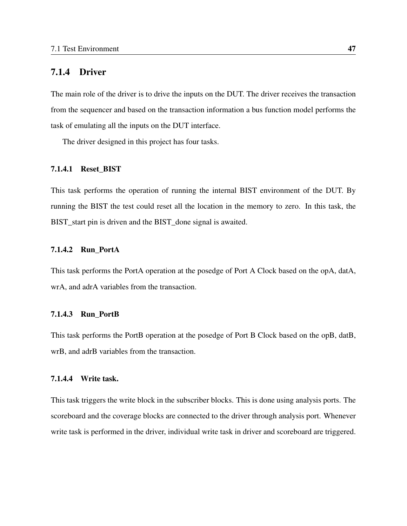## 7.1.4 Driver

The main role of the driver is to drive the inputs on the DUT. The driver receives the transaction from the sequencer and based on the transaction information a bus function model performs the task of emulating all the inputs on the DUT interface.

The driver designed in this project has four tasks.

#### 7.1.4.1 Reset\_BIST

This task performs the operation of running the internal BIST environment of the DUT. By running the BIST the test could reset all the location in the memory to zero. In this task, the BIST\_start pin is driven and the BIST\_done signal is awaited.

#### 7.1.4.2 Run\_PortA

This task performs the PortA operation at the posedge of Port A Clock based on the opA, datA, wrA, and adrA variables from the transaction.

#### 7.1.4.3 Run\_PortB

This task performs the PortB operation at the posedge of Port B Clock based on the opB, datB, wrB, and adrB variables from the transaction.

#### 7.1.4.4 Write task.

This task triggers the write block in the subscriber blocks. This is done using analysis ports. The scoreboard and the coverage blocks are connected to the driver through analysis port. Whenever write task is performed in the driver, individual write task in driver and scoreboard are triggered.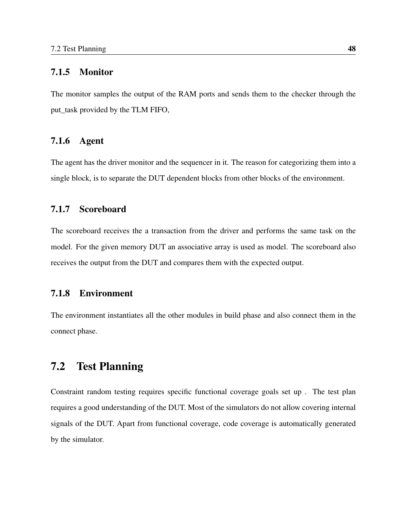#### 7.1.5 Monitor

The monitor samples the output of the RAM ports and sends them to the checker through the put task provided by the TLM FIFO,

### 7.1.6 Agent

The agent has the driver monitor and the sequencer in it. The reason for categorizing them into a single block, is to separate the DUT dependent blocks from other blocks of the environment.

## 7.1.7 Scoreboard

The scoreboard receives the a transaction from the driver and performs the same task on the model. For the given memory DUT an associative array is used as model. The scoreboard also receives the output from the DUT and compares them with the expected output.

## 7.1.8 Environment

The environment instantiates all the other modules in build phase and also connect them in the connect phase.

## 7.2 Test Planning

Constraint random testing requires specific functional coverage goals set up . The test plan requires a good understanding of the DUT. Most of the simulators do not allow covering internal signals of the DUT. Apart from functional coverage, code coverage is automatically generated by the simulator.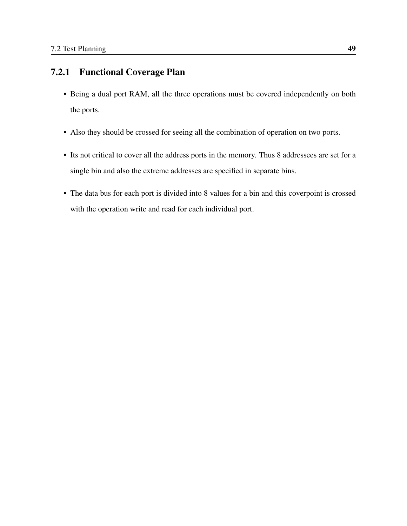## 7.2.1 Functional Coverage Plan

- Being a dual port RAM, all the three operations must be covered independently on both the ports.
- Also they should be crossed for seeing all the combination of operation on two ports.
- Its not critical to cover all the address ports in the memory. Thus 8 addressees are set for a single bin and also the extreme addresses are specified in separate bins.
- The data bus for each port is divided into 8 values for a bin and this coverpoint is crossed with the operation write and read for each individual port.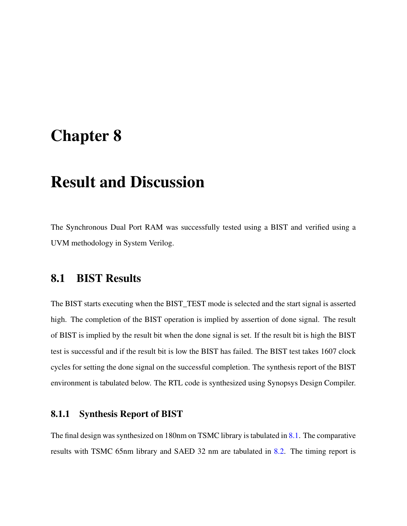# Chapter 8

# Result and Discussion

The Synchronous Dual Port RAM was successfully tested using a BIST and verified using a UVM methodology in System Verilog.

## 8.1 BIST Results

The BIST starts executing when the BIST\_TEST mode is selected and the start signal is asserted high. The completion of the BIST operation is implied by assertion of done signal. The result of BIST is implied by the result bit when the done signal is set. If the result bit is high the BIST test is successful and if the result bit is low the BIST has failed. The BIST test takes 1607 clock cycles for setting the done signal on the successful completion. The synthesis report of the BIST environment is tabulated below. The RTL code is synthesized using Synopsys Design Compiler.

## 8.1.1 Synthesis Report of BIST

The final design was synthesized on 180nm on TSMC library is tabulated in [8.1.](#page-65-0) The comparative results with TSMC 65nm library and SAED 32 nm are tabulated in [8.2.](#page-65-1) The timing report is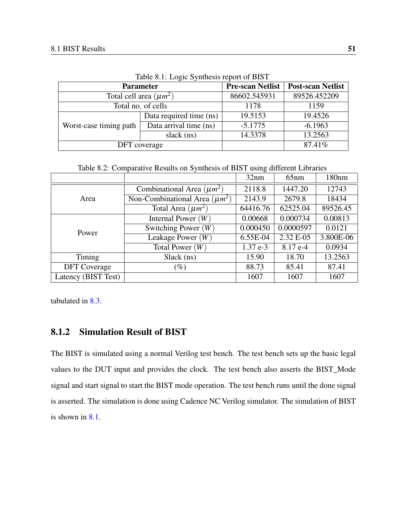<span id="page-65-0"></span>

|                        | <b>Parameter</b>            | <b>Pre-scan Netlist</b> | <b>Post-scan Netlist</b> |
|------------------------|-----------------------------|-------------------------|--------------------------|
|                        | Total cell area $(\mu m^2)$ | 86602.545931            | 89526.452209             |
|                        | Total no. of cells          | 1178                    | 1159                     |
| Worst-case timing path | Data required time (ns)     | 19.5153                 | 19.4526                  |
|                        | Data arrival time (ns)      | $-5.1775$               | $-6.1963$                |
|                        | slack (ns)                  | 14.3378                 | 13.2563                  |
|                        | DFT coverage                |                         | 87.41%                   |

Table 8.1: Logic Synthesis report of BIST

Table 8.2: Comparative Results on Synthesis of BIST using different Libraries

<span id="page-65-1"></span>

|                     |                                    | 32nm                                                                       | 65nm      | 180nm     |
|---------------------|------------------------------------|----------------------------------------------------------------------------|-----------|-----------|
|                     | Combinational Area $(\mu m^2)$     | 2118.8                                                                     | 1447.20   | 12743     |
| Area                | Non-Combinational Area $(\mu m^2)$ | 2143.9                                                                     | 2679.8    | 18434     |
|                     | Total Area $(\mu m^2)$             | 64416.76                                                                   | 62525.04  | 89526.45  |
| Power               | Internal Power $(W)$               | 0.00668                                                                    | 0.000734  | 0.00813   |
|                     | Switching Power $(W)$              | 0.000450                                                                   | 0.0000597 | 0.0121    |
|                     | Leakage Power $(W)$                | 6.55E-04                                                                   | 2.32 E-05 | 3.800E-06 |
|                     | Total Power $(W)$                  | $1.37e-3$<br>$8.17e-4$<br>15.90<br>18.70<br>88.73<br>85.41<br>1607<br>1607 | 0.0934    |           |
| Timing              | Slack (ns)                         |                                                                            |           | 13.2563   |
| <b>DFT</b> Coverage | $(\%)$                             |                                                                            |           | 87.41     |
| Latency (BIST Test) |                                    |                                                                            |           | 1607      |

tabulated in [8.3.](#page-66-0)

## 8.1.2 Simulation Result of BIST

The BIST is simulated using a normal Verilog test bench. The test bench sets up the basic legal values to the DUT input and provides the clock. The test bench also asserts the BIST\_Mode signal and start signal to start the BIST mode operation. The test bench runs until the done signal is asserted. The simulation is done using Cadence NC Verilog simulator. The simulation of BIST is shown in [8.1.](#page-66-1)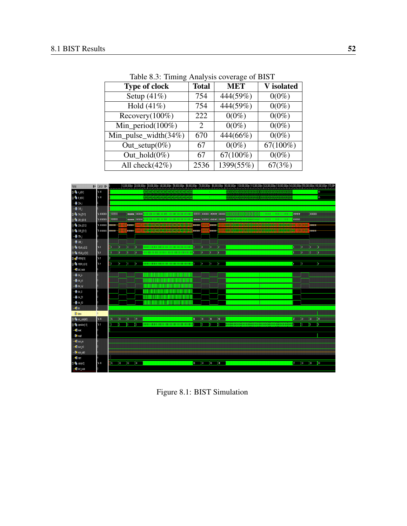<span id="page-66-0"></span>

| <b>Type of clock</b>    | <b>Total</b> | <b>MET</b>  | V isolated  |
|-------------------------|--------------|-------------|-------------|
| Setup $(41\%)$          | 754          | 444(59%)    | $0(0\%)$    |
| Hold $(41\%)$           | 754          | 444(59%)    | $0(0\%)$    |
| Recovery $(100\%)$      | 222          | $0(0\%)$    | $0(0\%)$    |
| Min_period $(100\%)$    | 2            | $0(0\%)$    | $0(0\%)$    |
| Min_pulse_width $(34%)$ | 670          | 444(66%)    | $0(0\%)$    |
| Out_setup $(0\%)$       | 67           | $0(0\%)$    | $67(100\%)$ |
| Out $hold(0\%)$         | 67           | $67(100\%)$ | $0(0\%)$    |
| All check $(42\%)$      | 2536         | 1399(55%)   | 67(3%)      |

Table 8.3: Timing Analysis coverage of BIST



<span id="page-66-1"></span>Figure 8.1: BIST Simulation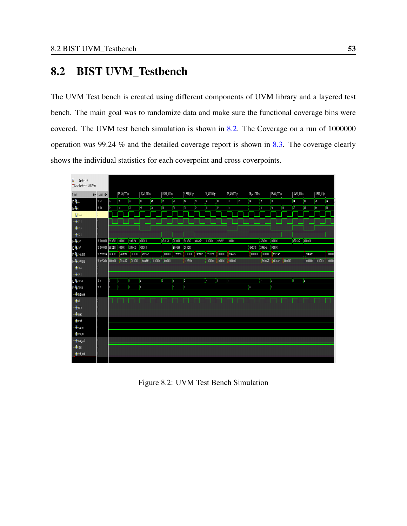# 8.2 BIST UVM\_Testbench

The UVM Test bench is created using different components of UVM library and a layered test bench. The main goal was to randomize data and make sure the functional coverage bins were covered. The UVM test bench simulation is shown in [8.2.](#page-67-0) The Coverage on a run of 1000000 operation was 99.24 % and the detailed coverage report is shown in [8.3.](#page-68-0) The coverage clearly shows the individual statistics for each coverpoint and cross coverpoints.

| a<br>Basinev: 0<br>M Cursor-Baseline v = 18,592,791ps |                            |           |              |          |              |        |              |           |                 |          |               |          |              |              |              |          |              |           |              |               |               |                |
|-------------------------------------------------------|----------------------------|-----------|--------------|----------|--------------|--------|--------------|-----------|-----------------|----------|---------------|----------|--------------|--------------|--------------|----------|--------------|-----------|--------------|---------------|---------------|----------------|
| Name.                                                 | <b>Qv</b> Cursor <b>Qv</b> |           | 16,320,000ps |          | 16,340,000ps |        | 16,360,000ps |           | 16,380,000ps    |          | 16,400,000ps  |          | 16,420,000ps |              | 16,440,000ps |          | 16,460,000ps |           | 16,480,000ps |               | 16,500,000ps  |                |
| p.¶a                                                  | $h$ fo                     |           | $\mathbf{1}$ | Ϊz       | I IO         | h,     | ¦kt          | B         | <b>B</b>        | l 23     | M             | B        | $\omega$     | $\mathbb{R}$ | <b>B</b>     | T        | M            |           | IN.          | $\omega$      | $\hbar$       | <b>In</b>      |
| $\frac{1}{2}$                                         | $h$ 10                     | 'n        | 15           | Ï۱       | И            | Ŀю     | ŀш           | п         | 10 <sup>1</sup> | <b>I</b> | H.            | Ø        | $\mathbf{0}$ |              | ĨШ           | 30       | H            | <b>OT</b> | B            | $\kappa$      | 47            | $\blacksquare$ |
| <b>B</b> CKA                                          | 1                          |           |              |          |              |        |              |           |                 |          |               |          |              |              |              |          |              |           |              |               |               |                |
| $-\blacksquare$ CXB                                   |                            |           |              |          |              |        |              |           |                 |          |               |          |              |              |              |          |              |           |              |               |               |                |
| – <mark>®</mark> CX                                   |                            |           |              |          |              |        |              |           |                 |          |               |          |              |              |              |          |              |           |              |               |               |                |
| ∥— <mark>⊠</mark> ∎ C88                               |                            |           |              |          |              |        |              |           |                 |          |               |          |              |              |              |          |              |           |              |               |               |                |
| ė¶ DA                                                 | 100000                     | 2482519   | (01010)      | 40281157 | 100000       |        | 20091234     | 101010    | 3M11015         | 21032757 | <b>QUOTOU</b> | P3450237 | (01010)      |              |              | разстас  | 0101010      |           | <b>BHASE</b> | 010101        |               |                |
| 99608                                                 | 110000                     | 24102105  | (01010)      | 18310552 | 1001010      |        |              | 200549.84 | 00000           |          |               |          |              |              | 1940225      | 3847100R | 0101010      |           |              |               |               |                |
| <b>E-%</b> DOAD1.0)                                   | 'h z7b91224                | 8:49.1903 | 24432519     | 010101   | 40281757     |        | 101010       | 27091234  | <b>MODIO</b>    | 30110925 | E1132F67      | (010010) | 73450237     |              | 0101010      | 0101010  | 102507040    |           |              | <b>Blaise</b> |               | <b>TOION</b>   |
| <b>B-Th</b> DOB(31.0)                                 | 15 ap757c0a                | 01001001  | 24202106     | 010101   | 9880692      | 100000 | 000000       |           | <b>EIS549M</b>  |          | 010101        | 00000    | 00000        |              |              | 6740025  | BAFILER      | 010101    |              | orono)        | <b>OIOIOI</b> | <b>O</b>       |
| 一個明                                                   |                            |           |              |          |              |        |              |           |                 |          |               |          |              |              |              |          |              |           |              |               |               |                |
| $\blacksquare$ OEB                                    |                            |           |              |          |              |        |              |           |                 |          |               |          |              |              |              |          |              |           |              |               |               |                |
| <b>B-46</b> WEAN<br><b>B-TA</b> WEBN                  | h.                         |           | h.           | 'n       | Þ            |        | b            | ь         | M.              |          | h.            | Ъ        | Ty.          |              |              | 'n.      | ь            |           | Τ            | T,            |               |                |
|                                                       | h.                         |           | H.           | п        | Þ            |        |              | л         | h.              |          |               |          |              |              | л            |          | Ŧ.           |           |              |               |               |                |
| - <b>B</b> bist_mode                                  |                            |           |              |          |              |        |              |           |                 |          |               |          |              |              |              |          |              |           |              |               |               |                |
| 慢水                                                    |                            |           |              |          |              |        |              |           |                 |          |               |          |              |              |              |          |              |           |              |               |               |                |
| - <b>D</b> doe                                        |                            |           |              |          |              |        |              |           |                 |          |               |          |              |              |              |          |              |           |              |               |               |                |
| - <mark>n</mark> omat<br>- <mark>A</mark> rat         |                            |           |              |          |              |        |              |           |                 |          |               |          |              |              |              |          |              |           |              |               |               |                |
| - <b>D</b> estantin                                   |                            |           |              |          |              |        |              |           |                 |          |               |          |              |              |              |          |              |           |              |               |               |                |
| - <b>D</b> iscontril                                  |                            |           |              |          |              |        |              |           |                 |          |               |          |              |              |              |          |              |           |              |               |               |                |
| - <b>D</b> e scan publi                               |                            |           |              |          |              |        |              |           |                 |          |               |          |              |              |              |          |              |           |              |               |               |                |
| <b>一個</b> start                                       |                            |           |              |          |              |        |              |           |                 |          |               |          |              |              |              |          |              |           |              |               |               |                |
| - let test_mode                                       |                            |           |              |          |              |        |              |           |                 |          |               |          |              |              |              |          |              |           |              |               |               |                |
|                                                       |                            |           |              |          |              |        |              |           |                 |          |               |          |              |              |              |          |              |           |              |               |               |                |

<span id="page-67-0"></span>Figure 8.2: UVM Test Bench Simulation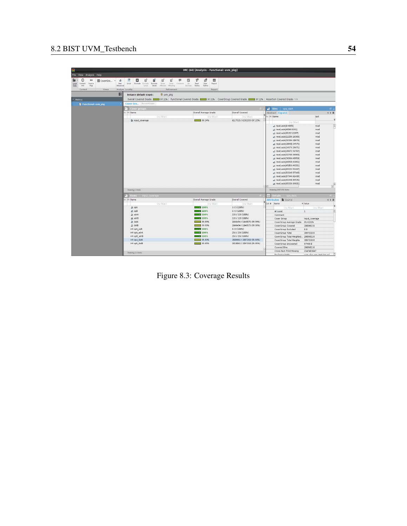| ē                                                                                   |                                                           |                                                                                                |                                                                                            | IMC (64) [Analysis - Functional: uvm pkg]                                                  |                                                                                                                                      |                                      |                             |                         |
|-------------------------------------------------------------------------------------|-----------------------------------------------------------|------------------------------------------------------------------------------------------------|--------------------------------------------------------------------------------------------|--------------------------------------------------------------------------------------------|--------------------------------------------------------------------------------------------------------------------------------------|--------------------------------------|-----------------------------|-------------------------|
| File View Analysis Help                                                             |                                                           |                                                                                                |                                                                                            |                                                                                            |                                                                                                                                      |                                      |                             |                         |
| ∍<br>$^{\circ}$<br>٠<br>Source<br>Load<br>Context<br>Data<br>info<br>Map<br>Context | a,<br>IIII CoverGro -<br>lten<br>Advanced<br><b>Views</b> | $\mathcal{S}$<br>$E_3^0$<br>⊡<br>Exclude Exclude Exclude<br>Local<br>Local<br>Analyze Locality | вĩ<br>ø<br>EÏ<br>н<br>Show<br>Show<br>Comment<br>Affected Affecting<br>Smart<br>Refinement | r.<br>凹<br>囲<br>M<br>Un<br>Read<br>Save<br>Report<br>Exclude<br>Refine<br>Refine<br>Report |                                                                                                                                      |                                      |                             |                         |
|                                                                                     | $\blacksquare$                                            | Instance (default scope):                                                                      | <b>母 uvm pkg</b>                                                                           |                                                                                            |                                                                                                                                      |                                      |                             |                         |
| $~\sim~$ Metrics                                                                    |                                                           |                                                                                                |                                                                                            |                                                                                            | Overall Covered Grade: 0 37.22%   Functional Covered Grade: 37.22%   CoverGroup Covered Grade: 37.22%   Assertion Covered Grade: 1/8 |                                      |                             |                         |
| Functional: uvm pkg                                                                 |                                                           | Cover Gro., Assertions                                                                         |                                                                                            |                                                                                            |                                                                                                                                      |                                      |                             |                         |
|                                                                                     |                                                           | ■ Cover groups                                                                                 |                                                                                            |                                                                                            | <b>ET</b>                                                                                                                            | $B$ Bins<br>opa_datA                 |                             | $\theta =$              |
|                                                                                     |                                                           | Bx 188 Name                                                                                    |                                                                                            | Overall Average Grade                                                                      | Overall Covered                                                                                                                      | Abstract Expand                      | 4 0 国                       |                         |
|                                                                                     |                                                           |                                                                                                | (no filter)                                                                                | (no filter)                                                                                | (no filter)                                                                                                                          | Ex Use Name                          | opA                         |                         |
|                                                                                     |                                                           | input_coverage                                                                                 |                                                                                            | 99.24%                                                                                     | 6117515 / 6292233 (97.22%)                                                                                                           | (no filter)                          |                             | ž                       |
|                                                                                     |                                                           |                                                                                                |                                                                                            |                                                                                            |                                                                                                                                      | g read, auto[0:4095]                 | read                        | Ê                       |
|                                                                                     |                                                           |                                                                                                |                                                                                            |                                                                                            |                                                                                                                                      | g read, auto[4096:8191]              | read                        |                         |
|                                                                                     |                                                           |                                                                                                |                                                                                            |                                                                                            |                                                                                                                                      | "e read, auto[8192:12287]            | read                        |                         |
|                                                                                     |                                                           |                                                                                                |                                                                                            |                                                                                            |                                                                                                                                      | g read, auto[12288:16383]            | read                        |                         |
|                                                                                     |                                                           |                                                                                                |                                                                                            |                                                                                            |                                                                                                                                      | g read, auto[16384:20479]            | read                        |                         |
|                                                                                     |                                                           |                                                                                                |                                                                                            |                                                                                            |                                                                                                                                      | g read, auto[20480:24575]            | read                        |                         |
|                                                                                     |                                                           |                                                                                                |                                                                                            |                                                                                            |                                                                                                                                      | g read, auto[24576:28671]            | read                        |                         |
|                                                                                     |                                                           |                                                                                                |                                                                                            |                                                                                            |                                                                                                                                      | g read, auto[28672:32767]            | read                        |                         |
|                                                                                     |                                                           |                                                                                                |                                                                                            |                                                                                            |                                                                                                                                      | e read, auto[32768:36863]            | read                        |                         |
|                                                                                     |                                                           |                                                                                                |                                                                                            |                                                                                            |                                                                                                                                      | g read, auto[36864:40959]            | read                        |                         |
|                                                                                     |                                                           |                                                                                                |                                                                                            |                                                                                            |                                                                                                                                      | g read, auto[40960:45055]            | read                        |                         |
|                                                                                     |                                                           |                                                                                                |                                                                                            |                                                                                            |                                                                                                                                      | g read, auto[45056:49151]            | read                        |                         |
|                                                                                     |                                                           |                                                                                                |                                                                                            |                                                                                            |                                                                                                                                      | a read, auto[49152:53247]            | read                        |                         |
|                                                                                     |                                                           |                                                                                                |                                                                                            |                                                                                            |                                                                                                                                      | "e read, auto[53248:57343]           | read                        |                         |
|                                                                                     |                                                           |                                                                                                |                                                                                            |                                                                                            |                                                                                                                                      | a read, auto[57344:61439]            | read                        |                         |
|                                                                                     |                                                           |                                                                                                |                                                                                            |                                                                                            |                                                                                                                                      | g read, auto[61440:65535]            | read                        |                         |
|                                                                                     |                                                           |                                                                                                |                                                                                            |                                                                                            |                                                                                                                                      | g read, auto[65536:69631]            | read                        | $\overline{\mathbb{R}}$ |
|                                                                                     |                                                           |                                                                                                |                                                                                            |                                                                                            |                                                                                                                                      | $-11$                                |                             |                         |
|                                                                                     |                                                           | Showing 1 items                                                                                |                                                                                            |                                                                                            |                                                                                                                                      | Showing 2097150 items                |                             |                         |
|                                                                                     |                                                           | e Items                                                                                        | input_coverage                                                                             |                                                                                            |                                                                                                                                      | <b>E</b> Details<br>opa datA         | $\oplus$ .                  |                         |
|                                                                                     |                                                           | Ex US Name                                                                                     |                                                                                            | Overall Average Grade                                                                      | Overall Covered                                                                                                                      | <b>Attributes</b><br>Source          | 4 0 田                       |                         |
|                                                                                     |                                                           |                                                                                                | (no filter)                                                                                | (no filter)                                                                                | (no filter)                                                                                                                          | Col # Name                           | <sup>A</sup> Value          |                         |
|                                                                                     |                                                           | <b>A</b> opA                                                                                   |                                                                                            | $-2100%$                                                                                   | $3/3(100\%)$                                                                                                                         | (no filter)                          | (no filter)                 |                         |
|                                                                                     |                                                           | g opB                                                                                          |                                                                                            | $\sim 100\%$                                                                               | $3/3(100\%)$                                                                                                                         | At Least                             | $\mathbf{1}$                | E                       |
|                                                                                     |                                                           | A adrA                                                                                         |                                                                                            | $ \frac{100\%}{100\%}$                                                                     | 128 / 128 (100%)                                                                                                                     | Comment                              |                             |                         |
|                                                                                     |                                                           | a adrB                                                                                         |                                                                                            | $\sim 100\%$                                                                               | 128 / 128 (100%)                                                                                                                     | Cover Group                          | input coverage              |                         |
|                                                                                     |                                                           | A data                                                                                         |                                                                                            | 99.99%                                                                                     | 1048494 / 1048575 (99.99%)                                                                                                           | CoverGroup Average Grade             | 95.8292%                    |                         |
|                                                                                     |                                                           | a datB                                                                                         |                                                                                            | $-$ 99.99%                                                                                 | 1048494 / 1048575 (99.99%)                                                                                                           | CoverGroup Covered                   | 2009682.0                   |                         |
|                                                                                     |                                                           | AIB opA_opB                                                                                    |                                                                                            | $\sim 100\%$                                                                               | 9/9(100%)                                                                                                                            | CoverGroup Excluded                  | 0.0                         |                         |
|                                                                                     |                                                           | A-B opA adrA                                                                                   |                                                                                            | $-2100%$                                                                                   | 256 / 256 (100%)                                                                                                                     | CoverGroup Total                     | 2097150.0                   |                         |
|                                                                                     |                                                           | A/B opB_adrB                                                                                   |                                                                                            | $\sim 100\%$                                                                               | 256 / 256 (100%)<br>2009682 / 2097150 (95.83%)                                                                                       | CoverGroup Total Weighted.           | 2009682.0                   |                         |
|                                                                                     |                                                           | A-B opa datA<br>A/B opb datB                                                                   |                                                                                            | 95.83%<br>95.85%                                                                           | 2010062 / 2097150 (95.85%)                                                                                                           | CoverGroup Total Weights             | 2097150.0                   |                         |
|                                                                                     |                                                           |                                                                                                |                                                                                            |                                                                                            |                                                                                                                                      | CoverGroup Uncovered<br>Covered Bins | 87468.0<br>2009682.0        |                         |
|                                                                                     |                                                           |                                                                                                |                                                                                            |                                                                                            |                                                                                                                                      | ⋤<br>Cross Num Print Missing         | 2147483647                  |                         |
|                                                                                     |                                                           | Showing 11 items                                                                               |                                                                                            |                                                                                            |                                                                                                                                      | Enclosing Entity                     | ison also ison tast too ed. | E                       |

<span id="page-68-0"></span>Figure 8.3: Coverage Results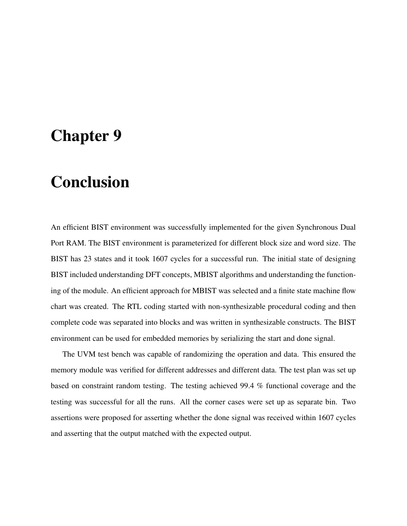# Chapter 9

# Conclusion

An efficient BIST environment was successfully implemented for the given Synchronous Dual Port RAM. The BIST environment is parameterized for different block size and word size. The BIST has 23 states and it took 1607 cycles for a successful run. The initial state of designing BIST included understanding DFT concepts, MBIST algorithms and understanding the functioning of the module. An efficient approach for MBIST was selected and a finite state machine flow chart was created. The RTL coding started with non-synthesizable procedural coding and then complete code was separated into blocks and was written in synthesizable constructs. The BIST environment can be used for embedded memories by serializing the start and done signal.

The UVM test bench was capable of randomizing the operation and data. This ensured the memory module was verified for different addresses and different data. The test plan was set up based on constraint random testing. The testing achieved 99.4 % functional coverage and the testing was successful for all the runs. All the corner cases were set up as separate bin. Two assertions were proposed for asserting whether the done signal was received within 1607 cycles and asserting that the output matched with the expected output.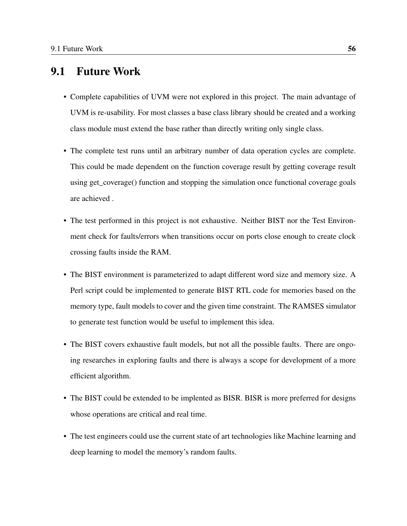## 9.1 Future Work

- Complete capabilities of UVM were not explored in this project. The main advantage of UVM is re-usability. For most classes a base class library should be created and a working class module must extend the base rather than directly writing only single class.
- The complete test runs until an arbitrary number of data operation cycles are complete. This could be made dependent on the function coverage result by getting coverage result using get\_coverage() function and stopping the simulation once functional coverage goals are achieved .
- The test performed in this project is not exhaustive. Neither BIST nor the Test Environment check for faults/errors when transitions occur on ports close enough to create clock crossing faults inside the RAM.
- The BIST environment is parameterized to adapt different word size and memory size. A Perl script could be implemented to generate BIST RTL code for memories based on the memory type, fault models to cover and the given time constraint. The RAMSES simulator to generate test function would be useful to implement this idea.
- The BIST covers exhaustive fault models, but not all the possible faults. There are ongoing researches in exploring faults and there is always a scope for development of a more efficient algorithm.
- The BIST could be extended to be implented as BISR. BISR is more preferred for designs whose operations are critical and real time.
- The test engineers could use the current state of art technologies like Machine learning and deep learning to model the memory's random faults.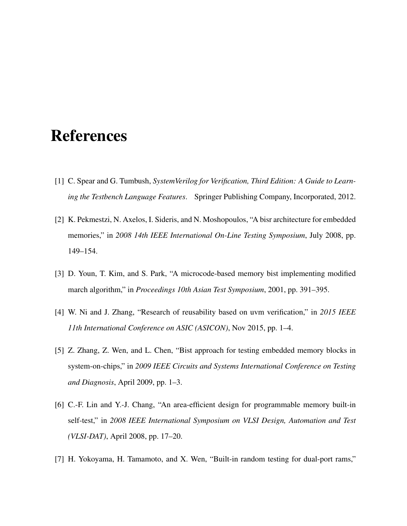# References

- <span id="page-71-2"></span>[1] C. Spear and G. Tumbush, *SystemVerilog for Verification, Third Edition: A Guide to Learning the Testbench Language Features*. Springer Publishing Company, Incorporated, 2012.
- [2] K. Pekmestzi, N. Axelos, I. Sideris, and N. Moshopoulos, "A bisr architecture for embedded memories," in *2008 14th IEEE International On-Line Testing Symposium*, July 2008, pp. 149–154.
- [3] D. Youn, T. Kim, and S. Park, "A microcode-based memory bist implementing modified march algorithm," in *Proceedings 10th Asian Test Symposium*, 2001, pp. 391–395.
- [4] W. Ni and J. Zhang, "Research of reusability based on uvm verification," in *2015 IEEE 11th International Conference on ASIC (ASICON)*, Nov 2015, pp. 1–4.
- [5] Z. Zhang, Z. Wen, and L. Chen, "Bist approach for testing embedded memory blocks in system-on-chips," in *2009 IEEE Circuits and Systems International Conference on Testing and Diagnosis*, April 2009, pp. 1–3.
- <span id="page-71-1"></span>[6] C.-F. Lin and Y.-J. Chang, "An area-efficient design for programmable memory built-in self-test," in *2008 IEEE International Symposium on VLSI Design, Automation and Test (VLSI-DAT)*, April 2008, pp. 17–20.
- <span id="page-71-0"></span>[7] H. Yokoyama, H. Tamamoto, and X. Wen, "Built-in random testing for dual-port rams,"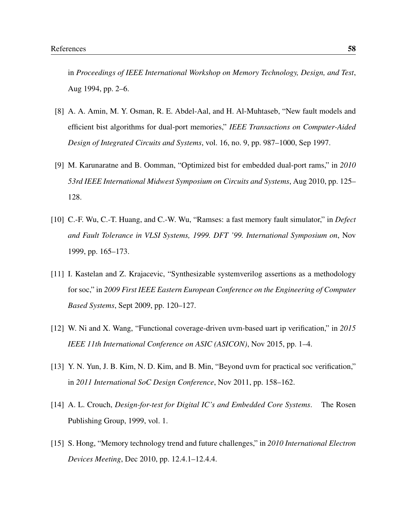in *Proceedings of IEEE International Workshop on Memory Technology, Design, and Test*, Aug 1994, pp. 2–6.

- [8] A. A. Amin, M. Y. Osman, R. E. Abdel-Aal, and H. Al-Muhtaseb, "New fault models and efficient bist algorithms for dual-port memories," *IEEE Transactions on Computer-Aided Design of Integrated Circuits and Systems*, vol. 16, no. 9, pp. 987–1000, Sep 1997.
- [9] M. Karunaratne and B. Oomman, "Optimized bist for embedded dual-port rams," in *2010 53rd IEEE International Midwest Symposium on Circuits and Systems*, Aug 2010, pp. 125– 128.
- [10] C.-F. Wu, C.-T. Huang, and C.-W. Wu, "Ramses: a fast memory fault simulator," in *Defect and Fault Tolerance in VLSI Systems, 1999. DFT '99. International Symposium on*, Nov 1999, pp. 165–173.
- [11] I. Kastelan and Z. Krajacevic, "Synthesizable systemverilog assertions as a methodology for soc," in *2009 First IEEE Eastern European Conference on the Engineering of Computer Based Systems*, Sept 2009, pp. 120–127.
- [12] W. Ni and X. Wang, "Functional coverage-driven uvm-based uart ip verification," in *2015 IEEE 11th International Conference on ASIC (ASICON)*, Nov 2015, pp. 1–4.
- [13] Y. N. Yun, J. B. Kim, N. D. Kim, and B. Min, "Beyond uvm for practical soc verification," in *2011 International SoC Design Conference*, Nov 2011, pp. 158–162.
- [14] A. L. Crouch, *Design-for-test for Digital IC's and Embedded Core Systems*. The Rosen Publishing Group, 1999, vol. 1.
- [15] S. Hong, "Memory technology trend and future challenges," in *2010 International Electron Devices Meeting*, Dec 2010, pp. 12.4.1–12.4.4.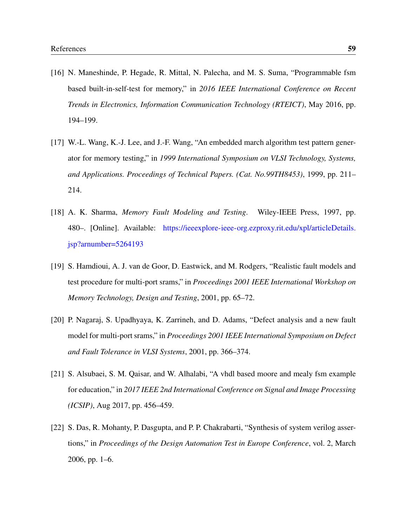- [16] N. Maneshinde, P. Hegade, R. Mittal, N. Palecha, and M. S. Suma, "Programmable fsm based built-in-self-test for memory," in *2016 IEEE International Conference on Recent Trends in Electronics, Information Communication Technology (RTEICT)*, May 2016, pp. 194–199.
- [17] W.-L. Wang, K.-J. Lee, and J.-F. Wang, "An embedded march algorithm test pattern generator for memory testing," in *1999 International Symposium on VLSI Technology, Systems, and Applications. Proceedings of Technical Papers. (Cat. No.99TH8453)*, 1999, pp. 211– 214.
- [18] A. K. Sharma, *Memory Fault Modeling and Testing*. Wiley-IEEE Press, 1997, pp. 480–. [Online]. Available: [https://ieeexplore-ieee-org.ezproxy.rit.edu/xpl/articleDetails.](https://ieeexplore-ieee-org.ezproxy.rit.edu/xpl/articleDetails.jsp?arnumber=5264193) [jsp?arnumber=5264193](https://ieeexplore-ieee-org.ezproxy.rit.edu/xpl/articleDetails.jsp?arnumber=5264193)
- [19] S. Hamdioui, A. J. van de Goor, D. Eastwick, and M. Rodgers, "Realistic fault models and test procedure for multi-port srams," in *Proceedings 2001 IEEE International Workshop on Memory Technology, Design and Testing*, 2001, pp. 65–72.
- [20] P. Nagaraj, S. Upadhyaya, K. Zarrineh, and D. Adams, "Defect analysis and a new fault model for multi-port srams," in *Proceedings 2001 IEEE International Symposium on Defect and Fault Tolerance in VLSI Systems*, 2001, pp. 366–374.
- [21] S. Alsubaei, S. M. Qaisar, and W. Alhalabi, "A vhdl based moore and mealy fsm example for education," in *2017 IEEE 2nd International Conference on Signal and Image Processing (ICSIP)*, Aug 2017, pp. 456–459.
- [22] S. Das, R. Mohanty, P. Dasgupta, and P. P. Chakrabarti, "Synthesis of system verilog assertions," in *Proceedings of the Design Automation Test in Europe Conference*, vol. 2, March 2006, pp. 1–6.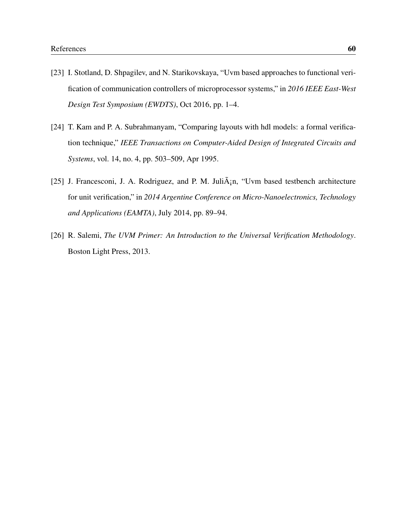- [23] I. Stotland, D. Shpagilev, and N. Starikovskaya, "Uvm based approaches to functional verification of communication controllers of microprocessor systems," in *2016 IEEE East-West Design Test Symposium (EWDTS)*, Oct 2016, pp. 1–4.
- [24] T. Kam and P. A. Subrahmanyam, "Comparing layouts with hdl models: a formal verification technique," *IEEE Transactions on Computer-Aided Design of Integrated Circuits and Systems*, vol. 14, no. 4, pp. 503–509, Apr 1995.
- [25] J. Francesconi, J. A. Rodriguez, and P. M. Juli $\tilde{A}$ <sub>i</sub>n, "Uvm based testbench architecture for unit verification," in *2014 Argentine Conference on Micro-Nanoelectronics, Technology and Applications (EAMTA)*, July 2014, pp. 89–94.
- [26] R. Salemi, *The UVM Primer: An Introduction to the Universal Verification Methodology*. Boston Light Press, 2013.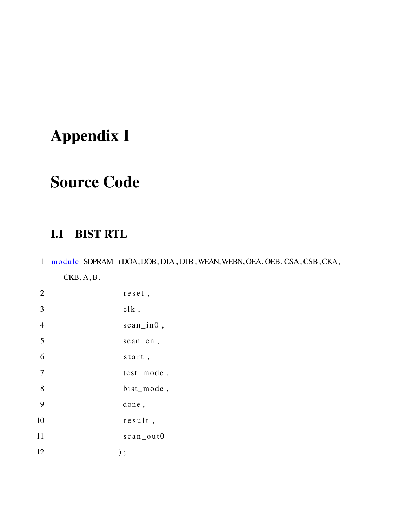## Appendix I

## Source Code

## I.1 BIST RTL

1 module SDPRAM (DOA,DOB, DIA , DIB ,WEAN,WEBN,OEA, OEB, CSA, CSB ,CKA, CKB, A, B ,

| $\overline{2}$          | reset,         |
|-------------------------|----------------|
| $\overline{\mathbf{3}}$ | clk,           |
| $\overline{4}$          | $scan\_in0$ ,  |
| 5                       | scan_en,       |
| 6                       | start,         |
| $\overline{7}$          | test_mode,     |
| 8                       | bist_mode,     |
| 9                       | done,          |
| 10                      | $result$ ,     |
| 11                      | $scan\_{out}0$ |
| 12                      | $)$ ;          |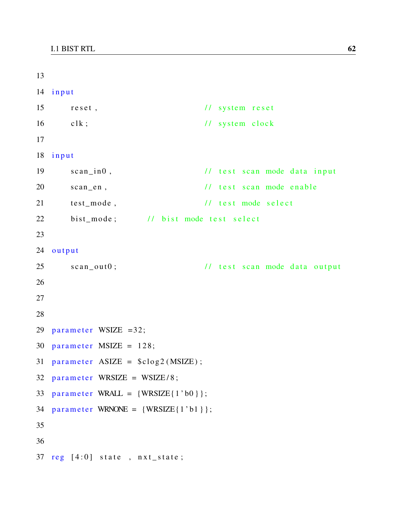```
13
14 input
15 reset, \frac{1}{3} reset, \frac{1}{3} system reset
16 clk; \frac{1}{s} // system clock
17
18 input
19 scan_in0, \frac{1}{1} test scan mode data input
20 scan en, \frac{1}{1} t e s t s can mode e n a b l e
21 test_mode, // test mode select
22 bist_mode; // bist mode test select
23
24 output
25 scan_out0; \frac{1}{1} test scan mode data output
26
27
28
29 parameter WSIZE =32;
30 parameter MSIZE = 128;
31 parameter ASIZE = \text{\$clog2(MSIZE)};
32 parameter WRSIZE = WSIZE/8;
33 parameter WRALL = \{WRSIZE\{1' b0\}\};34 parameter WRNONE = \{WRSIZE\{1' b1\}\};35
36
37 \text{ reg} [4:0] state, nxt_state;
```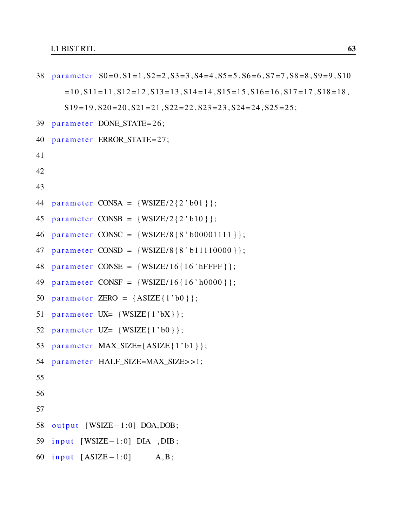```
38 parameter S0 = 0, S1 = 1, S2 = 2, S3 = 3, S4 = 4, S5 = 5, S6 = 6, S7 = 7, S8 = 8, S9 = 9, S10=10, S11 = 11, S12 = 12, S13 = 13, S14 = 14, S15 = 15, S16 = 16, S17 = 17, S18 = 18,S19 = 19, S20 = 20, S21 = 21, S22 = 22, S23 = 23, S24 = 24, S25 = 25;
39 parameter DONE_STATE=26;
40 parameter ERROR_STATE=27;
41
42
43
44 parameter CONSA = \{WSIZE/2\{2\} b01\};
45 parameter CONSB = \{WSIZE/2\{2\text{ 'b10}\}\};46 parameter CONSC = \{WSIZE/8\{8\}b00001111\};
47 parameter CONSD = \{WSIZE/8\{8\text{ 'b11110000 }\}\};48 parameter CONSE = \{WSIZE/16\{16' hFFFF\}\};49 parameter CONSF = \{WSIZE/16\{16\}10000\}\;;50 parameter ZERO = \{ASIZE\{1\text{'b0}\}\};51 parameter UX = \{WSIZE\{1'bX\}\};52 parameter UZ= \{WSIZE\{1' b0\}\};53 parameter MAX\_SIZE = \{ASIZE\} \{1' b1\};
54 parameter HALF_SIZE=MAX_SIZE>>1;
55
56
57
58 output [WSIZE-1:0] DOA, DOB;
59 input [WSIZE-1:0] DIA, DIB;
60 input [ASIZE-1:0] A, B;
```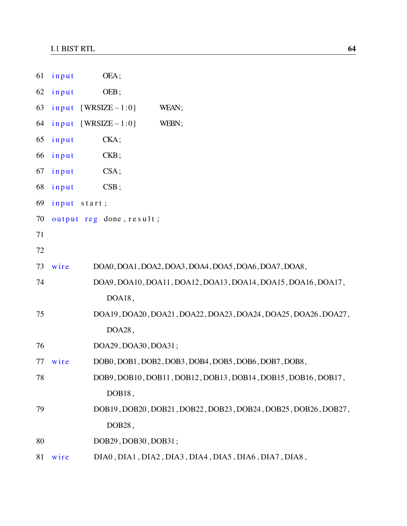| 61 | input | OEA;                     |                                                                |
|----|-------|--------------------------|----------------------------------------------------------------|
| 62 | input | OEB;                     |                                                                |
| 63 |       | $input$ [WRSIZE $-1:0$ ] | WEAN;                                                          |
| 64 |       | $input$ [WRSIZE-1:0]     | WEBN;                                                          |
| 65 | input | CKA;                     |                                                                |
| 66 | input | CKB;                     |                                                                |
| 67 | input | $CSA$ ;                  |                                                                |
| 68 | input | CSB;                     |                                                                |
| 69 | input | start;                   |                                                                |
| 70 |       | output reg done, result; |                                                                |
| 71 |       |                          |                                                                |
| 72 |       |                          |                                                                |
| 73 | wire  |                          | DOA0, DOA1, DOA2, DOA3, DOA4, DOA5, DOA6, DOA7, DOA8,          |
| 74 |       |                          | DOA9, DOA10, DOA11, DOA12, DOA13, DOA14, DOA15, DOA16, DOA17,  |
|    |       | DOA18,                   |                                                                |
| 75 |       |                          | DOA19, DOA20, DOA21, DOA22, DOA23, DOA24, DOA25, DOA26, DOA27, |
|    |       | DOA28,                   |                                                                |
| 76 |       | DOA29, DOA30, DOA31;     |                                                                |
| 77 | wire  |                          | DOB0, DOB1, DOB2, DOB3, DOB4, DOB5, DOB6, DOB7, DOB8,          |
| 78 |       |                          | DOB9, DOB10, DOB11, DOB12, DOB13, DOB14, DOB15, DOB16, DOB17,  |
|    |       | DOB18,                   |                                                                |
| 79 |       |                          | DOB19, DOB20, DOB21, DOB22, DOB23, DOB24, DOB25, DOB26, DOB27, |
|    |       | DOB28,                   |                                                                |
| 80 |       | DOB29, DOB30, DOB31;     |                                                                |
| 81 | wire  |                          | DIA0, DIA1, DIA2, DIA3, DIA4, DIA5, DIA6, DIA7, DIA8,          |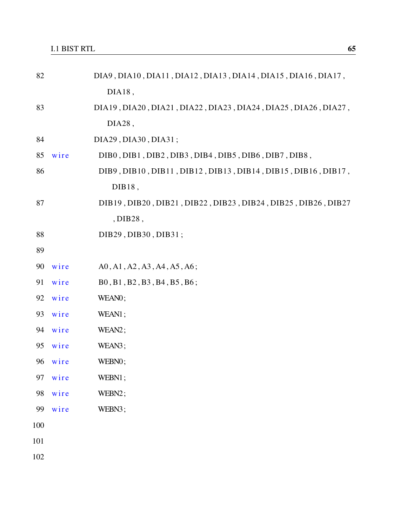| 82  |      | DIA9, DIA10, DIA11, DIA12, DIA13, DIA14, DIA15, DIA16, DIA17,  |
|-----|------|----------------------------------------------------------------|
|     |      | $DIA18$ ,                                                      |
| 83  |      | DIA19, DIA20, DIA21, DIA22, DIA23, DIA24, DIA25, DIA26, DIA27, |
|     |      | DIA28,                                                         |
| 84  |      | DIA29, DIA30, DIA31;                                           |
| 85  | wire | DIBO, DIB1, DIB2, DIB3, DIB4, DIB5, DIB6, DIB7, DIB8,          |
| 86  |      | DIB9, DIB10, DIB11, DIB12, DIB13, DIB14, DIB15, DIB16, DIB17,  |
|     |      | DIB18,                                                         |
| 87  |      | DIB19, DIB20, DIB21, DIB22, DIB23, DIB24, DIB25, DIB26, DIB27  |
|     |      | , DIB28,                                                       |
| 88  |      | DIB29, DIB30, DIB31;                                           |
| 89  |      |                                                                |
| 90  | wire | A0, A1, A2, A3, A4, A5, A6;                                    |
| 91  | wire | B0, B1, B2, B3, B4, B5, B6;                                    |
| 92  | wire | WEAN0;                                                         |
| 93  | wire | WEAN1;                                                         |
| 94  | wire | WEAN <sub>2</sub> ;                                            |
| 95  | wire | WEAN3;                                                         |
| 96  | wire | WEBN0;                                                         |
| 97  | wire | WEBN1;                                                         |
| 98  | wire | WEBN2;                                                         |
| 99  | wire | WEBN3;                                                         |
| 100 |      |                                                                |
| 101 |      |                                                                |

102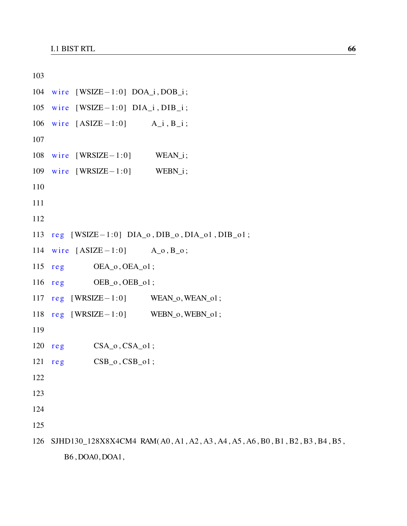```
103
104 wire [WSIZE-1:0] DOA_i, DOB_i;
105 wire [WSIZE−1:0] DIA_i, DIB_i;
106 wire [ASIZE-1:0] A_i, B_i;
107
108 wire [WRSIZE−1:0] WEAN_i;
109 wire [WRSIZE−1:0] WEBN_i;
110
111
112
113 reg [ WSIZE - 1:0] DIA_o, DIB_o, DIA_o1, DIB_o1;
114 wire [ASIZE-1:0] A_o, B_o;
115 \text{ reg} OEA_o, OEA_o1;
116 reg OEB_0, OEB_01;117 \text{ reg} [WRSIZE - 1:0] WEAN_0, WEAN_01;
118 reg [WRSIZE−1:0] WEBN_0, WEBN_01;
119
120 \text{ reg} CSA_o,CSA_o1;121 \text{ reg} CSB_o, CSB_o1;122
123
124
125
126 SJHD130_128X8X4CM4 RAM( A0 , A1 , A2 , A3 , A4 , A5 , A6 , B0 , B1 , B2 , B3 , B4 , B5 ,
       B6 , DOA0, DOA1,
```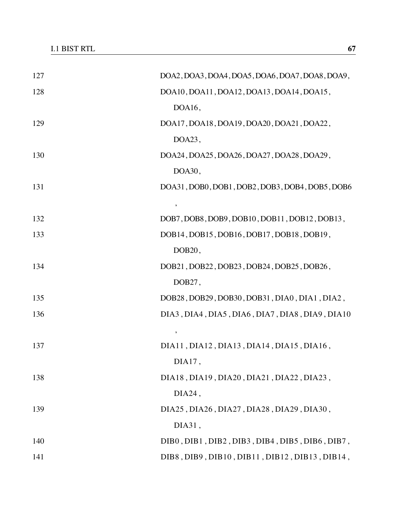| 127 | DOA2, DOA3, DOA4, DOA5, DOA6, DOA7, DOA8, DOA9, |
|-----|-------------------------------------------------|
| 128 | DOA10, DOA11, DOA12, DOA13, DOA14, DOA15,       |
|     | DOA16,                                          |
| 129 | DOA17, DOA18, DOA19, DOA20, DOA21, DOA22,       |
|     | DOA23,                                          |
| 130 | DOA24, DOA25, DOA26, DOA27, DOA28, DOA29,       |
|     | DOA30,                                          |
| 131 | DOA31, DOB0, DOB1, DOB2, DOB3, DOB4, DOB5, DOB6 |
|     | $\pmb{\mathcal{I}}$                             |
| 132 | DOB7, DOB8, DOB9, DOB10, DOB11, DOB12, DOB13,   |
| 133 | DOB14, DOB15, DOB16, DOB17, DOB18, DOB19,       |
|     | DOB <sub>20</sub> ,                             |
| 134 | DOB21, DOB22, DOB23, DOB24, DOB25, DOB26,       |
|     | DOB27,                                          |
| 135 | DOB28, DOB29, DOB30, DOB31, DIA0, DIA1, DIA2,   |
| 136 | DIA3, DIA4, DIA5, DIA6, DIA7, DIA8, DIA9, DIA10 |
|     | $\pmb{\mathcal{I}}$                             |
| 137 | DIA11, DIA12, DIA13, DIA14, DIA15, DIA16,       |
|     | DIA17,                                          |
| 138 | DIA18, DIA19, DIA20, DIA21, DIA22, DIA23,       |
|     | DIA24,                                          |
| 139 | DIA25, DIA26, DIA27, DIA28, DIA29, DIA30,       |
|     | DIA31,                                          |
| 140 | DIB0, DIB1, DIB2, DIB3, DIB4, DIB5, DIB6, DIB7, |
| 141 | DIB8, DIB9, DIB10, DIB11, DIB12, DIB13, DIB14,  |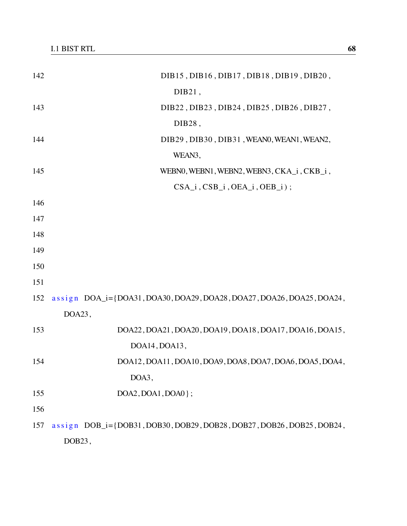| 142 | DIB15, DIB16, DIB17, DIB18, DIB19, DIB20,                                  |
|-----|----------------------------------------------------------------------------|
|     | $DIB21$ ,                                                                  |
| 143 | DIB22, DIB23, DIB24, DIB25, DIB26, DIB27,                                  |
|     | DIB28,                                                                     |
| 144 | DIB29, DIB30, DIB31, WEAN0, WEAN1, WEAN2,                                  |
|     | WEAN3,                                                                     |
| 145 | WEBN0, WEBN1, WEBN2, WEBN3, CKA_i, CKB_i,                                  |
|     | $CSA_i$ , $CSB_i$ , $OEA_i$ , $OEB_i$ ;                                    |
| 146 |                                                                            |
| 147 |                                                                            |
| 148 |                                                                            |
| 149 |                                                                            |
| 150 |                                                                            |
| 151 |                                                                            |
| 152 | assign $DOA_i = \{DOA31, DOA30, DOA29, DOA28, DOA27, DOA26, DOA25, DOA24,$ |
|     | DOA23,                                                                     |
| 153 | DOA22, DOA21, DOA20, DOA19, DOA18, DOA17, DOA16, DOA15,                    |
|     | DOA14, DOA13,                                                              |
| 154 | DOA12, DOA11, DOA10, DOA9, DOA8, DOA7, DOA6, DOA5, DOA4,                   |
|     | DOA3,                                                                      |
| 155 | $DOA2, DOA1, DOA0$ ;                                                       |
| 156 |                                                                            |
| 157 | assign DOB_i={DOB31, DOB30, DOB29, DOB28, DOB27, DOB26, DOB25, DOB24,      |
|     | DOB23,                                                                     |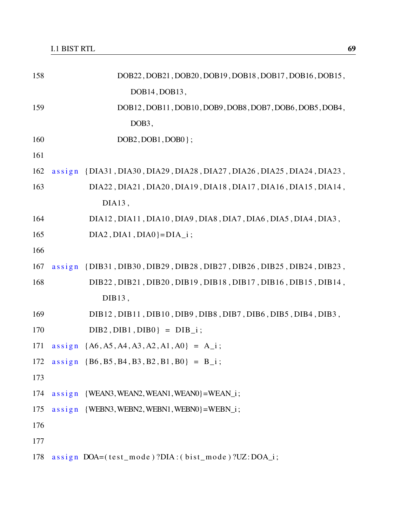| 158 | DOB22, DOB21, DOB20, DOB19, DOB18, DOB17, DOB16, DOB15,                |
|-----|------------------------------------------------------------------------|
|     | DOB14, DOB13,                                                          |
| 159 | DOB12, DOB11, DOB10, DOB9, DOB8, DOB7, DOB6, DOB5, DOB4,               |
|     | DOB <sub>3</sub> ,                                                     |
| 160 | $DOB2$ , $DOB1$ , $DOB0$ };                                            |
| 161 |                                                                        |
| 162 | assign {DIA31, DIA30, DIA29, DIA28, DIA27, DIA26, DIA25, DIA24, DIA23, |
| 163 | DIA22, DIA21, DIA20, DIA19, DIA18, DIA17, DIA16, DIA15, DIA14,         |
|     | DIA13,                                                                 |
| 164 | DIA12, DIA11, DIA10, DIA9, DIA8, DIA7, DIA6, DIA5, DIA4, DIA3,         |
| 165 | $DIA2$ , $DIA1$ , $DIA0$ } = $DIA_i$ ;                                 |
| 166 |                                                                        |
| 167 | assign {DIB31, DIB30, DIB29, DIB28, DIB27, DIB26, DIB25, DIB24, DIB23, |
| 168 | DIB22, DIB21, DIB20, DIB19, DIB18, DIB17, DIB16, DIB15, DIB14,         |
|     | $DIB13$ ,                                                              |
| 169 | DIB12, DIB11, DIB10, DIB9, DIB8, DIB7, DIB6, DIB5, DIB4, DIB3,         |
| 170 | $DIB2$ , $DIB1$ , $DIB0$ } = $DIB_i$ ;                                 |
| 171 | $assign \{A6, A5, A4, A3, A2, A1, A0\} = A_i;$                         |
| 172 | $assign {B6, B5, B4, B3, B2, B1, B0} = B_i;$                           |
| 173 |                                                                        |
| 174 | $assign$ {WEAN3, WEAN2, WEAN1, WEAN0}=WEAN_i;                          |
| 175 | $assign$ {WEBN3, WEBN2, WEBN1, WEBN0}=WEBN_i;                          |
| 176 |                                                                        |
| 177 |                                                                        |
| 178 | assign DOA=(test_mode)?DIA:(bist_mode)?UZ:DOA_i;                       |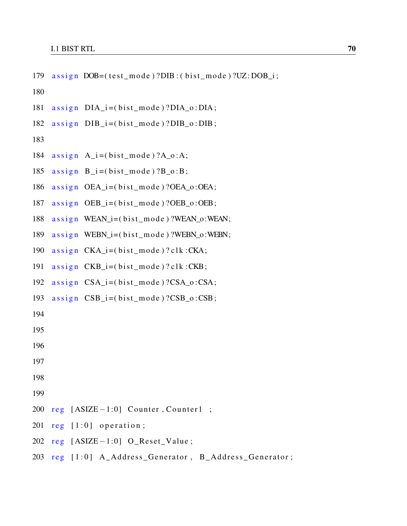```
179 assign DOB = (test_model) ?DIB : (bist_model) ?UZ: DOB_i ;
```
180

- $181$  assign  $DIA_i = (bist_model ? DIA_0 : DIA;$
- $182$  assign  $DIB_i = (hist_model ? DIB_o : DIB ;$

```
183
```
- 184  $\text{assign } A_i = (\text{bist_model}) ? A_0 : A;$
- $185$  assign  $B_i = (bist_model) ? B_0 : B;$
- 186 assign OEA  $i = ($  bist mode  $)$  ?OEA  $o$  :OEA;
- $187$  assign OEB\_i=(bist\_mode)?OEB\_o:OEB;
- 188 assign WEAN\_i=(bist\_mode)?WEAN\_o:WEAN;
- 189  $\text{assign}$  WEBN\_i=(bist\_mode)?WEBN\_o:WEBN;
- 190  $\text{assign } \text{CKA}_i = (\text{bist}_model) ? \text{clk} : \text{CKA};$
- 191  $\text{assign } \text{CKB}_i = (\text{bist}_model) ? \text{clk} : \text{CKB};$
- 192 assign CSA  $i = ($  bist mode  $)$  ?CSA  $o$  : CSA;
- 193 assign  $CSB_i = (bist_model) ?CSB_o : CSB;$
- 194
- 195
- 196
- 
- 197
- 198
- 199
- 200 reg [ASIZE−1:0] Counter, Counter1 ;
- 201  $reg$   $[1:0]$  operation;
- 202  $reg$  [ASIZE-1:0] O\_Reset\_Value;
- $203$  reg  $\lceil 1:0 \rceil$  A\_Address\_Generator, B\_Address\_Generator;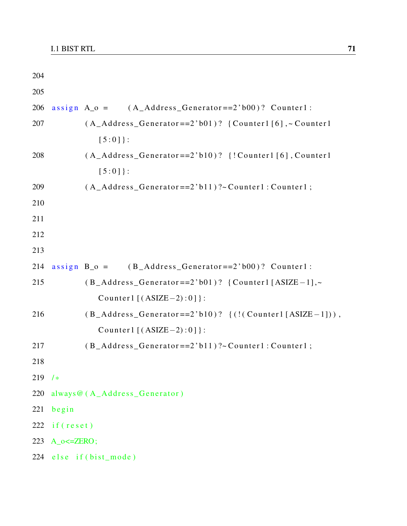| 204 |                   |                                                                                     |
|-----|-------------------|-------------------------------------------------------------------------------------|
| 205 |                   |                                                                                     |
| 206 |                   | assign $A_0 = (A\_Address\_Generator == 2' b00)?$ Counter1:                         |
| 207 |                   | $(A_\text{--}Address_\text{Generator==2'}b01)?$ {Counter1[6],~Counter1              |
|     |                   | $[5:0]$ :                                                                           |
| 208 |                   | (A_Address_Generator==2'b10)? {!Counter1[6], Counter1                               |
|     |                   | $[5:0]$ :                                                                           |
| 209 |                   | $(A_{\text{--}}Address_{\text{--}}Generator == 2' b11)?$ ~ Counter1 : Counter1 ;    |
| 210 |                   |                                                                                     |
| 211 |                   |                                                                                     |
| 212 |                   |                                                                                     |
| 213 |                   |                                                                                     |
| 214 |                   | assign $B_0 = (B_A d d r e s_S_G \theta e n e r a t \theta r = 2' b 00)?$ Counter1: |
| 215 |                   | $(B_A ddress_Generator==2'b01)?$ {Counter1 [ASIZE-1],~                              |
|     |                   | Counter1 $[(ASIZE-2):0]$ :                                                          |
| 216 |                   | $(B_A ddress_CGenerator == 2'b10)?$ $(!(Counter1[ASIZE-1]))$ ,                      |
|     |                   | Counter1 $[(ASIZE-2):0]$ :                                                          |
| 217 |                   | $(B_A ddress_CGenerator == 2' b11)?$ Counter1 : Counter1 ;                          |
| 218 |                   |                                                                                     |
| 219 | $/$ *             |                                                                                     |
| 220 |                   | always@(A_Address_Generator)                                                        |
| 221 | begin             |                                                                                     |
| 222 | if (reset)        |                                                                                     |
| 223 | $A_0 \leq ZERO$ ; |                                                                                     |
|     |                   | 224 else if (bist_mode)                                                             |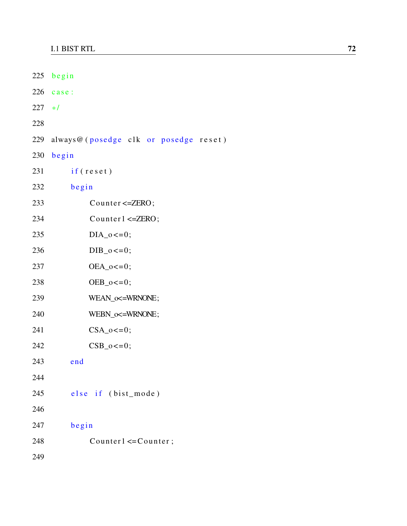|          | 225 begin                             |
|----------|---------------------------------------|
|          | $226$ case:                           |
| $227 *1$ |                                       |
| 228      |                                       |
| 229      | always@(posedge clk or posedge reset) |
|          | 230 begin                             |
| 231      | if (reset)                            |
| 232      | begin                                 |
| 233      | Counter <= ZERO;                      |
| 234      | Counter1 $\le$ =ZERO;                 |
| 235      | $DIA_0 \leq 0;$                       |
| 236      | $DIB_0 \lt = 0;$                      |
| 237      | $OEA_0 \lt = 0;$                      |
| 238      | $OEB_0 \lt = 0;$                      |
| 239      | WEAN_o<=WRNONE;                       |
| 240      | WEBN_o<=WRNONE;                       |
| 241      | $CSA_0 \leq 0;$                       |
| 242      | $CSB_0 \lt = 0;$                      |
| 243      | end                                   |
| 244      |                                       |
| 245      | else if (bist_mode)                   |
| 246      |                                       |
| 247      | begin                                 |
| 248      | Counter $1 \leq C$ ounter;            |
| 249      |                                       |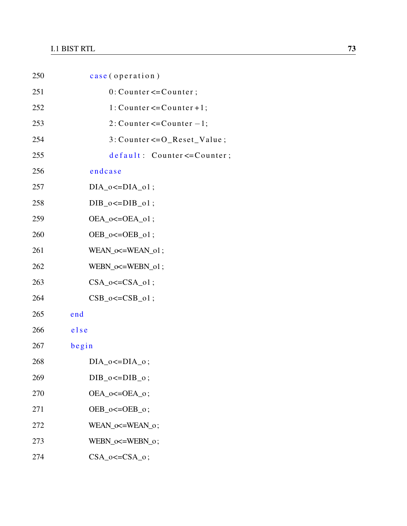| 250 | case (operation)                        |
|-----|-----------------------------------------|
| 251 | $0:$ Counter $\leq$ Counter;            |
| 252 | $1: Counter \le Counter + 1;$           |
| 253 | 2: Counter $\leq$ Counter $-1$ ;        |
| 254 | $3: Counter \leftarrow O\_Reset_Value;$ |
| 255 | default: Counter <= Counter;            |
| 256 | endcase                                 |
| 257 | $DIA_0 \leq DIA_01$ ;                   |
| 258 | $DIB_0 \leq DIB_01$ ;                   |
| 259 | $OEA_0 \leq OEA_01$ ;                   |
| 260 | $OEB_0 \leq OEB_01$ ;                   |
| 261 | $WEAN_{\sim} \times = WEAN_{01};$       |
| 262 | $WEBN_{\infty}=\text{WEBN}_01;$         |
| 263 | $CSA_0 \leq CSA_01$ ;                   |
| 264 | $CSB_0 \leq -CSB_01$ ;                  |
| 265 | end                                     |
| 266 | else                                    |
| 267 | begin                                   |
| 268 | $DIA_0 \leq DIA_0$ ;                    |
| 269 | DIB $o \leq DIB$ $o$ ;                  |
| 270 | $OEA_0 \leq OEA_0$ ;                    |
| 271 | $OEB_0 \leq OEB_0$ ;                    |
| 272 | WEAN_o <= WEAN_o;                       |
| 273 | WEBN_o <= WEBN_o;                       |
| 274 | $CSA_0 \leq CSA_0$ ;                    |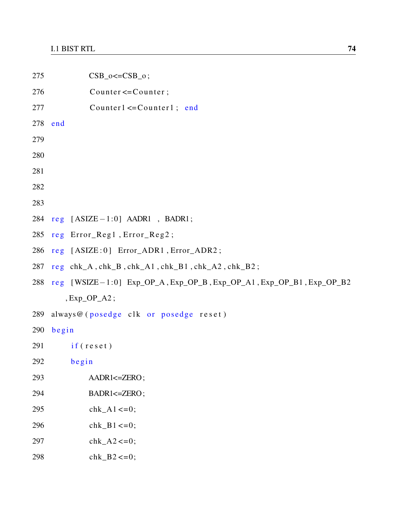```
275 CSB_0 \leq -CSB_0;
276 Counter <= Counter;
277 Counter1 <= Counter1 ; end
278 end
279
280
281
282
283
284 reg [ASIZE-1:0] AADR1, BADR1;
285 reg Error_Reg1, Error_Reg2;
286 reg [ASIZE:0] Error_ADR1, Error_ADR2;
287 reg chk_A, chk_B, chk_A1, chk_B1, chk_A2, chk_B2;
288 reg [WSIZE−1:0] Exp_OP_A, Exp_OP_B, Exp_OP_A1, Exp_OP_B1, Exp_OP_B2
      , Exp\_OP_A2;
289 always@ (posedge clk or posedge reset)
290 begin
291 if (reset)
292 begin
293 AADR1<=ZERO;
294 BADR1<=ZERO;
295 chk A1 \le 0;
296 chk_B1 <= 0;
297 chk_A2 <= 0;
298 chk_B2\lt=0;
```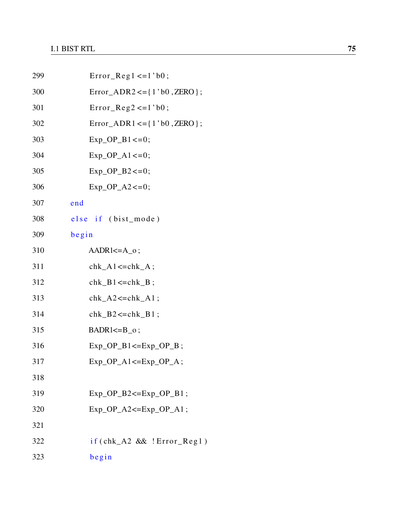| 299 | $Error\_Reg1 \leq 1' b0;$                 |
|-----|-------------------------------------------|
| 300 | $Error_{ADR2} \leq {\frac{1' b0}{ZERO}};$ |
| 301 | $Error\_Reg2 \leq 1' b0;$                 |
| 302 | $Error_ADR1 \leq {\{1' b0, ZERO\}}$ ;     |
| 303 | $Exp_OP_B1 \leq 0;$                       |
| 304 | $Exp_OP_A1 \leq 0;$                       |
| 305 | $Exp\_OP_B2 \leq 0$ ;                     |
| 306 | $Exp_OP_A2 \leq 0;$                       |
| 307 | end                                       |
| 308 | else if (bist_mode)                       |
| 309 | begin                                     |
| 310 | $AADR1 \leq A_0$ ;                        |
| 311 | $chk_A1 \leq chk_A;$                      |
| 312 | $chk_B1 \leq chk_B$ ;                     |
| 313 | $chk_A2 \leq chk_A1$ ;                    |
| 314 | $chk_B2 \leq chk_B1$ ;                    |
| 315 | $BADR1 \le B_0$ ;                         |
| 316 | $Exp\_OP_B1 \leq Exp_OP_B$ ;              |
| 317 | $Exp_OP_A1 \leq Exp_OP_A$ ;               |
| 318 |                                           |
| 319 | $Exp_OP_B2 \leq Exp_OP_B1$ ;              |
| 320 | $Exp\_OP_A2 \leq Exp_OP_A1$ ;             |
| 321 |                                           |
| 322 | $if (chk_A2 \&& !Error_Reg1)$             |
| 323 | begin                                     |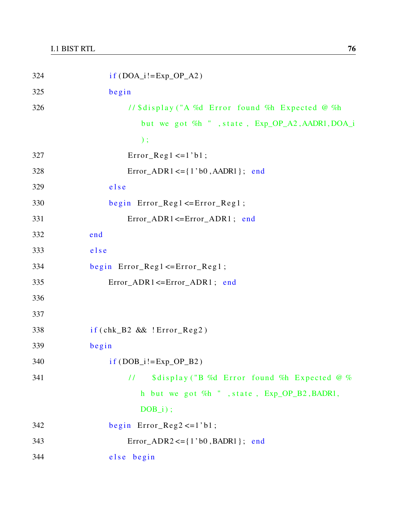| 324 | $if (DOA_i!=Exp_OP_A2)$                                       |
|-----|---------------------------------------------------------------|
| 325 | begin                                                         |
| 326 | // \$display ("A %d Error found %h Expected @ %h              |
|     | but we got %h ", state, Exp_OP_A2, AADR1, DOA_i               |
|     | $)$ ;                                                         |
| 327 | $Error\_Reg1 \leq 1' b1;$                                     |
| 328 | $Error_\text{ADR1} \leq \{1, b0, \text{A} \leq 1\}$ ; end     |
| 329 | else                                                          |
| 330 | begin $Error\_Reg1 \leq Error\_Reg1$ ;                        |
| 331 | Error_ADR1<=Error_ADR1; end                                   |
| 332 | end                                                           |
| 333 | else                                                          |
| 334 | begin $Error\_Reg1 \leq Error\_Reg1$ ;                        |
| 335 | $Error_ADR1 \leq Error_ADR1$ ; end                            |
| 336 |                                                               |
| 337 |                                                               |
| 338 | $if (chk_B2 \&& !Error_{Reg2})$                               |
| 339 | begin                                                         |
| 340 | $if (DOB_i!=Exp_OP_B2)$                                       |
| 341 | \$display ("B %d Error found %h Expected @ %<br>$\frac{1}{2}$ |
|     | h but we got %h ", state, Exp_OP_B2, BADR1,                   |
|     | $DOB_i$ ;                                                     |
| 342 | begin $Error_{Reg2} \le -1$ 'b1;                              |
| 343 | $Error_\text{ADR2} \leq \{1, b0, \text{BADR1}\};$ end         |
| 344 | else begin                                                    |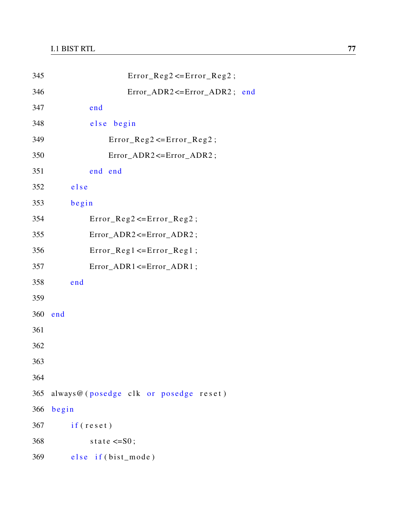| 345 | $Error\_Reg2 \leq Error\_Reg2$ ;      |
|-----|---------------------------------------|
| 346 | Error_ADR2<=Error_ADR2; end           |
| 347 | end                                   |
| 348 | begin<br>$e$ lse                      |
| 349 | $Error\_Reg2 \leq Error\_Reg2$ ;      |
| 350 | Error_ADR2<=Error_ADR2;               |
| 351 | end end                               |
| 352 | else                                  |
| 353 | begin                                 |
| 354 | $Error\_Reg2 \leq Error\_Reg2$ ;      |
| 355 | Error_ADR2<=Error_ADR2;               |
| 356 | $Error\_Reg1 \leq Error\_Reg1;$       |
| 357 | Error_ADR1 <= Error_ADR1;             |
| 358 | end                                   |
| 359 |                                       |
| 360 | end                                   |
| 361 |                                       |
| 362 |                                       |
| 363 |                                       |
| 364 |                                       |
| 365 | always@(posedge clk or posedge reset) |
| 366 | begin                                 |
| 367 | if (reset)                            |
| 368 | state $\leq$ =S0;                     |
| 369 | else if (bist_mode)                   |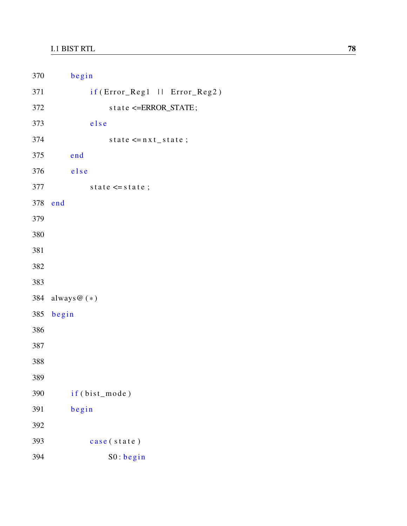| 370 | begin                          |
|-----|--------------------------------|
| 371 | if (Error_Reg1     Error_Reg2) |
| 372 | state <= ERROR_STATE;          |
| 373 | else                           |
| 374 | state $\leq n \times t$ state; |
| 375 | end                            |
| 376 | else                           |
| 377 | state $\leq$ state;            |
| 378 | end                            |
| 379 |                                |
| 380 |                                |
| 381 |                                |
| 382 |                                |
| 383 |                                |
|     | 384 always@(*)                 |
| 385 | begin                          |
| 386 |                                |
| 387 |                                |
| 388 |                                |
| 389 |                                |
| 390 | if (bist_mode)                 |
| 391 | begin                          |
| 392 |                                |
| 393 | case (state)                   |
| 394 | S0:begin                       |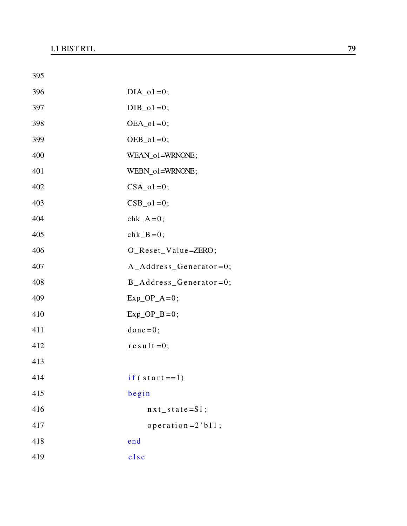| 395 |                            |
|-----|----------------------------|
| 396 | $DIA_01=0;$                |
| 397 | $DIB_01=0;$                |
| 398 | $OEA_01=0$ ;               |
| 399 | $OEB_01=0;$                |
| 400 | WEAN_o1=WRNONE;            |
| 401 | WEBN_o1=WRNONE;            |
| 402 | $CSA_01=0;$                |
| 403 | $CSB_01=0;$                |
| 404 | $chk_A=0;$                 |
| 405 | chk $B=0$ ;                |
| 406 | O_Reset_Value=ZERO;        |
| 407 | A_Address_Generator=0;     |
| 408 | $B\_Address\_Generator=0;$ |
| 409 | $Exp\_OP_A=0;$             |
| 410 | $Exp\_OP$ <sub>B</sub> =0; |
| 411 | $done = 0;$                |
| 412 | $re$ sult=0;               |
| 413 |                            |
| 414 | $if (start == 1)$          |
| 415 | begin                      |
| 416 | $nx t$ _ state = S1;       |
| 417 | operation = $2$ 'b $11$ ;  |
| 418 | end                        |
| 419 | else                       |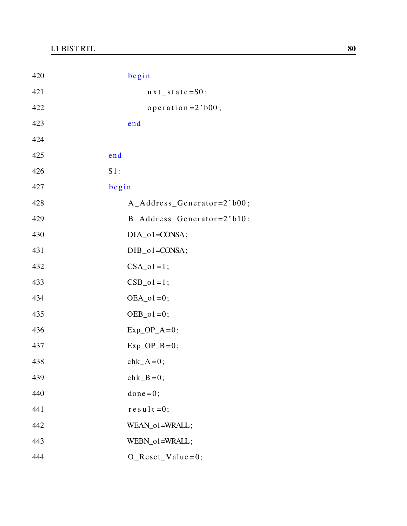| 420 | begin                                   |
|-----|-----------------------------------------|
| 421 | $nx t$ state=S0;                        |
| 422 | operation= $2$ 'b00;                    |
| 423 | end                                     |
| 424 |                                         |
| 425 | end                                     |
| 426 | $S1$ :                                  |
| 427 | begin                                   |
| 428 | $A\_Address\_Generator=2' b00;$         |
| 429 | $B\_Address\_Generator=2' b10;$         |
| 430 | $DIA_01 = CONSA;$                       |
| 431 | $DIB_01 = CONSA;$                       |
| 432 | $CSA_01=1;$                             |
| 433 | $CSB_01=1;$                             |
| 434 | $OEA_01=0;$                             |
| 435 | $OEB_01=0;$                             |
| 436 | $Exp\_OP_A=0;$                          |
| 437 | $Exp\_OP$ <sub><math>B=0</math></sub> ; |
| 438 | $chk_A=0;$                              |
| 439 | $chk_B=0;$                              |
| 440 | $done = 0;$                             |
| 441 | $re$ sult=0;                            |
| 442 | WEAN_o1=WRALL;                          |
| 443 | WEBN_o1=WRALL;                          |
| 444 | $O$ <sub>Reset_Value=0;</sub>           |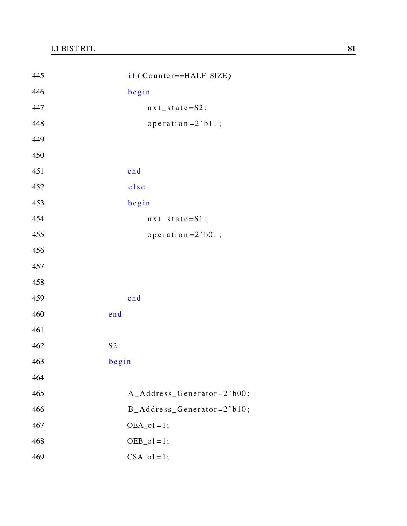| 445 | if (Counter==HALF_SIZE)         |
|-----|---------------------------------|
| 446 | begin                           |
| 447 | $nxt$ _ state=S2;               |
| 448 | operation= $2$ 'b11;            |
| 449 |                                 |
| 450 |                                 |
| 451 | end                             |
| 452 | else                            |
| 453 | begin                           |
| 454 | $nxt$ _ state=S1;               |
| 455 | operation= $2$ 'b01;            |
| 456 |                                 |
| 457 |                                 |
| 458 |                                 |
| 459 | end                             |
| 460 | end                             |
| 461 |                                 |
| 462 | S2:                             |
| 463 | begin                           |
| 464 |                                 |
| 465 | A_Address_Generator=2'b00;      |
| 466 | $B\_Address\_Generator=2' b10;$ |
| 467 | $OEA_01=1;$                     |
| 468 | $OEB_01=1;$                     |
| 469 | $CSA_01=1;$                     |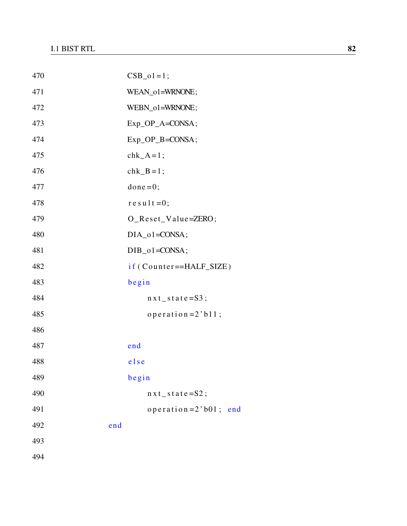| 470 | $CSB_01=1;$               |  |
|-----|---------------------------|--|
| 471 | WEAN_o1=WRNONE;           |  |
| 472 | WEBN_o1=WRNONE;           |  |
| 473 | Exp_OP_A=CONSA;           |  |
| 474 | Exp_OP_B=CONSA;           |  |
| 475 | $chk_A = 1$ ;             |  |
| 476 | $chk$ <sub>-B</sub> =1;   |  |
| 477 | $done = 0;$               |  |
| 478 | $re$ sult=0;              |  |
| 479 | O_Reset_Value=ZERO;       |  |
| 480 | $DIA_01 = CONSA;$         |  |
| 481 | $DIB_01 = CONSA;$         |  |
| 482 | if (Counter==HALF_SIZE)   |  |
| 483 | begin                     |  |
| 484 | $nxt$ _ state=S3;         |  |
| 485 | operation = $2$ 'b11;     |  |
| 486 |                           |  |
| 487 | end                       |  |
| 488 | else                      |  |
| 489 | begin                     |  |
| 490 | $nx t$ _ s t a t e = S2;  |  |
| 491 | operation = $2$ 'b01; end |  |
| 492 | end                       |  |
| 493 |                           |  |
| 494 |                           |  |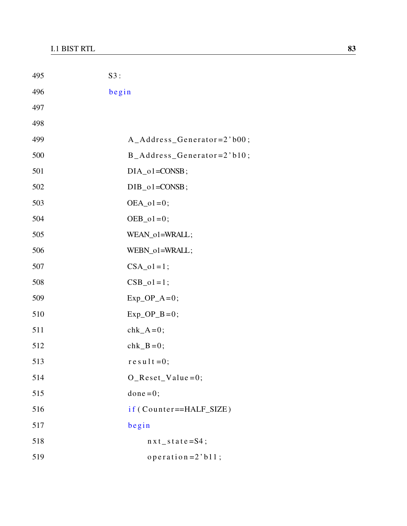| 495 | S3:                             |
|-----|---------------------------------|
| 496 | begin                           |
| 497 |                                 |
| 498 |                                 |
| 499 | A_Address_Generator=2'b00;      |
| 500 | $B\_Address\_Generator=2' b10;$ |
| 501 | $DIA_01 = CONSB;$               |
| 502 | $DIB_01 = CONSB;$               |
| 503 | $OEA_01=0;$                     |
| 504 | $OEB_01=0$ ;                    |
| 505 | WEAN_o1=WRALL;                  |
| 506 | WEBN_o1=WRALL;                  |
| 507 | $CSA_01=1;$                     |
| 508 | $CSB_01=1;$                     |
| 509 | $Exp\_OP_A=0;$                  |
| 510 | $Exp\_OP$ <sub>B</sub> =0;      |
| 511 | $chk_A=0;$                      |
| 512 | $chk_B=0;$                      |
| 513 | $r e s u l t = 0;$              |
| 514 | $O$ _Reset_Value=0;             |
| 515 | $done = 0;$                     |
| 516 | if (Counter==HALF_SIZE)         |
| 517 | begin                           |
| 518 | $nx t$ _ s t a t e = S4;        |
| 519 | operation = $2$ 'b $11$ ;       |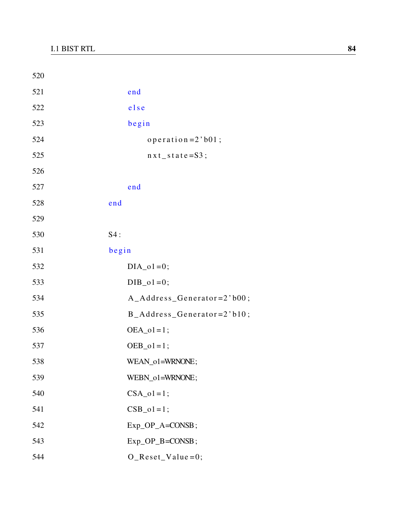| 520 |                                    |
|-----|------------------------------------|
| 521 | end                                |
| 522 | else                               |
| 523 | begin                              |
| 524 | operation = $2$ 'b01;              |
| 525 | $nxt$ _ state=S3;                  |
| 526 |                                    |
| 527 | end                                |
| 528 | end                                |
| 529 |                                    |
| 530 | S4:                                |
| 531 | begin                              |
| 532 | $DIA_01=0;$                        |
| 533 | $DIB_01=0;$                        |
| 534 | A_Address_Generator=2'b00;         |
| 535 | $B\_Address\_Generator=2' b10;$    |
| 536 | $OEA_01=1;$                        |
| 537 | $OEB_01 = 1;$                      |
| 538 | WEAN_o1=WRNONE;                    |
| 539 | WEBN_o1=WRNONE;                    |
| 540 | $CSA_01=1;$                        |
| 541 | $CSB_01=1;$                        |
| 542 | Exp_OP_A=CONSB;                    |
| 543 | $Exp\_OP$ <sub>B</sub> = $COMSB$ ; |
| 544 | $O$ _Reset_Value=0;                |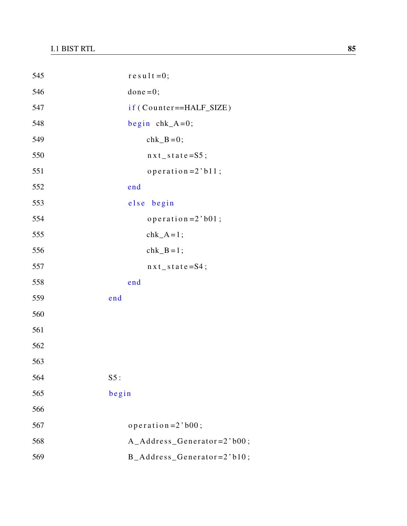| 545 | $r e s u 1 t = 0;$             |
|-----|--------------------------------|
| 546 | $done = 0;$                    |
| 547 | if (Counter==HALF_SIZE)        |
| 548 | begin $chk_A=0$ ;              |
| 549 | $chk_B=0;$                     |
| 550 | $nxt$ _ state=S5;              |
| 551 | operation= $2$ 'b11;           |
| 552 | end                            |
| 553 | else begin                     |
| 554 | operation = $2$ 'b01;          |
| 555 | $chk_A = 1$ ;                  |
| 556 | $chk_B = 1$ ;                  |
| 557 | $nx t$ _ state = S4;           |
| 558 | end                            |
| 559 | end                            |
| 560 |                                |
| 561 |                                |
| 562 |                                |
| 563 |                                |
| 564 | S5:                            |
| 565 | begin                          |
| 566 |                                |
| 567 | $operator{operation = 2' b00;$ |
| 568 | A_Address_Generator=2'b00;     |
| 569 | B_Address_Generator=2'b10;     |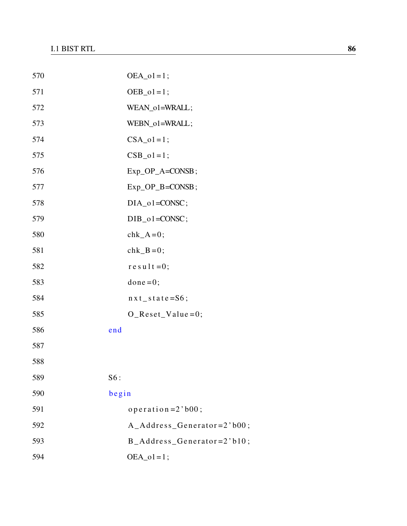| 570 | $OEA_01=1;$                     |
|-----|---------------------------------|
| 571 | $OEB_01=1;$                     |
| 572 | WEAN_o1=WRALL;                  |
| 573 | WEBN_o1=WRALL;                  |
| 574 | $CSA_01=1;$                     |
| 575 | $CSB_01=1;$                     |
| 576 | $Exp\_OP\_A = CONSB;$           |
| 577 | $Exp\_OP$ <sub>-B</sub> =CONSB; |
| 578 | $DIA_01 = CONSC;$               |
| 579 | $DIB_01 = CONSC;$               |
| 580 | $chk_A=0;$                      |
| 581 | $chk_B=0;$                      |
| 582 | $re$ sult=0;                    |
| 583 | $done = 0;$                     |
| 584 | $nxt$ <sub>_state</sub> =S6;    |
| 585 | $O$ _Reset_Value=0;             |
| 586 | end                             |
| 587 |                                 |
| 588 |                                 |
| 589 | S6:                             |
| 590 | begin                           |
| 591 | operation = $2$ 'b00;           |
| 592 | $A\_Address\_Generator=2' b00;$ |
| 593 | $B\_Address\_Generator=2' b10;$ |
| 594 | $OEA_01=1;$                     |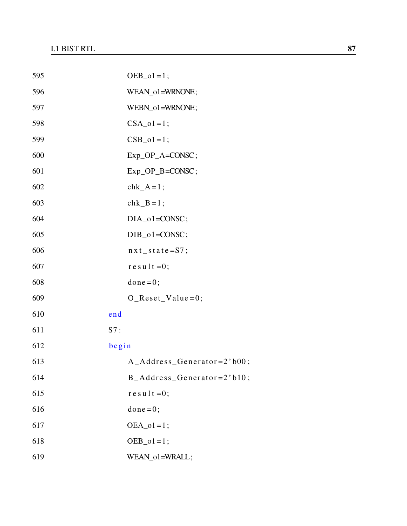| 595 |       | $OEB_01 = 1;$                   |
|-----|-------|---------------------------------|
| 596 |       | WEAN_o1=WRNONE;                 |
| 597 |       | WEBN_o1=WRNONE;                 |
| 598 |       | $CSA_01=1;$                     |
| 599 |       | $CSB_01=1;$                     |
| 600 |       | Exp_OP_A=CONSC;                 |
| 601 |       | $Exp\_OP$ <sub>-B</sub> =CONSC; |
| 602 |       | $chk_A = 1$ ;                   |
| 603 |       | $chk$ <sub>-B</sub> =1;         |
| 604 |       | $DIA_01 = CONSC;$               |
| 605 |       | $DIB_01 = CONSC;$               |
| 606 |       | $nx t$ _ s t a t e = S7;        |
| 607 |       | $r e s u l t = 0;$              |
| 608 |       | $done = 0;$                     |
| 609 |       | $O$ _Reset_Value=0;             |
| 610 | end   |                                 |
| 611 | S7:   |                                 |
| 612 | begin |                                 |
| 613 |       | $A\_Address\_Generator=2' b00;$ |
| 614 |       | B_Address_Generator=2'b10;      |
| 615 |       | $re$ sult = 0;                  |
| 616 |       | $done = 0;$                     |
| 617 |       | $OEA_01=1$ ;                    |
| 618 |       | $OEB_01=1;$                     |
| 619 |       | WEAN_o1=WRALL;                  |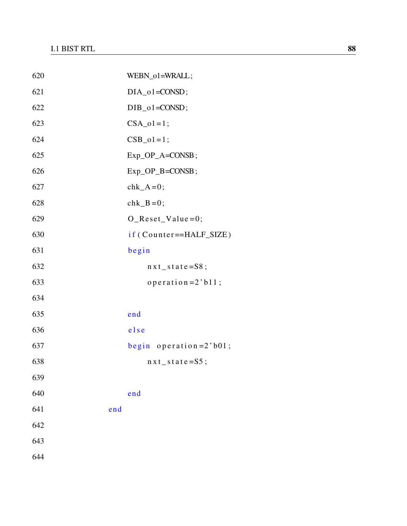| 620 |     | WEBN_o1=WRALL;                  |
|-----|-----|---------------------------------|
| 621 |     | $DIA_01 = CONSD;$               |
| 622 |     | $DIB_01 = CONSD;$               |
| 623 |     | $CSA_01=1;$                     |
| 624 |     | $CSB_01 = 1;$                   |
| 625 |     | $Exp\_OP\_A = CONSB;$           |
| 626 |     | $Exp\_OP$ <sub>-B</sub> =CONSB; |
| 627 |     | $chk_A=0;$                      |
| 628 |     | $chk_B=0;$                      |
| 629 |     | $O$ _Reset_Value=0;             |
| 630 |     | if (Counter==HALF_SIZE)         |
| 631 |     | begin                           |
| 632 |     | $nxt_s$ state=S8;               |
| 633 |     | operation = $2$ 'b $11$ ;       |
| 634 |     |                                 |
| 635 |     | end                             |
| 636 |     | else                            |
| 637 |     | begin operation= $2$ 'b01;      |
| 638 |     | $n \times t$ _ state=S5;        |
| 639 |     |                                 |
| 640 |     | end                             |
| 641 | end |                                 |
| 642 |     |                                 |
| 643 |     |                                 |
| 644 |     |                                 |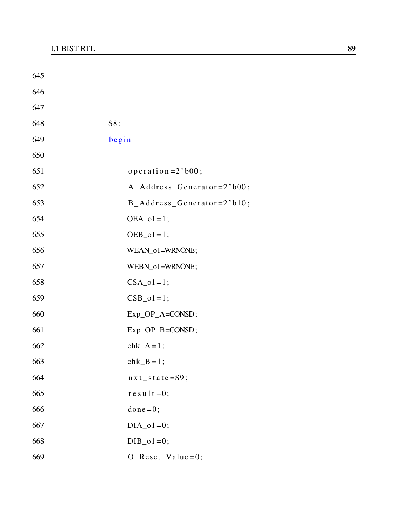| 645 |                                 |
|-----|---------------------------------|
| 646 |                                 |
| 647 |                                 |
| 648 | S8:                             |
| 649 | begin                           |
| 650 |                                 |
| 651 | $operator{operation = 2' b00;$  |
| 652 | A_Address_Generator=2'b00;      |
| 653 | $B\_Address\_Generator=2' b10;$ |
| 654 | $OEA_01=1$ ;                    |
| 655 | $OEB_01 = 1;$                   |
| 656 | WEAN_o1=WRNONE;                 |
| 657 | WEBN_o1=WRNONE;                 |
| 658 | $CSA_01=1;$                     |
| 659 | $CSB_01=1;$                     |
| 660 | Exp_OP_A=CONSD;                 |
| 661 | Exp_OP_B=CONSD;                 |
| 662 | $chk_A=1;$                      |
| 663 | $chk$ <sub>B</sub> =1;          |
| 664 | $nx t$ _ state=S9;              |
| 665 | $r e s u l t = 0;$              |
| 666 | $done = 0;$                     |
| 667 | $DIA_01=0;$                     |
| 668 | $DIB_01=0;$                     |
| 669 | $O$ _Reset_Value=0;             |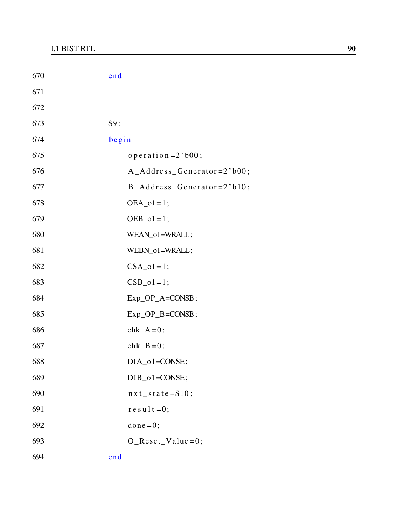| 670 | end                             |
|-----|---------------------------------|
| 671 |                                 |
| 672 |                                 |
| 673 | S9:                             |
| 674 | begin                           |
| 675 | $operatoreration = 2' b00;$     |
| 676 | A_Address_Generator=2'b00;      |
| 677 | B_Address_Generator=2'b10;      |
| 678 | $OEA_01=1;$                     |
| 679 | $OEB_01=1$ ;                    |
| 680 | WEAN_o1=WRALL;                  |
| 681 | WEBN_o1=WRALL;                  |
| 682 | $CSA_01=1;$                     |
| 683 | $CSB_01=1;$                     |
| 684 | Exp_OP_A=CONSB;                 |
| 685 | $Exp\_OP$ <sub>-B</sub> =CONSB; |
| 686 | $chk_A=0;$                      |
| 687 | $chk_B=0;$                      |
| 688 | $DIA_01 = CONSE;$               |
| 689 | $DIB_01 = CONSE;$               |
| 690 | $nxt$ <sub>_state</sub> =S10;   |
| 691 | $r e s u l t = 0;$              |
| 692 | $done = 0;$                     |
| 693 | $O$ _Reset_Value=0;             |
| 694 | end                             |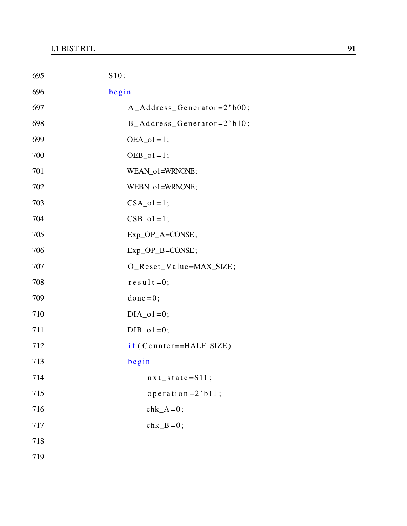| 695 | S10:                            |
|-----|---------------------------------|
| 696 | begin                           |
| 697 | A_Address_Generator=2'b00;      |
| 698 | $B\_Address\_Generator=2' b10;$ |
| 699 | $OEA_01=1;$                     |
| 700 | $OEB_01 = 1;$                   |
| 701 | WEAN_o1=WRNONE;                 |
| 702 | WEBN_o1=WRNONE;                 |
| 703 | $CSA_01=1;$                     |
| 704 | $CSB_01=1;$                     |
| 705 | Exp_OP_A=CONSE;                 |
| 706 | Exp_OP_B=CONSE;                 |
| 707 | O_Reset_Value=MAX_SIZE;         |
| 708 | $r e s u 1 t = 0;$              |
| 709 | $done = 0;$                     |
| 710 | $DIA_01=0;$                     |
| 711 | $DIB_01=0;$                     |
| 712 | if (Counter==HALF_SIZE)         |
| 713 | begin                           |
| 714 | $nxt_state = S11;$              |
| 715 | operation = $2$ 'b11;           |
| 716 | $chk_A=0;$                      |
| 717 | $chk_B=0;$                      |
| 718 |                                 |
| 719 |                                 |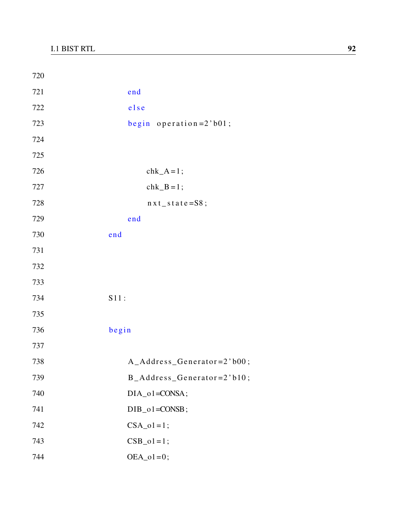| 720 |                                 |
|-----|---------------------------------|
| 721 | end                             |
| 722 | else                            |
| 723 | begin operation= $2$ 'b01;      |
| 724 |                                 |
| 725 |                                 |
| 726 | $chk_A = 1$ ;                   |
| 727 | $chk_B = 1$ ;                   |
| 728 | $nxt$ _ state=S8;               |
| 729 | end                             |
| 730 | end                             |
| 731 |                                 |
| 732 |                                 |
| 733 |                                 |
| 734 | S11:                            |
| 735 |                                 |
| 736 | begin                           |
| 737 |                                 |
| 738 | A_Address_Generator=2'b00;      |
| 739 | $B\_Address\_Generator=2' b10;$ |
| 740 | DIA_o1=CONSA;                   |
| 741 | $DIB_01 = CONSB;$               |
| 742 | $CSA_01=1;$                     |
| 743 | $CSB_01=1;$                     |
| 744 | $OEA_01=0;$                     |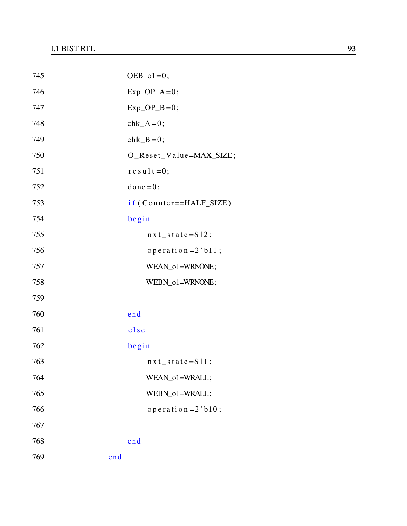| 745 |     | $OEB_01=0;$                |
|-----|-----|----------------------------|
| 746 |     | $Exp\_OP_A=0;$             |
| 747 |     | $Exp\_OP$ <sub>B</sub> =0; |
| 748 |     | $chk_A=0;$                 |
| 749 |     | $chk_B=0;$                 |
| 750 |     | O_Reset_Value=MAX_SIZE;    |
| 751 |     | $r e s u l t = 0;$         |
| 752 |     | $done = 0;$                |
| 753 |     | if (Counter==HALF_SIZE)    |
| 754 |     | begin                      |
| 755 |     | $nxt_state = S12;$         |
| 756 |     | operation = $2$ 'b11;      |
| 757 |     | WEAN_o1=WRNONE;            |
| 758 |     | WEBN_o1=WRNONE;            |
| 759 |     |                            |
| 760 |     | end                        |
| 761 |     | else                       |
| 762 |     | begin                      |
| 763 |     | $nxt_state = S11;$         |
| 764 |     | WEAN_o1=WRALL;             |
| 765 |     | WEBN o1=WRALL;             |
| 766 |     | operator (10)              |
| 767 |     |                            |
| 768 |     | end                        |
| 769 | end |                            |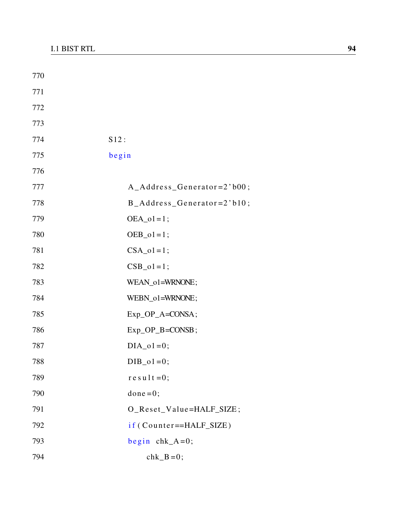| 770 |                                 |
|-----|---------------------------------|
| 771 |                                 |
| 772 |                                 |
| 773 |                                 |
| 774 | S12:                            |
| 775 | begin                           |
| 776 |                                 |
| 777 | $A\_Address\_Generator=2' b00;$ |
| 778 | $B\_Address\_Generator=2' b10;$ |
| 779 | $OEA_01 = 1;$                   |
| 780 | $OEB_01 = 1;$                   |
| 781 | $CSA_01=1;$                     |
| 782 | $CSB_01=1;$                     |
| 783 | WEAN_o1=WRNONE;                 |
| 784 | WEBN_o1=WRNONE;                 |
| 785 | Exp_OP_A=CONSA;                 |
| 786 | Exp_OP_B=CONSB;                 |
| 787 | $DIA_01=0;$                     |
| 788 | $DIB_01=0;$                     |
| 789 | $re$ sult=0;                    |
| 790 | $done = 0;$                     |
| 791 | O_Reset_Value=HALF_SIZE;        |
| 792 | if (Counter==HALF_SIZE)         |
| 793 | begin $chk_A=0$ ;               |
| 794 | $chk_B=0;$                      |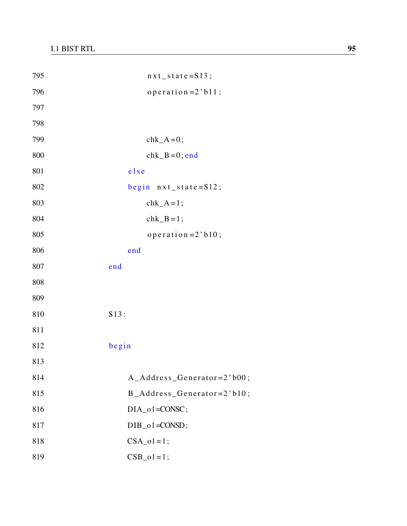| 795 | $nxt_state = S13;$         |
|-----|----------------------------|
| 796 | operation= $2$ 'b11;       |
| 797 |                            |
| 798 |                            |
| 799 | $chk_A=0;$                 |
| 800 | $chk_B=0$ ; end            |
| 801 | else                       |
| 802 | begin $nxt_s$ state=S12;   |
| 803 | $chk_A = 1$ ;              |
| 804 | $chk_B = 1$ ;              |
| 805 | operation= $2$ 'b10;       |
| 806 | end                        |
| 807 | end                        |
| 808 |                            |
| 809 |                            |
| 810 | S13:                       |
| 811 |                            |
| 812 | begin                      |
| 813 |                            |
| 814 | A_Address_Generator=2'b00; |
| 815 | B_Address_Generator=2'b10; |
| 816 | DIA_o1=CONSC;              |
| 817 | $DIB_01 = CONSD;$          |
| 818 | $CSA_01=1;$                |
| 819 | $CSB_01=1;$                |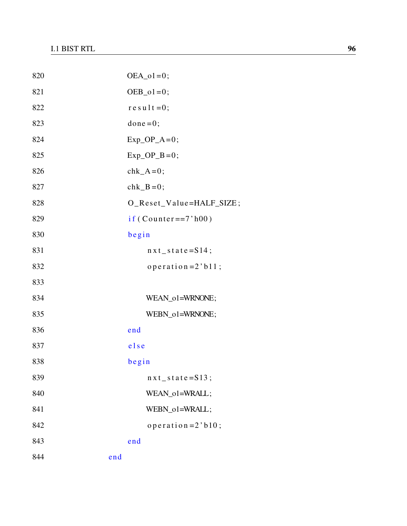| 820 |     | $OEA_01=0$ ;                            |
|-----|-----|-----------------------------------------|
| 821 |     | $OEB_01=0;$                             |
| 822 |     | $r e s u l t = 0;$                      |
| 823 |     | $done = 0;$                             |
| 824 |     | $Exp\_OP_A=0;$                          |
| 825 |     | $Exp\_OP$ <sub><math>B=0</math></sub> ; |
| 826 |     | $chk_A=0;$                              |
| 827 |     | $chk_B=0;$                              |
| 828 |     | O_Reset_Value=HALF_SIZE;                |
| 829 |     | $if (Counter == 7'h00)$                 |
| 830 |     | begin                                   |
| 831 |     | $nxt_state = S14;$                      |
| 832 |     | operation = $2$ 'b11;                   |
| 833 |     |                                         |
| 834 |     | WEAN_o1=WRNONE;                         |
| 835 |     | WEBN_o1=WRNONE;                         |
| 836 |     | end                                     |
| 837 |     | else                                    |
| 838 |     | begin                                   |
| 839 |     | $nxt_state = S13;$                      |
| 840 |     | WEAN_o1=WRALL;                          |
| 841 |     | WEBN_o1=WRALL;                          |
| 842 |     | operation = $2$ 'b $10$ ;               |
| 843 |     | end                                     |
| 844 | end |                                         |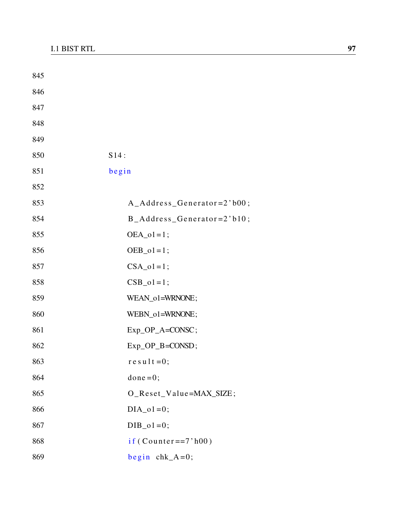| 845 |                                               |
|-----|-----------------------------------------------|
| 846 |                                               |
| 847 |                                               |
| 848 |                                               |
| 849 |                                               |
| 850 | S14:                                          |
| 851 | begin                                         |
| 852 |                                               |
| 853 | $A\_Address\_Generator=2' b00;$               |
| 854 | $B\_Address\_Generator=2' b10;$               |
| 855 | $OEA_01=1$ ;                                  |
| 856 | $OEB_01=1;$                                   |
| 857 | $CSA_01=1;$                                   |
| 858 | $CSB_01=1;$                                   |
| 859 | WEAN_o1=WRNONE;                               |
| 860 | WEBN_o1=WRNONE;                               |
| 861 | $Exp\_OP_A = CONSC;$                          |
| 862 | $Exp\_OP$ <sub><math>B = CONSD</math></sub> ; |
| 863 | $re$ sult=0;                                  |
| 864 | $done = 0;$                                   |
| 865 | O_Reset_Value=MAX_SIZE;                       |
| 866 | $DIA_01=0;$                                   |
| 867 | $DIB_01=0;$                                   |
| 868 | $if (Counter==7'h00)$                         |
| 869 | begin $chk_A=0$ ;                             |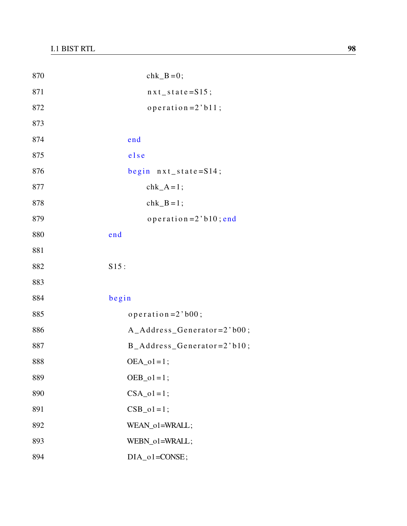| 870 | $chk_B=0;$                      |
|-----|---------------------------------|
| 871 | $nxt_state = S15;$              |
| 872 | operation= $2$ 'bll;            |
| 873 |                                 |
| 874 | end                             |
| 875 | else                            |
| 876 | begin $nxt_s$ state=S14;        |
| 877 | $chk_A = 1$ ;                   |
| 878 | $chk$ <sub>-</sub> $B$ = 1;     |
| 879 | operation = $2$ 'b10; end       |
| 880 | end                             |
| 881 |                                 |
| 882 | S15:                            |
| 883 |                                 |
| 884 | begin                           |
| 885 | operation = $2$ 'b00;           |
| 886 | $A\_Address\_Generator=2' b00;$ |
| 887 | $B\_Address\_Generator=2' b10;$ |
| 888 | $OEA_01=1;$                     |
| 889 | $OEB_01=1;$                     |
| 890 | $CSA_01=1;$                     |
| 891 | $CSB_01=1;$                     |
| 892 | WEAN_o1=WRALL;                  |
| 893 | WEBN_o1=WRALL;                  |
| 894 | $DIA_01 = CONSE;$               |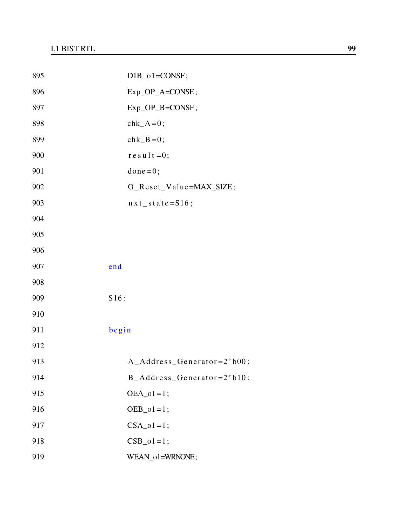| 895 | $DIB_01 = CONSF;$               |
|-----|---------------------------------|
| 896 | Exp_OP_A=CONSE;                 |
| 897 | Exp_OP_B=CONSF;                 |
| 898 | $chk_A=0;$                      |
| 899 | $chk_B=0;$                      |
| 900 | $re$ sult=0;                    |
| 901 | $done = 0;$                     |
| 902 | O_Reset_Value=MAX_SIZE;         |
| 903 | $nxt_state = S16;$              |
| 904 |                                 |
| 905 |                                 |
| 906 |                                 |
| 907 | end                             |
| 908 |                                 |
| 909 | S16:                            |
| 910 |                                 |
| 911 | begin                           |
| 912 |                                 |
| 913 | $A\_Address\_Generator=2' b00;$ |
| 914 | $B\_Address\_Generator=2' b10;$ |
| 915 | $OEA_01=1;$                     |
| 916 | $OEB_01=1;$                     |
| 917 | $CSA_01=1;$                     |
| 918 | $CSB_01=1;$                     |
| 919 | WEAN_o1=WRNONE;                 |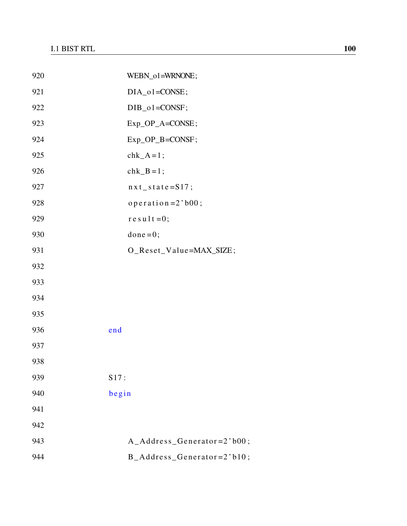| 920 | WEBN_o1=WRNONE;             |
|-----|-----------------------------|
| 921 | $DIA_01 = CONSE;$           |
| 922 | $DIB_01 = CONSF;$           |
| 923 | Exp_OP_A=CONSE;             |
| 924 | Exp_OP_B=CONSF;             |
| 925 | $chk_A = 1$ ;               |
| 926 | $chk_B = 1$ ;               |
| 927 | $nxt_state = S17;$          |
| 928 | $operatoreration = 2' b00;$ |
| 929 | $r e s u l t = 0;$          |
| 930 | $done = 0;$                 |
| 931 | O_Reset_Value=MAX_SIZE;     |
| 932 |                             |
| 933 |                             |
| 934 |                             |
| 935 |                             |
| 936 | end                         |
| 937 |                             |
| 938 |                             |
| 939 | S17:                        |
| 940 | begin                       |
| 941 |                             |
| 942 |                             |
| 943 | A_Address_Generator=2'b00;  |
| 944 | B_Address_Generator=2'b10;  |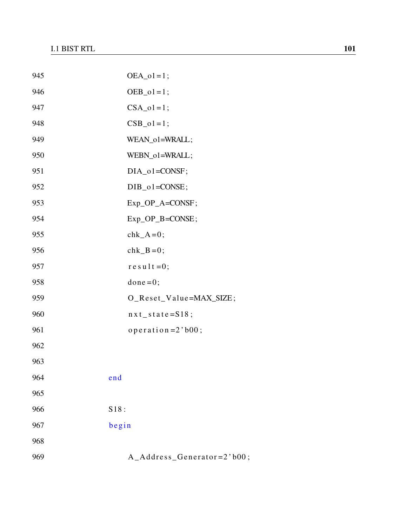| 945 | $OEA_01=1;$                      |
|-----|----------------------------------|
| 946 | $OEB_01=1;$                      |
| 947 | $CSA_01=1;$                      |
| 948 | $CSB_01=1;$                      |
| 949 | WEAN_o1=WRALL;                   |
| 950 | WEBN_o1=WRALL;                   |
| 951 | $DIA_01 = CONSF;$                |
| 952 | $DIB_01 = CONSE;$                |
| 953 | $Exp\_OP_A = CONSF;$             |
| 954 | Exp_OP_B=CONSE;                  |
| 955 | $chk_A=0;$                       |
| 956 | $chk_B=0;$                       |
| 957 | $r e s u 1 t = 0;$               |
| 958 | $done = 0;$                      |
| 959 | O_Reset_Value=MAX_SIZE;          |
| 960 | $nxt$ <sub>state</sub> = $S18$ ; |
| 961 | operation = $2$ 'b00;            |
| 962 |                                  |
| 963 |                                  |
| 964 | end                              |
| 965 |                                  |
| 966 | S18:                             |
| 967 | begin                            |
| 968 |                                  |
| 969 | A_Address_Generator=2'b00;       |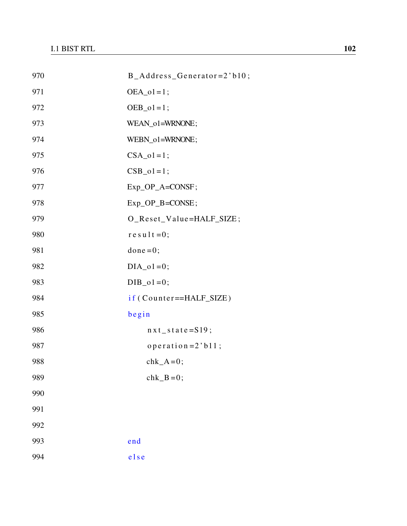| 970 | B_Address_Generator=2'b10;      |
|-----|---------------------------------|
| 971 | $OEA_01=1;$                     |
| 972 | $OEB_01=1;$                     |
| 973 | WEAN_o1=WRNONE;                 |
| 974 | WEBN_o1=WRNONE;                 |
| 975 | $CSA_01=1;$                     |
| 976 | $CSB_01=1;$                     |
| 977 | Exp_OP_A=CONSF;                 |
| 978 | $Exp\_OP$ <sub>-B</sub> =CONSE; |
| 979 | O_Reset_Value=HALF_SIZE;        |
| 980 | $r e s u l t = 0;$              |
| 981 | $done = 0;$                     |
| 982 | $DIA_01=0;$                     |
| 983 | $DIB_01=0;$                     |
| 984 | if (Counter==HALF_SIZE)         |
| 985 | begin                           |
| 986 | $nxt_state = S19;$              |
| 987 | operation = $2$ 'b11;           |
| 988 | $chk_A=0;$                      |
| 989 | $chk$ <sub>B</sub> =0;          |
| 990 |                                 |
| 991 |                                 |
| 992 |                                 |
| 993 | end                             |
| 994 | else                            |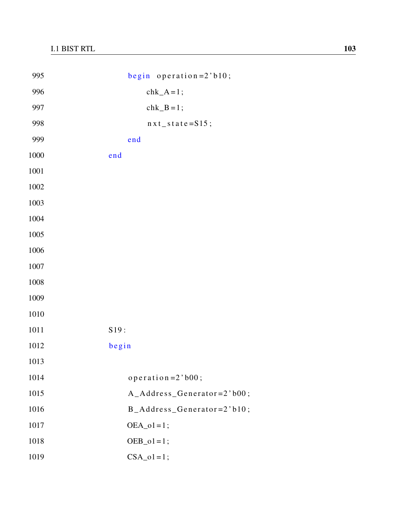| 995      | begin operation= $2$ 'b10;      |
|----------|---------------------------------|
| 996      | $chk_A=1;$                      |
| 997      | $chk_B = 1$ ;                   |
| 998      | $nxt$ <sub>_</sub> state=S15;   |
| 999      | end                             |
| 1000     | end                             |
| $1001\,$ |                                 |
| $1002\,$ |                                 |
| 1003     |                                 |
| 1004     |                                 |
| $1005\,$ |                                 |
| 1006     |                                 |
| $1007\,$ |                                 |
| $1008\,$ |                                 |
| 1009     |                                 |
| 1010     |                                 |
| 1011     | S19:                            |
| 1012     | begin                           |
| 1013     |                                 |
| 1014     | operation= $2$ 'b00;            |
| 1015     | A_Address_Generator=2'b00;      |
| 1016     | $B\_Address\_Generator=2' b10;$ |
| 1017     | $OEA_01=1;$                     |
| 1018     | $OEB_01=1;$                     |
| 1019     | $CSA_01=1;$                     |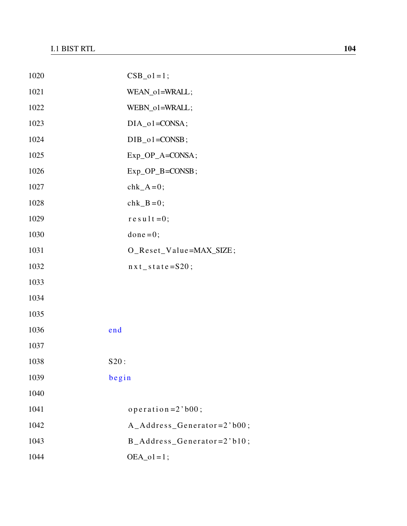| 1020 | $CSB_01=1;$                     |
|------|---------------------------------|
| 1021 | WEAN_o1=WRALL;                  |
| 1022 | WEBN_o1=WRALL;                  |
| 1023 | $DIA_01 = CONSA;$               |
| 1024 | $DIB_01 = CONSB;$               |
| 1025 | Exp_OP_A=CONSA;                 |
| 1026 | $Exp\_OP$ <sub>-B</sub> =CONSB; |
| 1027 | $chk_A=0;$                      |
| 1028 | $chk_B=0;$                      |
| 1029 | $re$ sult=0;                    |
| 1030 | $done = 0;$                     |
| 1031 | O_Reset_Value=MAX_SIZE;         |
| 1032 | $nxt$ <sub>state</sub> =S20;    |
| 1033 |                                 |
| 1034 |                                 |
| 1035 |                                 |
| 1036 | end                             |
| 1037 |                                 |
| 1038 | S20:                            |
| 1039 | begin                           |
| 1040 |                                 |
| 1041 | operation = $2$ 'b00;           |
| 1042 | $A\_Address\_Generator=2' b00;$ |
| 1043 | $B\_Address\_Generator=2' b10;$ |
| 1044 | $OEA_01=1;$                     |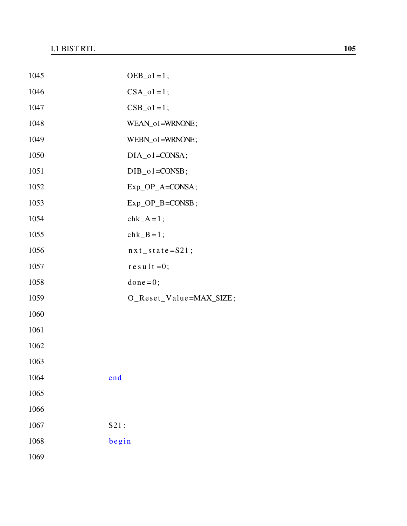| 1045 | $OEB_01=1;$                  |
|------|------------------------------|
| 1046 | $CSA_01=1;$                  |
| 1047 | $CSB_01=1;$                  |
| 1048 | WEAN_o1=WRNONE;              |
| 1049 | WEBN_o1=WRNONE;              |
| 1050 | $DIA_01 = CONSA;$            |
| 1051 | $DIB_01 = CONSB;$            |
| 1052 | Exp_OP_A=CONSA;              |
| 1053 | Exp_OP_B=CONSB;              |
| 1054 | $chk_A = 1$ ;                |
| 1055 | $chk_B=1;$                   |
| 1056 | $nxt$ <sub>state</sub> =S21; |
| 1057 | $r e s u l t = 0;$           |
| 1058 | $done = 0;$                  |
| 1059 | O_Reset_Value=MAX_SIZE;      |
| 1060 |                              |
| 1061 |                              |
| 1062 |                              |
| 1063 |                              |
| 1064 | end                          |
| 1065 |                              |
| 1066 |                              |
| 1067 | S21:                         |
| 1068 | begin                        |
| 1069 |                              |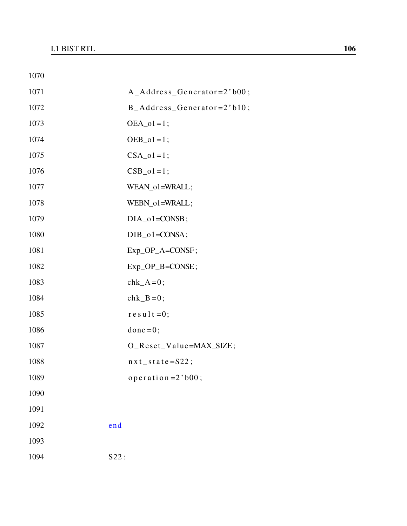| 1070 |                                 |
|------|---------------------------------|
| 1071 | $A\_Address\_Generator=2' b00;$ |
| 1072 | $B\_Address\_Generator=2' b10;$ |
| 1073 | $OEA_01=1;$                     |
| 1074 | $OEB_01=1;$                     |
| 1075 | $CSA_01=1;$                     |
| 1076 | $CSB_01=1;$                     |
| 1077 | WEAN_o1=WRALL;                  |
| 1078 | WEBN_o1=WRALL;                  |
| 1079 | $DIA_01 = CONSB;$               |
| 1080 | $DIB_01 = CONSA;$               |
| 1081 | Exp_OP_A=CONSF;                 |
| 1082 | $Exp\_OP$ <sub>-B</sub> =CONSE; |
| 1083 | $chk_A=0;$                      |
| 1084 | $chk_B=0;$                      |
| 1085 | $re$ sult=0;                    |
| 1086 | $done = 0;$                     |
| 1087 | O_Reset_Value=MAX_SIZE;         |
| 1088 | $nxt$ <sub>state</sub> =S22;    |
| 1089 | operation = $2$ 'b00;           |
| 1090 |                                 |
| 1091 |                                 |
| 1092 | end                             |
| 1093 |                                 |
| 1094 | S22:                            |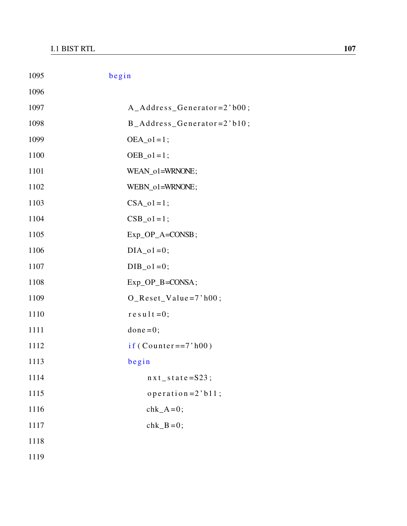| 1095 | begin                           |
|------|---------------------------------|
| 1096 |                                 |
| 1097 | A_Address_Generator=2'b00;      |
| 1098 | B_Address_Generator=2'b10;      |
| 1099 | $OEA_01=1;$                     |
| 1100 | $OEB_01=1;$                     |
| 1101 | WEAN_o1=WRNONE;                 |
| 1102 | WEBN_o1=WRNONE;                 |
| 1103 | $CSA_01=1;$                     |
| 1104 | $CSB_01=1;$                     |
| 1105 | $Exp\_OP\_A = CONSB;$           |
| 1106 | $DIA_01=0;$                     |
| 1107 | $DIB_01=0;$                     |
| 1108 | $Exp\_OP$ <sub>-B</sub> =CONSA; |
| 1109 | $O_{\text{Reset}}$ Value=7'h00; |
| 1110 | $re$ sult=0;                    |
| 1111 | $done = 0;$                     |
| 1112 | if (Counter= $=7$ 'h00)         |
| 1113 | begin                           |
| 1114 | $nxt_state = S23;$              |
| 1115 | operation = $2$ 'b $11$ ;       |
| 1116 | $chk_A=0;$                      |
| 1117 | $chk_B=0;$                      |
| 1118 |                                 |
| 1119 |                                 |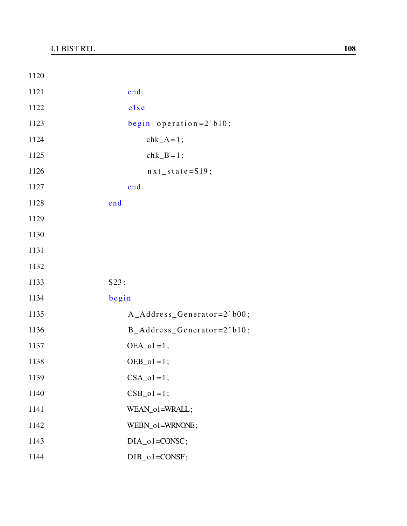| 1120 |                            |
|------|----------------------------|
| 1121 | end                        |
| 1122 | else                       |
| 1123 | begin operation= $2$ 'b10; |
| 1124 | $chk_A = 1$ ;              |
| 1125 | $chk_B = 1$ ;              |
| 1126 | $nxt_state = S19;$         |
| 1127 | end                        |
| 1128 | end                        |
| 1129 |                            |
| 1130 |                            |
| 1131 |                            |
| 1132 |                            |
| 1133 | S23:                       |
| 1134 | begin                      |
| 1135 | A_Address_Generator=2'b00; |
| 1136 | B_Address_Generator=2'b10; |
| 1137 | $OEA_01=1;$                |
| 1138 | $OEB_01=1;$                |
| 1139 | $CSA_01=1;$                |
| 1140 | $CSB_01=1;$                |
| 1141 | WEAN_o1=WRALL;             |
| 1142 | WEBN_o1=WRNONE;            |
| 1143 | $DIA_01 = CONSC;$          |
| 1144 | $DIB_01 = CONSF;$          |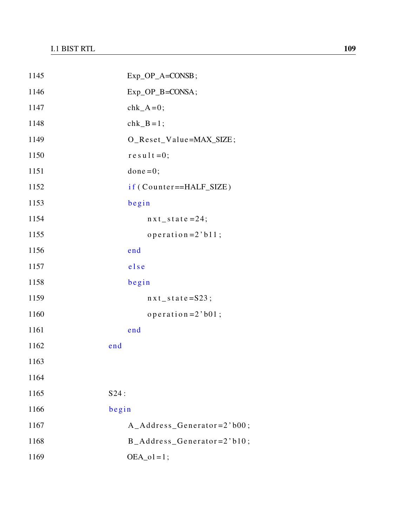| 1145 | Exp_OP_A=CONSB;                 |
|------|---------------------------------|
| 1146 | Exp_OP_B=CONSA;                 |
| 1147 | $chk_A=0;$                      |
| 1148 | $chk$ <sub>-B</sub> =1;         |
| 1149 | O_Reset_Value=MAX_SIZE;         |
| 1150 | $re$ sult=0;                    |
| 1151 | $done = 0;$                     |
| 1152 | if (Counter==HALF_SIZE)         |
| 1153 | begin                           |
| 1154 | $nxt$ _ state = 24;             |
| 1155 | operation = $2$ 'b11;           |
| 1156 | end                             |
| 1157 | else                            |
| 1158 | begin                           |
| 1159 | $nxt_state = S23;$              |
| 1160 | operation = $2$ 'b01;           |
| 1161 | end                             |
| 1162 | end                             |
| 1163 |                                 |
| 1164 |                                 |
| 1165 | S24:                            |
| 1166 | begin                           |
| 1167 | $A\_Address\_Generator=2' b00;$ |
| 1168 | $B\_Address\_Generator=2' b10;$ |
| 1169 | $OEA_01=1;$                     |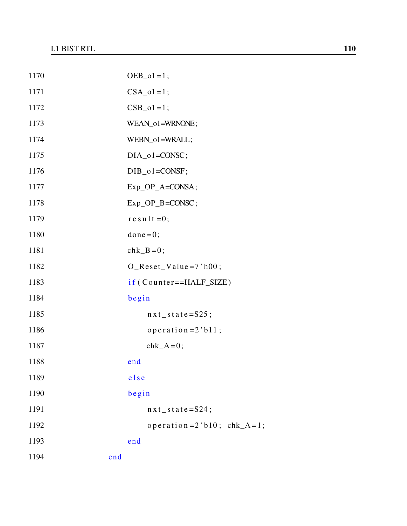| 1170 | $OEB_01=1;$                     |
|------|---------------------------------|
| 1171 | $CSA_01=1;$                     |
| 1172 | $CSB_01 = 1;$                   |
| 1173 | WEAN_o1=WRNONE;                 |
| 1174 | WEBN_o1=WRALL;                  |
| 1175 | $DIA_01 = CONSC;$               |
| 1176 | $DIB_01 = CONSF;$               |
| 1177 | Exp_OP_A=CONSA;                 |
| 1178 | Exp_OP_B=CONSC;                 |
| 1179 | $re$ sult=0;                    |
| 1180 | $done = 0;$                     |
| 1181 | $chk_B=0;$                      |
| 1182 | $O_{\text{Reset}}$ Value=7'h00; |
| 1183 | if (Counter==HALF_SIZE)         |
| 1184 | begin                           |
| 1185 | $nxt_s$ state=S25;              |
| 1186 | operation = $2$ 'b11;           |
| 1187 | chk $A=0$ ;                     |
| 1188 | end                             |
| 1189 | else                            |
| 1190 | begin                           |
| 1191 | $nxt_s$ at $e = S24$ ;          |
| 1192 | operation= $2$ 'b10; chk_A=1;   |
| 1193 | end                             |
| 1194 | end                             |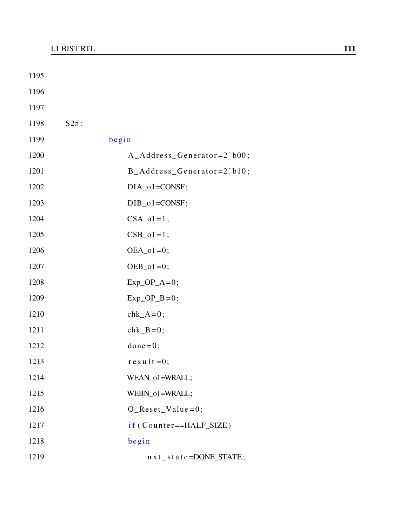| 1195 |       |                                  |
|------|-------|----------------------------------|
| 1196 |       |                                  |
| 1197 |       |                                  |
| 1198 | S25:  |                                  |
| 1199 | begin |                                  |
| 1200 |       | A_Address_Generator=2'b00;       |
| 1201 |       | B_Address_Generator=2'b10;       |
| 1202 |       | DIA_o1=CONSF;                    |
| 1203 |       | $DIB_01 = CONSF;$                |
| 1204 |       | $CSA_01=1;$                      |
| 1205 |       | $CSB_01 = 1;$                    |
| 1206 |       | $OEA_01=0;$                      |
| 1207 |       | $OEB_01 = 0;$                    |
| 1208 |       | $Exp\_OP_A=0;$                   |
| 1209 |       | $Exp\_OP$ <sub>B</sub> =0;       |
| 1210 |       | $chk_A=0;$                       |
| 1211 |       | $chk_B=0;$                       |
| 1212 |       | $done = 0;$                      |
| 1213 |       | $r e s u l t = 0;$               |
| 1214 |       | WEAN_o1=WRALL;                   |
| 1215 |       | WEBN_o1=WRALL;                   |
| 1216 |       | $O$ _Reset_Value=0;              |
| 1217 |       | if (Counter==HALF_SIZE)          |
| 1218 |       | begin                            |
| 1219 |       | $nx t$ _ s t a t e = DONE_STATE; |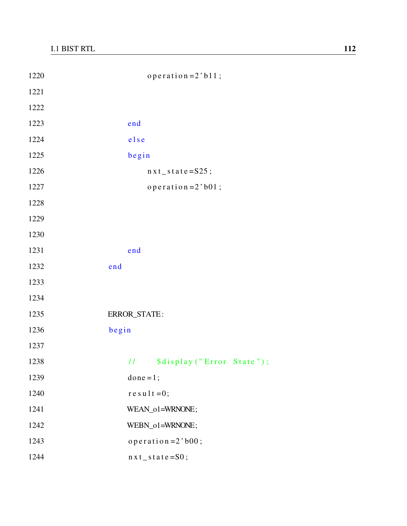| 1220 | operation = $2$ 'b11;                        |
|------|----------------------------------------------|
| 1221 |                                              |
| 1222 |                                              |
| 1223 | end                                          |
| 1224 | else                                         |
| 1225 | begin                                        |
| 1226 | $nxt_state = S25;$                           |
| 1227 | operation= $2$ 'b01;                         |
| 1228 |                                              |
| 1229 |                                              |
| 1230 |                                              |
| 1231 | end                                          |
| 1232 | end                                          |
| 1233 |                                              |
| 1234 |                                              |
| 1235 | ERROR_STATE:                                 |
| 1236 | begin                                        |
| 1237 |                                              |
| 1238 | \$display ("Error State");<br>$\overline{H}$ |
| 1239 | done = $1$ ;                                 |
| 1240 | $r e s u 1 t = 0;$                           |
| 1241 | WEAN_o1=WRNONE;                              |
| 1242 | WEBN_o1=WRNONE;                              |
| 1243 | operation= $2$ 'b00;                         |
| 1244 | $nx t$ _ s t a t e = S0;                     |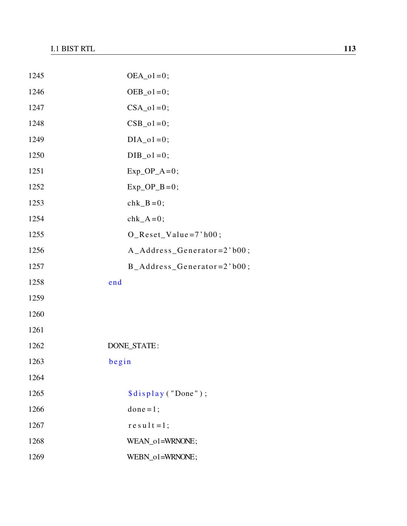| 1245 | $OEA_01=0;$                             |
|------|-----------------------------------------|
| 1246 | $OEB_01=0;$                             |
| 1247 | $CSA_01=0;$                             |
| 1248 | $CSB_01=0;$                             |
| 1249 | $DIA_01=0;$                             |
| 1250 | $DIB_01=0;$                             |
| 1251 | $Exp\_OP_A=0;$                          |
| 1252 | $Exp\_OP$ <sub><math>B=0</math></sub> ; |
| 1253 | $chk_B=0;$                              |
| 1254 | $chk_A=0;$                              |
| 1255 | $O$ <sub>Reset</sub> Value=7'h00;       |
| 1256 | $A\_Address\_Generator=2' b00;$         |
| 1257 | B_Address_Generator=2'b00;              |
| 1258 | end                                     |
| 1259 |                                         |
| 1260 |                                         |
| 1261 |                                         |
| 1262 | DONE_STATE:                             |
| 1263 | begin                                   |
| 1264 |                                         |
| 1265 | \$display ("Done");                     |
| 1266 | $done = 1;$                             |
| 1267 | $result = 1;$                           |
| 1268 | WEAN_o1=WRNONE;                         |
| 1269 | WEBN_o1=WRNONE;                         |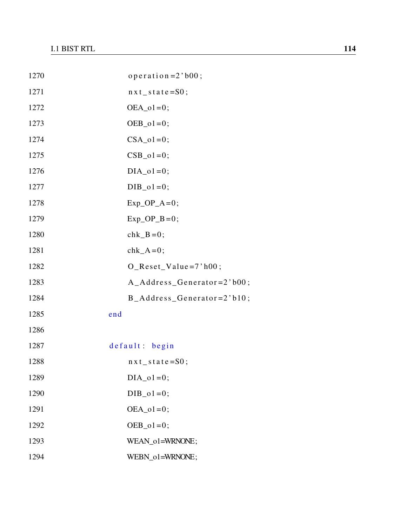| 1270 | operation = $2$ 'b00;           |
|------|---------------------------------|
| 1271 | $nxt$ state=S0;                 |
| 1272 | $OEA_01=0;$                     |
| 1273 | $OEB_01=0;$                     |
| 1274 | $CSA_01=0;$                     |
| 1275 | $CSB_01=0;$                     |
| 1276 | $DIA_01=0;$                     |
| 1277 | $DIB_01=0;$                     |
| 1278 | $Exp\_OP_A=0;$                  |
| 1279 | $Exp_OP_B=0;$                   |
| 1280 | $chk_B=0$ ;                     |
| 1281 | $chk_A=0;$                      |
| 1282 | $O_{\text{Reset}}$ Value=7'h00; |
| 1283 | $A\_Address\_Generator=2' b00;$ |
| 1284 | B_Address_Generator=2'b10;      |
| 1285 | end                             |
| 1286 |                                 |
| 1287 | default: begin                  |
| 1288 | $nxt$ _ state=S0;               |
| 1289 | $DIA_01=0;$                     |
| 1290 | $DIB_01=0;$                     |
| 1291 | $OEA_01=0;$                     |
| 1292 | $OEB_01=0;$                     |
| 1293 | WEAN_o1=WRNONE;                 |
| 1294 | WEBN_o1=WRNONE;                 |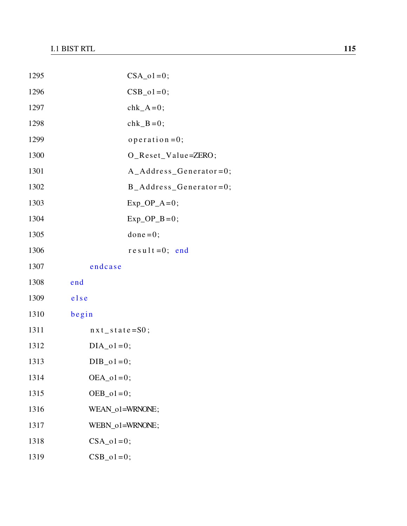| 1295 | $CSA_01=0;$                             |
|------|-----------------------------------------|
| 1296 | $CSB_01=0;$                             |
| 1297 | $chk_A=0;$                              |
| 1298 | $chk_B=0;$                              |
| 1299 | $openation = 0;$                        |
| 1300 | O_Reset_Value=ZERO;                     |
| 1301 | $A\_Address\_Generator=0;$              |
| 1302 | $B\_Address\_Generator=0;$              |
| 1303 | $Exp\_OP_A=0;$                          |
| 1304 | $Exp\_OP$ <sub><math>B=0</math></sub> ; |
| 1305 | $done = 0;$                             |
| 1306 | $result = 0$ ; end                      |
| 1307 | endcase                                 |
| 1308 | end                                     |
| 1309 | else                                    |
| 1310 | begin                                   |
| 1311 | $nx t$ state=S0;                        |
| 1312 | $DIA_01=0;$                             |
| 1313 | $DIB_01=0;$                             |
| 1314 | $OEA_01=0;$                             |
| 1315 | $OEB_01=0;$                             |
| 1316 | WEAN_o1=WRNONE;                         |
| 1317 | WEBN_o1=WRNONE;                         |
| 1318 | $CSA_01=0;$                             |
| 1319 | $CSB_01=0;$                             |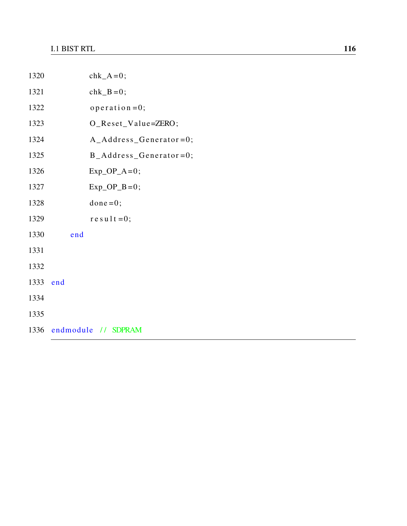| 1320 | $chk_A=0;$                              |
|------|-----------------------------------------|
| 1321 | $chk_B=0;$                              |
| 1322 | $operatoreration = 0;$                  |
| 1323 | O_Reset_Value=ZERO;                     |
| 1324 | A_Address_Generator=0;                  |
| 1325 | $B\_Address\_Generator=0;$              |
| 1326 | $Exp\_OP_A=0;$                          |
| 1327 | $Exp\_OP$ <sub><math>B=0</math></sub> ; |
| 1328 | $done = 0;$                             |
| 1329 | $re$ sult=0;                            |
| 1330 | end                                     |
| 1331 |                                         |
| 1332 |                                         |
| 1333 | end                                     |
| 1334 |                                         |
| 1335 |                                         |
|      | 1336 endmodule // SDPRAM                |
|      |                                         |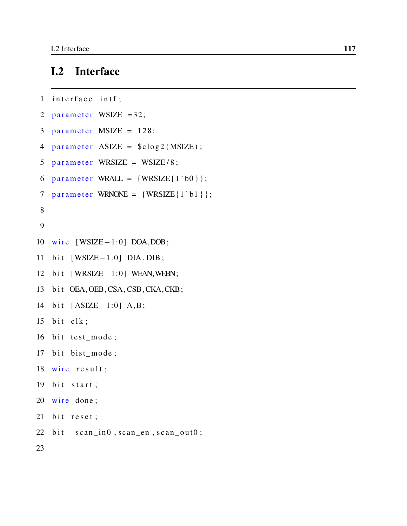## I.2 Interface

```
1 interface intf;
2 parameter WSIZE =32;
3 parameter MSIZE = 128;
4 parameter ASIZE = $c \log 2 (MSIZE);
5 parameter WRSIZE = WSIZE/8;
6 parameter WRALL = \{WRSIZE\{1' b0\}\};7 parameter WRNONE = \{WRSIZE\{1'b1\}\};8
9
10 wire [WSIZE-1:0] DOA,DOB;
11 bit [WSIZE-1:0] DIA, DIB;
12 bit [WRSIZE−1:0] WEAN, WEBN;
13 bit OEA, OEB, CSA, CSB, CKA, CKB;
14 bit [ASIZE-1:0] A, B;15 bit clk;
16 bit test_mode;
17 bit bist_mode;
18 wire result;
19 bit start;
20 wire done;
21 bit reset;
22 bit scan_in0, scan_en, scan_out0;
23
```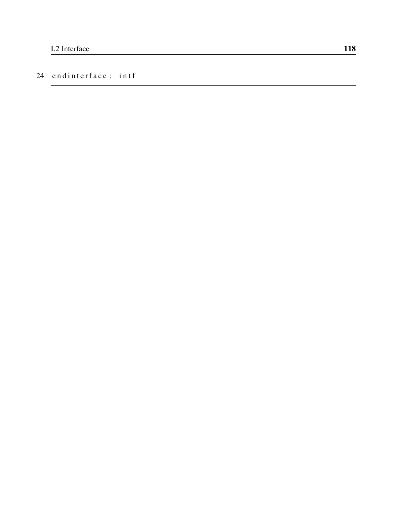#### 24 endinterface: intf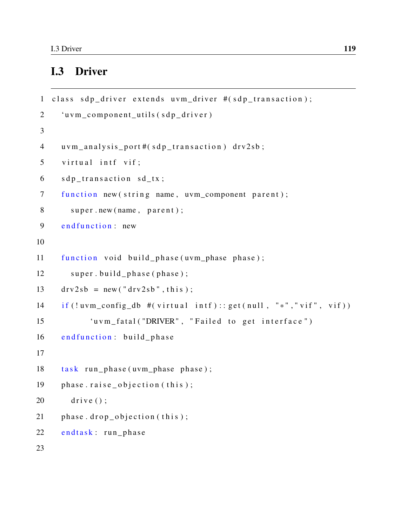### I.3 Driver

```
1 class sdp driver extends uvm driver #(sdp transaction);
2 'uvm_component_utils (sdp_driver)
3
4 uvm_analysis_port#(sdp_transaction) drv2sb;
5 virtual intf vif;
6 sdp_transaction sd_tx;
7 function new (string name, uvm component parent);
8 super.new (name, parent);
9 end function : new
10
11 function void build_phase(uvm_phase phase);
12 super.build_phase(phase);
13 drv2sb = new("dry2sb", this;
14 if (!uvm_config_db #(virtual intf):: get (null, "*", "vif", vif))
15 'uvm_fatal ("DRIVER", "Failed to get interface")
16 end function: build phase
17
18 task run_phase (uvm_phase phase);
19 phase . raise_objection (this);20 d rive ();
21 phase drop\_objection (this);
22 endtask: run phase
23
```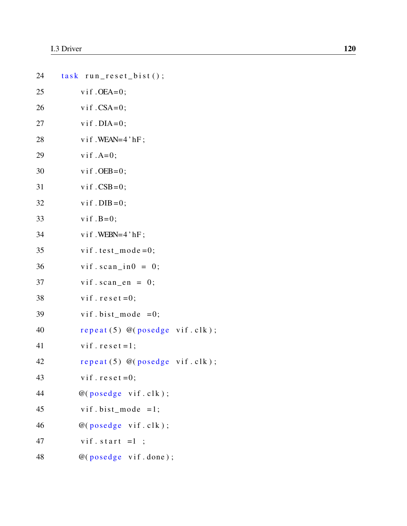| 24 | task run_reset_bist();            |
|----|-----------------------------------|
| 25 | $v$ if $.OEA=0$ ;                 |
| 26 | $v$ if $.CSA=0$ ;                 |
| 27 | $v$ if . DIA=0;                   |
| 28 | $v$ if . WEAN= $4$ 'hF;           |
| 29 | $v$ if $.A=0$ ;                   |
| 30 | $v$ if . OEB=0;                   |
| 31 | $v$ if $.CSB=0$ ;                 |
| 32 | $v$ if . DIB = 0;                 |
| 33 | $v$ if $.B=0$ ;                   |
| 34 | $v$ if . WEBN=4 'hF;              |
| 35 | vif.test_mode=0;                  |
| 36 | $v$ if.scan_in0 = 0;              |
| 37 | $v$ if.scan_en = 0;               |
| 38 | vif. $reset = 0$ ;                |
| 39 | vif.bist_mode = $0$ ;             |
| 40 | repeat $(5)$ @ (posedge vif.clk); |
| 41 | vif. $reset = 1$ ;                |
| 42 | repeated(5) @ (posedge vif. clk); |
| 43 | vif. $reset = 0$ ;                |
| 44 | @(posedge vif. clk);              |
| 45 | vif.bist_mode = $1$ ;             |
| 46 | @(posedge vif. clk);              |
| 47 | vif. start $=1$ ;                 |
| 48 | @(posedge vif.done);              |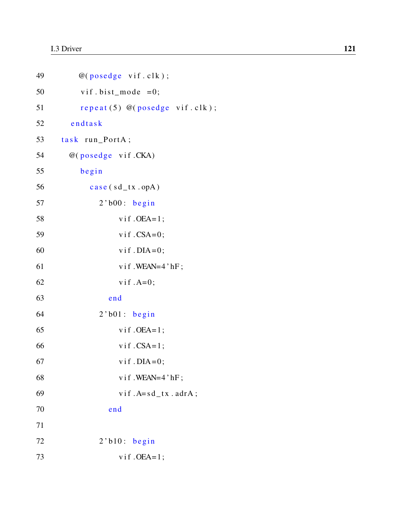| 49 | @(posedge vif. clk);              |
|----|-----------------------------------|
| 50 | vif.bist_mode = $0$ ;             |
| 51 | repeat $(5)$ @ (posedge vif.clk); |
| 52 | endtask                           |
| 53 | task run_PortA;                   |
| 54 | @(posedge vif.CKA)                |
| 55 | begin                             |
| 56 | $case(sd_{tx}.\text{opA})$        |
| 57 | $2$ 'b00: begin                   |
| 58 | $v$ if $.OEA=1$ ;                 |
| 59 | $v$ if $.CSA=0$ ;                 |
| 60 | $v$ if . DIA=0;                   |
| 61 | vif.WEAN=4'hF;                    |
| 62 | $v$ if $.A=0$ ;                   |
| 63 | end                               |
| 64 | $2$ 'b $01$ : begin               |
| 65 | $v$ if $.OEA=1$ ;                 |
| 66 | $v$ if $.CSA=1$ ;                 |
| 67 | $v$ if . DIA=0;                   |
| 68 | vif.WEAN=4'hF;                    |
| 69 | $v$ if $.A = sd_t x$ . $adrA$ ;   |
| 70 | end                               |
| 71 |                                   |
| 72 | $2$ 'b $10:$ begin                |
| 73 | $v$ if $.OEA=1$ ;                 |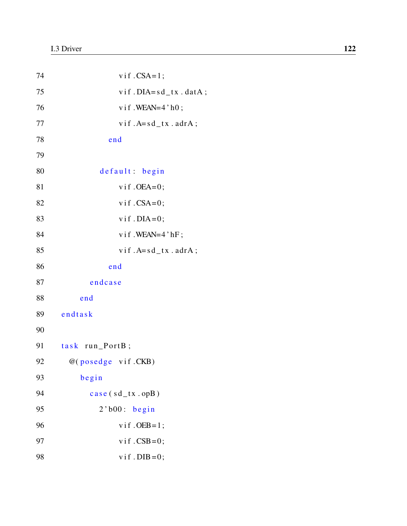| 74      | vif $.CSA=1$ ;                  |
|---------|---------------------------------|
| 75      | $v$ if . DIA= $sd$ _tx . datA;  |
| 76      | $v$ if . WEAN=4 'h0;            |
| $77 \,$ | $v$ if $.A = sd_t x$ . $adrA$ ; |
| 78      | end                             |
| 79      |                                 |
| 80      | default: begin                  |
| 81      | $v$ if . OEA=0;                 |
| 82      | $v$ if $.CSA=0$ ;               |
| 83      | $v$ if . DIA=0;                 |
| 84      | vif.WEAN=4'hF;                  |
| 85      | $v$ if $.A = sd_t x$ . $adrA$ ; |
| 86      | end                             |
| 87      | endcase                         |
| 88      | end                             |
| 89      | endtask                         |
| 90      |                                 |
| 91      | task run_PortB;                 |
| 92      | @(posedge vif.CKB)              |
| 93      | begin                           |
| 94      | $case(sd_{tx}.\text{opB})$      |
| 95      | $2$ 'b00: begin                 |
| 96      | $v$ if . OEB = 1;               |
| 97      | $v$ if $.CSB=0$ ;               |
| 98      | $v$ if . DIB = 0;               |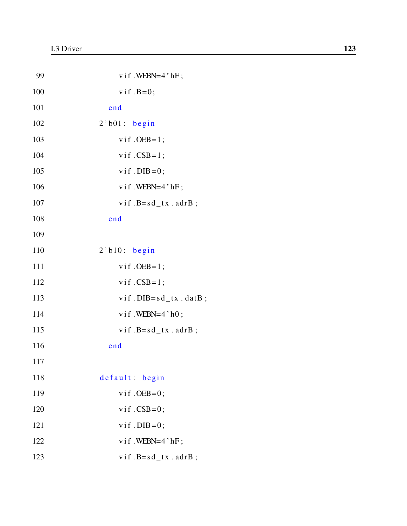| 99  | $v$ if . WEBN=4 'hF;            |
|-----|---------------------------------|
| 100 | $v$ if $.B=0$ ;                 |
| 101 | end                             |
| 102 | $2$ 'b $01$ : begin             |
| 103 | $v$ if . OEB = 1;               |
| 104 | $v$ if $.CSB=1$ ;               |
| 105 | $v$ if . DIB = 0;               |
| 106 | $v$ if. WEBN=4'hF;              |
| 107 | $v$ if $.B = sd_t x$ . $adrB$ ; |
| 108 | end                             |
| 109 |                                 |
| 110 | $2$ 'b $10:$ begin              |
| 111 | $v$ if . OEB = 1;               |
| 112 | $v$ if $.CSB=1$ ;               |
| 113 | $v$ if . DIB= $sd\_tx$ . datB;  |
| 114 | $v$ if . WEBN=4 'h0;            |
| 115 | $v$ if $.B = sd_t x$ . $adrB$ ; |
| 116 | end                             |
| 117 |                                 |
| 118 | default: begin                  |
| 119 | $v$ if . OEB=0;                 |
| 120 | $v$ if $.CSB=0$ ;               |
| 121 | $v$ if . DIB = 0;               |
| 122 | vif.WEBN=4'hF;                  |
| 123 | $v$ if $.B = sd_t x$ . $adrB$ ; |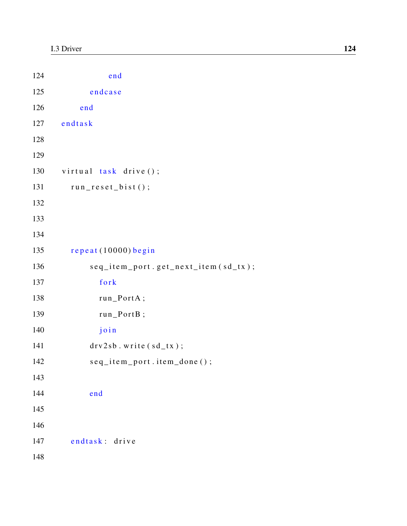| 124 | end                                 |
|-----|-------------------------------------|
| 125 | endcase                             |
| 126 | end                                 |
| 127 | endtask                             |
| 128 |                                     |
| 129 |                                     |
| 130 | virtual task drive ();              |
| 131 | $run\_reset\_bist();$               |
| 132 |                                     |
| 133 |                                     |
| 134 |                                     |
| 135 | repeat (10000) begin                |
| 136 | seq_item_port.get_next_item(sd_tx); |
| 137 | fork                                |
| 138 | run_PortA;                          |
| 139 | run_PortB;                          |
| 140 | join                                |
| 141 | $drv2sb$ . write $(sd_t x)$ ;       |
| 142 | seq_item_port.item_done();          |
| 143 |                                     |
| 144 | end                                 |
| 145 |                                     |
| 146 |                                     |
| 147 | endtask: drive                      |
| 148 |                                     |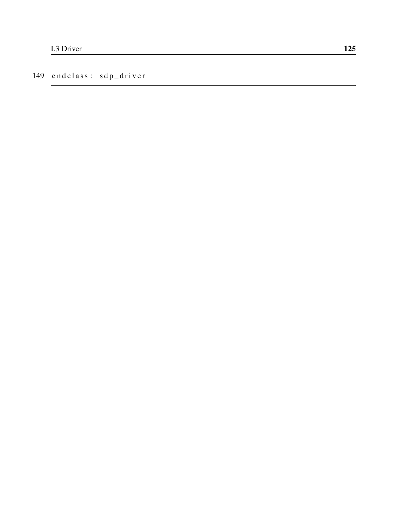149 endclass: sdp\_driver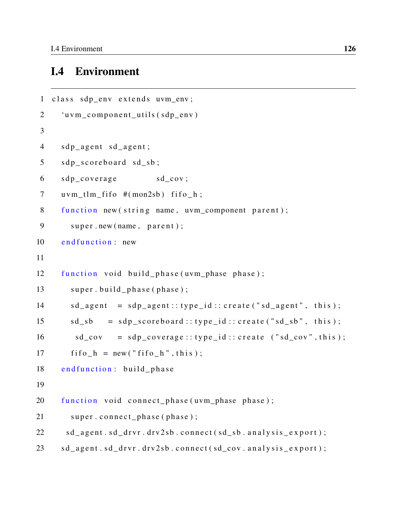### I.4 Environment

```
1 class sdp env extends uvm env;
2 'uvm component utils (sdp env)
3
4 sdp_agent sd_agent;
5 sdp_scoreboard sd_sb;
6 sdp_coverage sd_cov;
7 uvm tlm fifo \#(\text{mon2sb}) fifo h;
8 function new (string name, uvm component parent);
9 super.new (name, parent);
10 end function: new
11
12 function void build_phase(uvm_phase phase);
13 super.build_phase(phase);
14 sd_agent = sdp_agent:: type_id:: create ("sd_agent", this);
15 sd_sb = sdp_scoreboard :: type_id :: create ("sd_sb", this);
16 sd cov = sdp coverage :: type id :: create ("sd cov", this );
17 fif o _ h = new ("fif o _ h", this);
18 end function: build_phase
19
20 function void connect_phase (uvm_phase phase);
21 super . connect_phase (phase);
22 sd_agent.sd_drvr.drv2sb.connect(sd_sb.analysis_export);
23 sd_agent.sd_drvr.drv2sb.connect(sd_cov.analysis_export);
```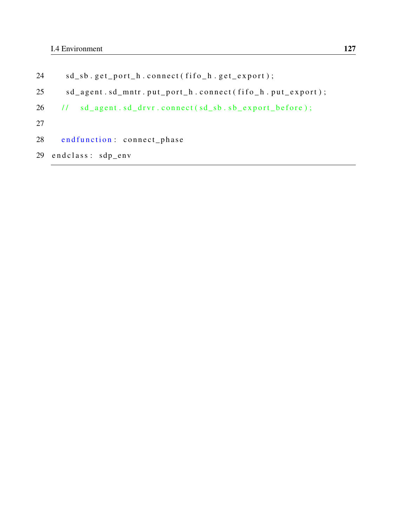- 24 sd\_sb.get\_port\_h.connect(fifo\_h.get\_export);
- 25 sd\_agent.sd\_mntr.put\_port\_h.connect(fifo\_h.put\_export);
- $26$  // sd\_agent.sd\_drvr.connect (sd\_sb.sb\_export\_before);
- 27
- 28 end function: connect\_phase
- 29 end class: sdp\_env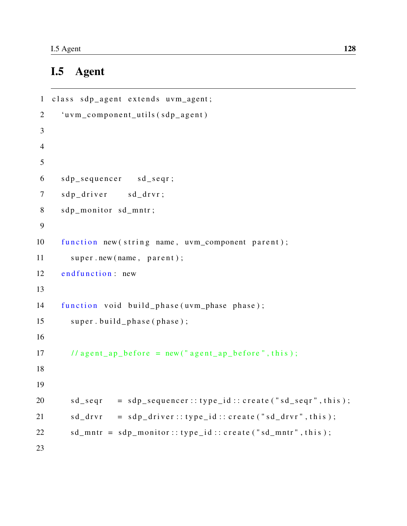# I.5 Agent

```
1 class sdp_agent extends uvm_agent;
2 'uvm_component_utils (sdp_agent)
3
4
5
6 sdp_sequencer sd_seqr;
7 sdp driver sd drvr;
8 sdp_monitor sd_mntr;
9
10 function new (string name, uvm component parent);
11 super.new (name, parent);
12 end function: new
13
14 function void build phase (uvm phase phase);
15 super.build_phase(phase);
16
17 // agent_ap_before = new ("agent_ap_before", this);
18
19
20 sd\_seqr = sdp\_sequence::type\_id::create("sd\_seqr", this);21 sd\_drvr = sdp\_driver::type\_id::create("sd\_drvr", this);22 sd_mntr = sdp_monitor::type_id::create("sd_mntr",this);
23
```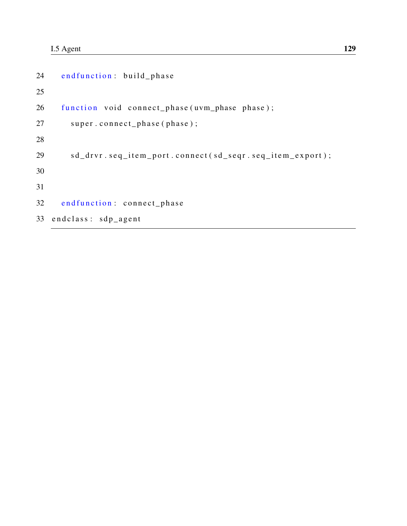```
24 end function: build_phase
25
26 function void connect_phase (uvm_phase phase);
27 super.connect_phase(phase);
28
29 sd_drvr.seq_item_port.connect(sd_seqr.seq_item_export);
30
31
32 end function: connect_phase
33 end class: sdp_agent
```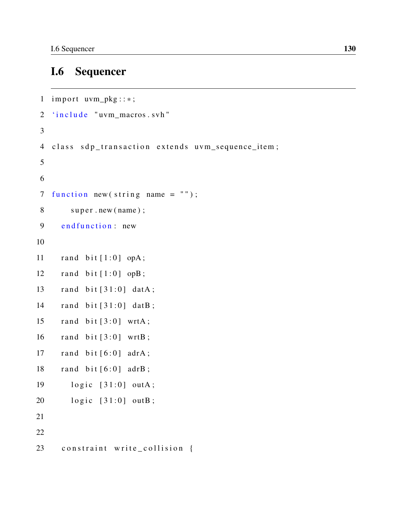#### **Sequencer I.6**

```
1 import uvm_pkg::*;2 'include "uvm_macros.svh"
\mathfrak{Z}4 class sdp_transaction extends uvm_sequence_item;
\overline{5}6
7 function new (string name = ");
8
        super.new(name);endfunction: new
9
10
     rand bit [1:0] opA;
11
     rand bit [1:0] opB;
12
     rand bit [31:0] datA;
13
     rand bit [31:0] datB;
14
     rand bit [3:0] wrtA;
15
     rand bit [3:0] wrtB;
16
17
     rand bit [6:0] adrA;
     rand bit [6:0] adrB;
18
        logic [31:0] outA;
19
       logic [31:0] outB;20
21
22
     constraint write_collision {
23
```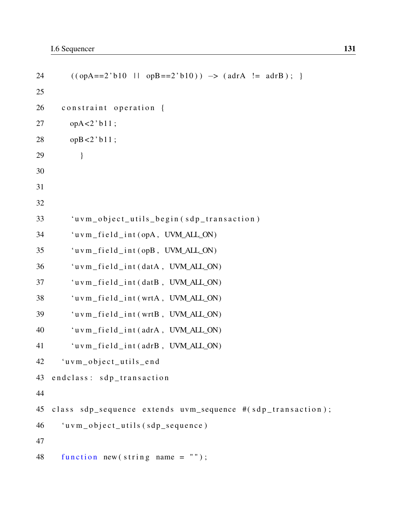```
24 ( (\text{opA==2'}b10 \mid \text{opB==2'}b10) ) \rightarrow (\text{adrA} \mid = \text{adrB}); }
25
26 constraint operation {
27 opA < 2 ' b11;
28 opB < 2 ' b 1 1;
29 }
30
31
32
33 'uvm_object_utils_begin(sdp_transaction)
34 'u v m_f i e l d_i n t ( opA, UVM_ALL_ON)
35 ' u v m _ f i e l d _ i n t ( opB , UVM_ALL_ON)
36 uwm_field_int(data, UVM_ALL_ON)37 	 uvm field int (datB, UVM ALL ON)
38 'uvm_field_int(wrtA, UVM_ALL_ON)
39 'uvm field int (wrtB, UVM ALL ON)
40 iuvm_field_int(adrA, UVM_ALL_ON)41 		 'u v m_f i e l d_i n t ( adr B, UVM_ALL_ON)
42 'uvm_object_utils_end
43 end class: sdp_transaction
44
45 class sdp_sequence extends uvm_sequence #(sdp_transaction);
46 "uvw\_object\_utils (sdp_sequence)
47
48 function new (string name = ");
```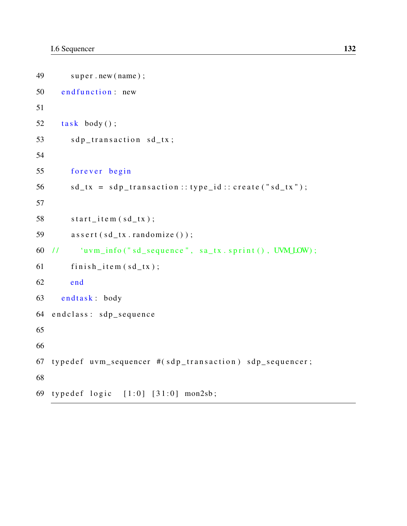```
49 super.new(name);
50 end function: new
51
52 task body();
53 sdp_transaction sd_tx;
54
55 forever begin
56 sd_tx = sdp_transaction :: type_id :: create ("sd_tx");
57
58 start\_item (sd\_tx);59 \qquad a \, s \, s \, e \, r \, t \, ( \, s \, d \, t \, x \, . \, random \, i \, z \, e \, () \, ) \; ;60 // iuvm_info (" sd_sequence", sa_tx.sprint (), UVM LOW);
61 \text{finish\_item (sd\_tx)};
62 end
63 endtask: body
64 end class: sdp_sequence
65
66
67 typed ef uvm_sequencer \#(sdp_{trans} d s and sdp_{ass} and sdp_{ass} sequencer;
68
69 typedef logic [1:0] [31:0] mon2sb;
```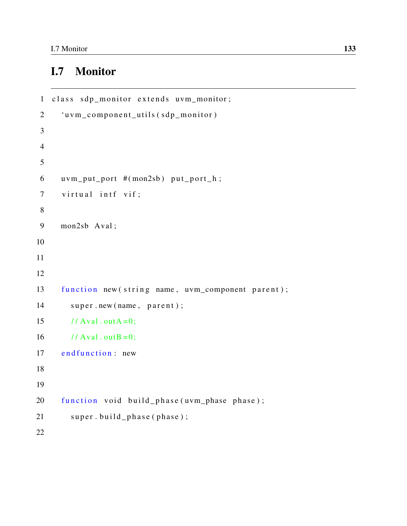# I.7 Monitor

```
1 class sdp_monitor extends uvm_monitor;
2 'uvm_component_utils (sdp_monitor)
3
4
5
6 uvm_put_port #(mon2sb) put_port_h;
7 virtual intf vif;
8
9 mon2sb Aval ;
10
11
12
13 function new (string name, uvm_component parent);
14 super.new (name, parent);
15 // Aval.outA = 0;
16 // Aval.outB = 0;
17 end function: new
18
19
20 function void build_phase (uvm_phase phase);
21 super . build _phase (phase);
22
```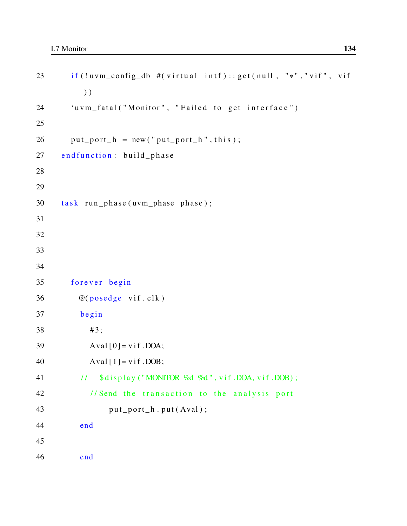```
23 if (!uvm_config_db #(virtual intf):: get (null, "*","vif", vif
              ) )
24 'uvm_fatal ("Monitor", "Failed to get interface")
25
26 put port_h = new("put port_h", this);27 end function: build_phase
28
29
30 task run_phase (uvm_phase phase);
31
32
33
34
35 forever begin
36 \qquad \qquad @(\text{posedge} \text{ vif} \cdot \text{clk})37 begin
38 #3;
39 Aval [0] = \text{vif } DOA;40 Aval[1] = vif.DOB;41 \frac{1}{\sqrt{2}} \frac{\sinh(\theta)}{\sinh(\theta)} \frac{\sinh(\theta)}{\cosh(\theta)} \frac{\pi}{2} \frac{\pi}{2} \frac{\pi}{2} \frac{\pi}{2} \frac{\pi}{2} \frac{\pi}{2} \frac{\pi}{2} \frac{\pi}{2} \frac{\pi}{2} \frac{\pi}{2} \frac{\pi}{2} \frac{\pi}{2} \frac{\pi}{2} \frac{\pi}{2} \frac{\pi}{2} \frac{\pi}{2} \frac{\pi}{2} 42 // Send the transaction to the analysis port
43 put\_port\_h . put(Aval);44 end
45
46 end
```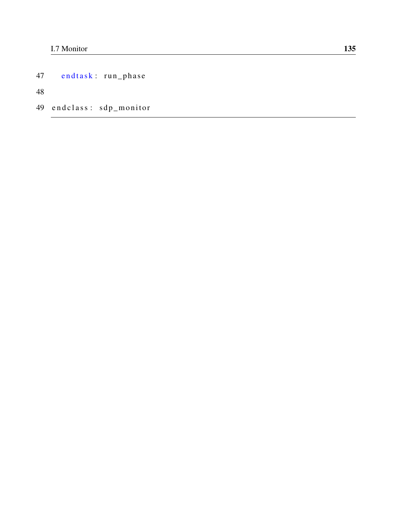endtask: run\_phase 47

48

49 endclass: sdp\_monitor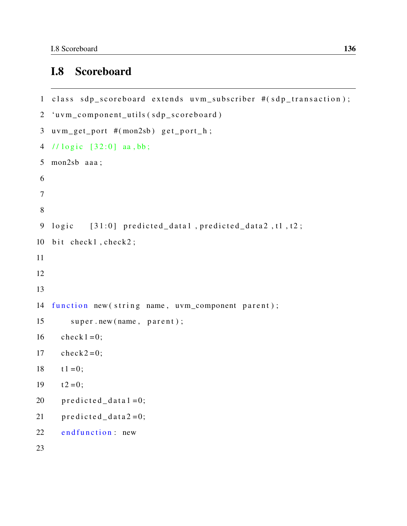### I.8 Scoreboard

```
1 class sdp_scoreboard extends uvm_subscriber #(sdp_transaction);
2 'uvm_component_utils (sdp_scoreboard)
3 uvm_get_port #(mon2sb) get_port_h;
4 // logic [32:0] aa, bb;5 mon2sb aaa ;
6
7
8
9 logic [31:0] predicted_data1, predicted_data2, t1, t2;
10 bit check1, check2;
11
12
13
14 function new (string name, uvm_component parent);
15 super.new (name, parent);
16 check1 = 0;
17 check2=0;
18 t 1 = 0;19 t 2 = 0;
20 predicted_data1 = 0;
21 predicted_data2=0;
22 end function: new
23
```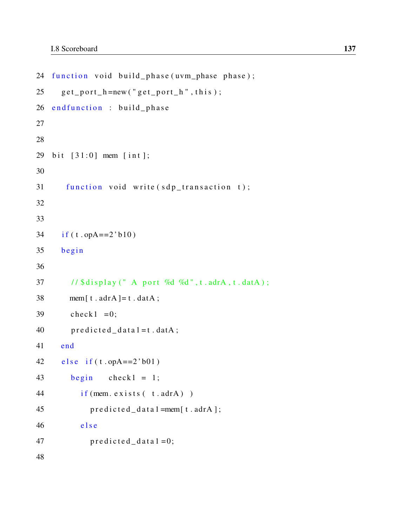```
24 function void build_phase(uvm_phase phase);
25 get_port_h=new ("get_port_h", this);
26 end function : build _phase
27
28
29 bit [31:0] mem [int];
30
31 function void write (sdp_transaction t);
32
33
34 if (t.opA==2^{\text{th}}b10)
35 begin
36
37 / \frac{\delta}{\delta} / \frac{\delta}{\delta} display (" A port %d %d", t. adrA, t. datA);
38 mem[t \cdot \text{adrA}]=t \cdot \text{datA};
39 check1 = 0;
40 \lvert predicted_data 1 = t . datA ;
41 end
42 e l s e i f (t \cdot opA == 2' b01)43 begin check1 = 1;
44 if (mem. exists (t. adrA))
45 predicted_data1=mem[t.adrA];
46 e l s e
47 predicted_data1 = 0;
48
```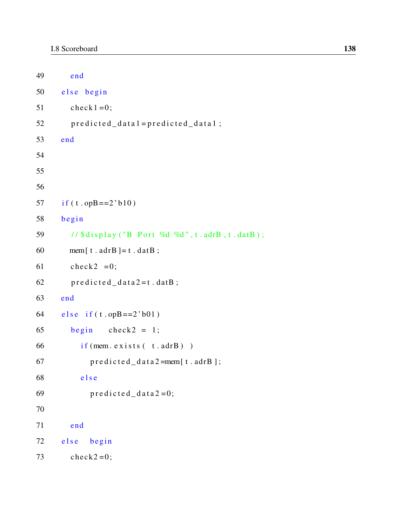```
49 end
50 else begin
51 check1 = 0;
52 predicted_data1=predicted_data1;
53 end
54
55
56
57 if (t \cdot opB == 2' b10)58 begin
59 // \frac{\delta}{\delta} // \frac{\delta}{\delta} is p lay ("B Port %d %d", t. adrB, t. datB);
60 mem[t \cdot \text{adrB}]=t \cdot \text{datB};
61 check2 = 0;
62 predicted_data2=t. datB;
63 end
64 e l s e i f (t \cdot opp == 2' b01)65 begin check2 = 1;
66 if (mem. exists (t \cdot \text{adrB}))
67 predicted_data2=mem[t.adrB];
68 else
69 predicted_data2=0;
70
71 end
72 else begin
73 check2=0;
```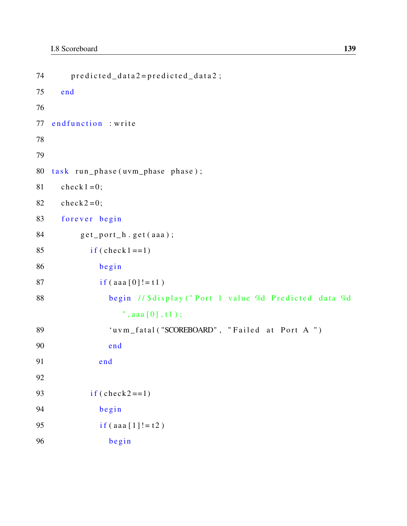```
74 predicted_data2=predicted_data2;
75 end
76
77 end function : write
78
79
80 task run-phase(uvm\_phase phase);
81 check1 = 0;
82 check2=0;
83 forever begin
84 get\_port\_h.get(aaa);85 if ( check 1 == 1 )
86 begin
87 if (aaa [0]! = t 1)
88 begin // $display ("Port 1 value %d Predicted data %d
               ", aaa [0], t1);89 'uvm_fatal ("SCOREBOARD", "Failed at Port A")
90 end
91 end
92
93 if ( \text{check2} == 1 )
94 begin
95 if (aaa [1]!=t2)
96 begin
```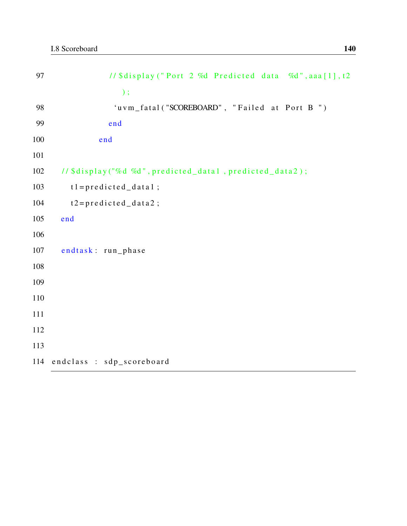| 97  | // \$display ("Port 2 %d Predicted data %d", aaa [1], t2 |
|-----|----------------------------------------------------------|
|     | $)$ ;                                                    |
| 98  | 'uvm_fatal("SCOREBOARD", "Failed at Port B")             |
| 99  | end                                                      |
| 100 | end                                                      |
| 101 |                                                          |
| 102 | // \$display("%d %d", predicted_data1, predicted_data2); |
| 103 | $t1 = predicted_data1;$                                  |
| 104 | $t2 = predicted_data2;$                                  |
| 105 | end                                                      |
| 106 |                                                          |
| 107 | endtask: run_phase                                       |
| 108 |                                                          |
| 109 |                                                          |
| 110 |                                                          |
| 111 |                                                          |
| 112 |                                                          |
| 113 |                                                          |
|     | 114 endclass : sdp_scoreboard                            |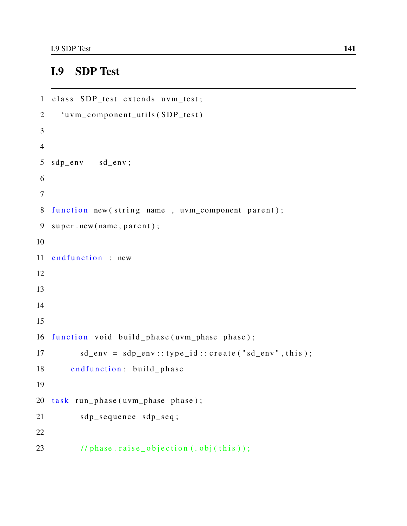## I.9 SDP Test

```
1 class SDP_test extends uvm_test;
2 'uvm_component_utils (SDP_test)
3
4
5 sdp_env sd_env;
6
7
8 function new (string name, uvm_component parent);
9 super.new (name, parent);
10
11 end function : new
12
13
14
15
16 function void build phase (uvm phase phase);
17 sd\_env = sdp\_env::type\_id::create("sd\_env", this);18 end function: build_phase
19
20 task run_phase (uvm_phase phase);
21 sdp_sequence sdp_seq;
22
23 // phase . raise_objection (.obj(this));
```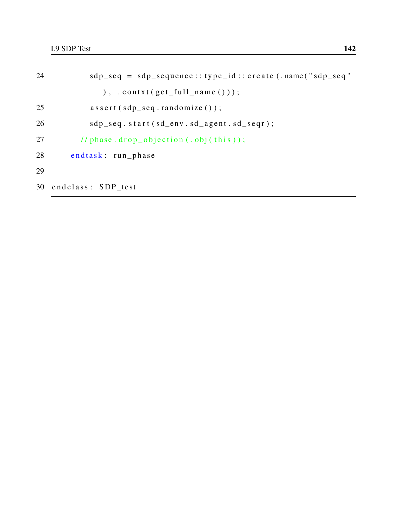```
24 sdp_seq = sdp_sequence:: type_id:: create (.name("sdp_seq")
              ), . const ( get\_full\_name () ;
25 assert (sdp_seq.randomize());
26 sdp_seq.start(sd_env.sd_agent.sd_seqr);
27 \frac{1}{\pi} // phase . drop_objection (. obj (this ));
28 endtask: run_phase
29
30 end class: SDP_test
```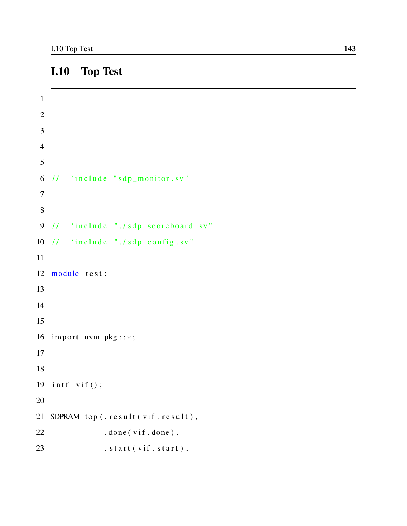## I.10 Top Test

```
1
2
3
4
5
6 // 'include "sqp_m onitor.sv"
7
8
9 // 'include "./sdp_scoreboard.sv"
10 // 'include "./sdp\_config.sv"
11
12 module test;
13
14
15
16 import uvm_pkg::*;17
18
19 intf vif();
20
21 SDPRAM top (. result (vif. result),
22 . done (vif. done),
23 . start (vif. start),
```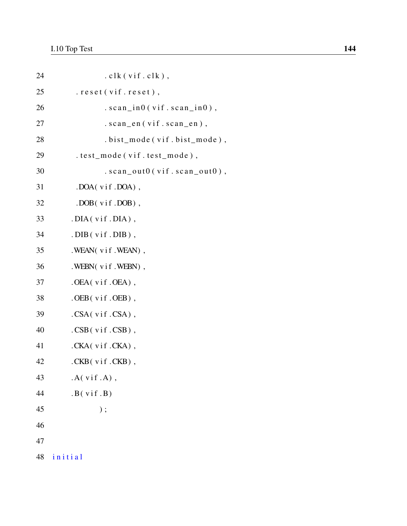| 24 | $. c$ lk $(v$ if.clk $),$        |
|----|----------------------------------|
| 25 | . reset (vif. reset),            |
| 26 | $. scan\_in0(vif.scan_in0)$ ,    |
| 27 | $. scan_en(vif.scan_en)$ ,       |
| 28 | . bist_mode(vif.bist_mode),      |
| 29 | . test_mode(vif.test_mode),      |
| 30 | $. scan\_out0(vif.scan\_out0)$ , |
| 31 | .DOA(vif.DOA),                   |
| 32 | $.DOB(vif.DOB)$ ,                |
| 33 | $.$ DIA( $v$ if $.$ DIA),        |
| 34 | $DB(vif.DIB)$ ,                  |
| 35 | . WEAN(vif. WEAN),               |
| 36 | . WEBN $(vif. WEBN)$ ,           |
| 37 | $.0EA(vif.0EA)$ ,                |
| 38 | $.$ OEB $($ vif. OEB $)$ ,       |
| 39 | .CSA(vif.CSA),                   |
| 40 | $.CSB$ (vif.CSB),                |
| 41 | .CKA(vif.CKA),                   |
| 42 | $CKB(vif.CKB)$ ,                 |
| 43 | $.A(vif.A)$ ,                    |
| 44 | .B(vif.B)                        |
| 45 | $)$ ;                            |
| 46 |                                  |
| 47 |                                  |
| 48 | initial                          |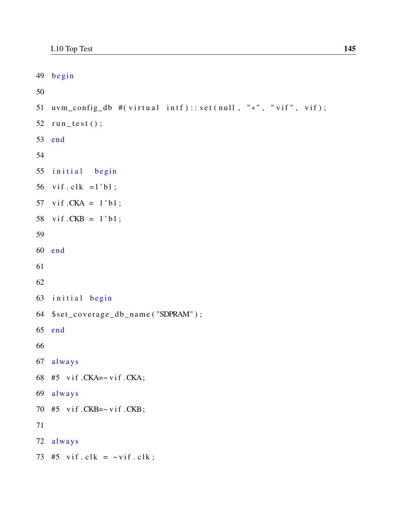```
49 begin
50
51 uvm_config_db \#(\text{virtual intf})::\text{set}(\text{null}, "*", "vif", vif);52 run_test();
53 end
54
55 initial begin
56 vif.clk =1'bl;
57 vif CKA = 1' b1;
58 vif CKB = 1' b1;
59
60 end
61
62
63 initial begin
64 $set_coverage_db_name ( "SDPRAM" ) ;
65 end
66
67 always
68 #5 vif .CKA = - \text{vif } .CKA;69 always
70 #5 vif .CKB = ~\vee if .CKB;
71
72 always
73 #5 vif.clk = \sim vif.clk;
```